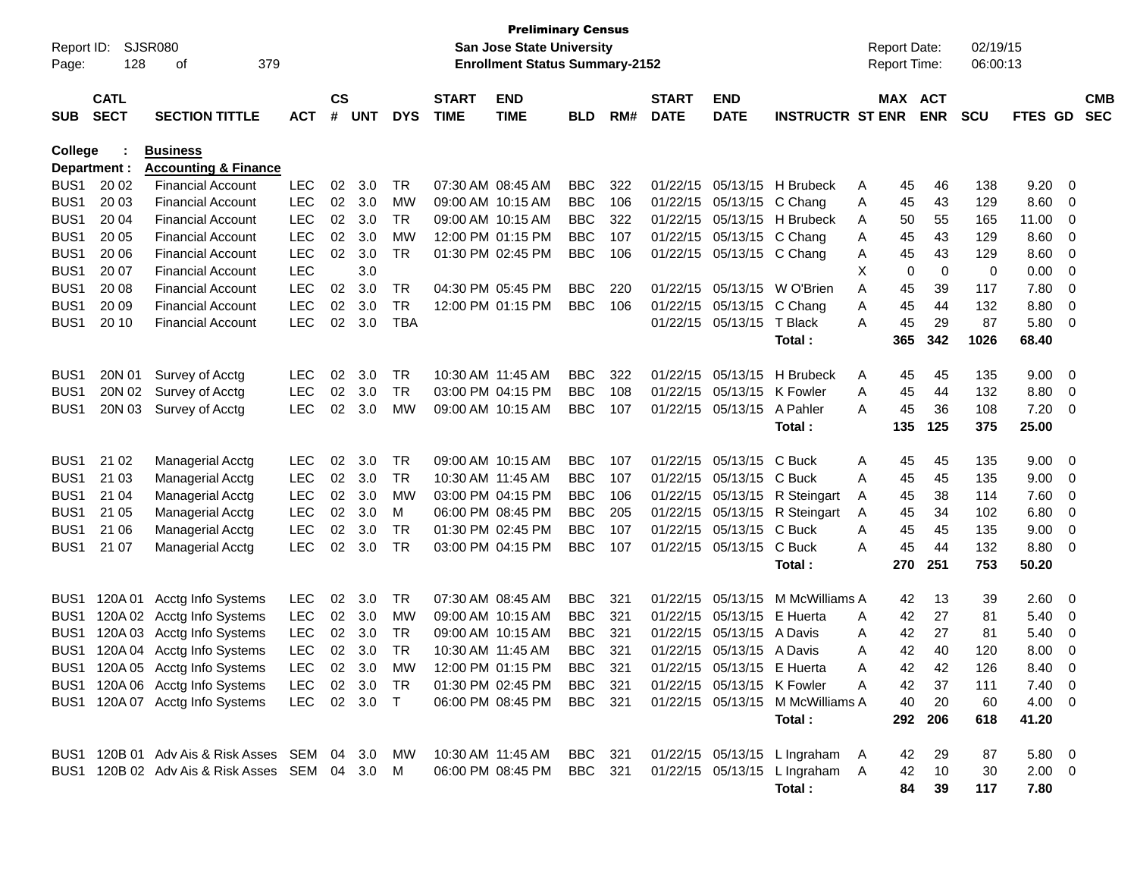| Report ID:<br>Page: | 128                        | SJSR080<br>379<br>οf                                        |            |                    |            |            |                             | <b>Preliminary Census</b><br><b>San Jose State University</b><br><b>Enrollment Status Summary-2152</b> |            |      |                             |                            |                                  |        | <b>Report Date:</b><br><b>Report Time:</b> |            | 02/19/15<br>06:00:13 |                |          |                          |
|---------------------|----------------------------|-------------------------------------------------------------|------------|--------------------|------------|------------|-----------------------------|--------------------------------------------------------------------------------------------------------|------------|------|-----------------------------|----------------------------|----------------------------------|--------|--------------------------------------------|------------|----------------------|----------------|----------|--------------------------|
| <b>SUB</b>          | <b>CATL</b><br><b>SECT</b> | <b>SECTION TITTLE</b>                                       | <b>ACT</b> | $\mathsf{cs}$<br># | <b>UNT</b> | <b>DYS</b> | <b>START</b><br><b>TIME</b> | <b>END</b><br><b>TIME</b>                                                                              | BLD        | RM#  | <b>START</b><br><b>DATE</b> | <b>END</b><br><b>DATE</b>  | <b>INSTRUCTR ST ENR</b>          |        | MAX ACT                                    | <b>ENR</b> | <b>SCU</b>           | FTES GD        |          | <b>CMB</b><br><b>SEC</b> |
| College             |                            | <b>Business</b>                                             |            |                    |            |            |                             |                                                                                                        |            |      |                             |                            |                                  |        |                                            |            |                      |                |          |                          |
| BUS <sub>1</sub>    | Department :               | <b>Accounting &amp; Finance</b><br><b>Financial Account</b> | <b>LEC</b> | 02                 | 3.0        | TR         |                             | 07:30 AM 08:45 AM                                                                                      | <b>BBC</b> | 322  | 01/22/15                    | 05/13/15                   | H Brubeck                        |        |                                            |            |                      |                |          |                          |
| BUS <sub>1</sub>    | 20 02<br>20 03             | Financial Account                                           | <b>LEC</b> | 02                 | 3.0        | MW         |                             | 09:00 AM 10:15 AM                                                                                      | <b>BBC</b> | 106  | 01/22/15                    | 05/13/15                   | C Chang                          | A<br>Α | 45<br>45                                   | 46<br>43   | 138<br>129           | 9.20<br>8.60   | - 0<br>0 |                          |
| BUS <sub>1</sub>    | 20 04                      | <b>Financial Account</b>                                    | <b>LEC</b> | 02                 | 3.0        | TR         |                             | 09:00 AM 10:15 AM                                                                                      | <b>BBC</b> | 322  | 01/22/15                    | 05/13/15                   | H Brubeck                        | A      | 50                                         | 55         | 165                  | 11.00          | 0        |                          |
| BUS <sub>1</sub>    | 20 05                      | Financial Account                                           | <b>LEC</b> | 02                 | 3.0        | МW         |                             | 12:00 PM 01:15 PM                                                                                      | <b>BBC</b> | 107  | 01/22/15                    | 05/13/15                   | C Chang                          | A      | 45                                         | 43         | 129                  | 8.60           | 0        |                          |
| BUS <sub>1</sub>    | 20 06                      | Financial Account                                           | <b>LEC</b> | 02                 | 3.0        | TR         |                             | 01:30 PM 02:45 PM                                                                                      | <b>BBC</b> | 106  | 01/22/15                    | 05/13/15                   | C Chang                          | A      | 45                                         | 43         | 129                  | 8.60           | 0        |                          |
| BUS <sub>1</sub>    | 20 07                      | <b>Financial Account</b>                                    | <b>LEC</b> |                    | 3.0        |            |                             |                                                                                                        |            |      |                             |                            |                                  | х      | 0                                          | 0          | 0                    | 0.00           | 0        |                          |
| BUS <sub>1</sub>    | 20 08                      | <b>Financial Account</b>                                    | <b>LEC</b> | 02                 | 3.0        | TR         |                             | 04:30 PM 05:45 PM                                                                                      | <b>BBC</b> | 220  | 01/22/15                    | 05/13/15                   | W O'Brien                        | A      | 45                                         | 39         | 117                  | 7.80           | 0        |                          |
| BUS <sub>1</sub>    | 20 09                      | Financial Account                                           | <b>LEC</b> | 02                 | 3.0        | TR         |                             | 12:00 PM 01:15 PM                                                                                      | <b>BBC</b> | 106  | 01/22/15                    | 05/13/15                   | C Chang                          | Α      | 45                                         | 44         | 132                  | 8.80           | 0        |                          |
| BUS <sub>1</sub>    | 20 10                      | <b>Financial Account</b>                                    | <b>LEC</b> | 02                 | 3.0        | <b>TBA</b> |                             |                                                                                                        |            |      | 01/22/15                    | 05/13/15                   | T Black                          | Α      | 45                                         | 29         | 87                   | 5.80           | 0        |                          |
|                     |                            |                                                             |            |                    |            |            |                             |                                                                                                        |            |      |                             |                            | Total :                          |        | 365                                        | 342        | 1026                 | 68.40          |          |                          |
| BUS <sub>1</sub>    | 20N 01                     | Survey of Acctg                                             | <b>LEC</b> | 02                 | 3.0        | TR         | 10:30 AM 11:45 AM           |                                                                                                        | <b>BBC</b> | 322  | 01/22/15                    | 05/13/15                   | H Brubeck                        | A      | 45                                         | 45         | 135                  | 9.00           | 0        |                          |
| BUS <sub>1</sub>    | 20N 02                     | Survey of Acctg                                             | <b>LEC</b> | 02                 | 3.0        | TR         |                             | 03:00 PM 04:15 PM                                                                                      | <b>BBC</b> | 108  | 01/22/15                    | 05/13/15                   | K Fowler                         | A      | 45                                         | 44         | 132                  | 8.80           | 0        |                          |
| BUS <sub>1</sub>    | 20N 03                     | Survey of Acctg                                             | <b>LEC</b> | 02                 | 3.0        | МW         |                             | 09:00 AM 10:15 AM                                                                                      | <b>BBC</b> | 107  | 01/22/15                    | 05/13/15                   | A Pahler                         | A      | 45                                         | 36         | 108                  | 7.20           | 0        |                          |
|                     |                            |                                                             |            |                    |            |            |                             |                                                                                                        |            |      |                             |                            | Total:                           |        | 135                                        | 125        | 375                  | 25.00          |          |                          |
| BUS <sub>1</sub>    | 21 02                      | <b>Managerial Acctg</b>                                     | <b>LEC</b> | 02                 | 3.0        | TR         |                             | 09:00 AM 10:15 AM                                                                                      | <b>BBC</b> | 107  | 01/22/15                    | 05/13/15                   | C Buck                           | A      | 45                                         | 45         | 135                  | 9.00           | 0        |                          |
| BUS <sub>1</sub>    | 21 03                      | <b>Managerial Acctg</b>                                     | LEC        | 02                 | 3.0        | TR         | 10:30 AM 11:45 AM           |                                                                                                        | <b>BBC</b> | 107  | 01/22/15                    | 05/13/15                   | C Buck                           | A      | 45                                         | 45         | 135                  | 9.00           | 0        |                          |
| BUS <sub>1</sub>    | 21 04                      | <b>Managerial Acctg</b>                                     | LEC        | 02                 | 3.0        | МW         |                             | 03:00 PM 04:15 PM                                                                                      | <b>BBC</b> | 106  | 01/22/15                    | 05/13/15                   | R Steingart                      | A      | 45                                         | 38         | 114                  | 7.60           | 0        |                          |
| BUS <sub>1</sub>    | 21 05                      | <b>Managerial Acctg</b>                                     | <b>LEC</b> | 02                 | 3.0        | м          |                             | 06:00 PM 08:45 PM                                                                                      | <b>BBC</b> | 205  | 01/22/15                    | 05/13/15                   | R Steingart                      | A      | 45                                         | 34         | 102                  | 6.80           | 0        |                          |
| BUS <sub>1</sub>    | 21 06                      | <b>Managerial Acctg</b>                                     | <b>LEC</b> | 02                 | 3.0        | TR         |                             | 01:30 PM 02:45 PM                                                                                      | <b>BBC</b> | 107  | 01/22/15                    | 05/13/15                   | C Buck                           | A      | 45                                         | 45         | 135                  | 9.00           | 0        |                          |
| BUS <sub>1</sub>    | 21 07                      | <b>Managerial Acctg</b>                                     | LEC        | 02                 | 3.0        | TR.        |                             | 03:00 PM 04:15 PM                                                                                      | <b>BBC</b> | 107  | 01/22/15                    | 05/13/15                   | C Buck                           | A      | 45                                         | 44         | 132                  | 8.80           | 0        |                          |
|                     |                            |                                                             |            |                    |            |            |                             |                                                                                                        |            |      |                             |                            | Total:                           |        | 270                                        | 251        | 753                  | 50.20          |          |                          |
| BUS1                | 120A 01                    | Acctg Info Systems                                          | <b>LEC</b> | 02                 | 3.0        | TR         | 07:30 AM 08:45 AM           |                                                                                                        | <b>BBC</b> | 321  | 01/22/15                    | 05/13/15                   | M McWilliams A                   |        | 42                                         | 13         | 39                   | 2.60           | 0        |                          |
| BUS <sub>1</sub>    | 120A 02                    | Acctg Info Systems                                          | LEC        | 02                 | 3.0        | MW         |                             | 09:00 AM 10:15 AM                                                                                      | <b>BBC</b> | 321  | 01/22/15                    | 05/13/15                   | E Huerta                         | A      | 42                                         | 27         | 81                   | 5.40           | 0        |                          |
| BUS <sub>1</sub>    | 120A 03                    | Acctg Info Systems                                          | <b>LEC</b> | 02                 | 3.0        | TR         |                             | 09:00 AM 10:15 AM                                                                                      | <b>BBC</b> | 321  | 01/22/15                    | 05/13/15                   | A Davis                          | A      | 42                                         | 27         | 81                   | 5.40           | 0        |                          |
| BUS <sub>1</sub>    |                            | 120A 04 Acctg Info Systems                                  | LEC        | 02                 | 3.0        | TR         | 10:30 AM 11:45 AM           |                                                                                                        | <b>BBC</b> | 321  | 01/22/15                    | 05/13/15                   | A Davis                          | Α      | 42                                         | 40         | 120                  | 8.00           | 0        |                          |
| BUS1                |                            | 120A 05 Acctg Info Systems                                  | <b>LEC</b> |                    | 02 3.0     | МW         |                             | 12:00 PM 01:15 PM                                                                                      | <b>BBC</b> | 321  |                             | 01/22/15 05/13/15 E Huerta |                                  | А      | 42                                         | 42         | 126                  | 8.40           | $\Omega$ |                          |
|                     |                            | BUS1 120A 06 Acctg Info Systems                             | LEC 02 3.0 |                    |            | TR         |                             | 01:30 PM 02:45 PM                                                                                      | BBC        | -321 |                             | 01/22/15 05/13/15 K Fowler |                                  | Α      | 42                                         | 37         | 111                  | $7.40 \quad 0$ |          |                          |
|                     |                            | BUS1 120A 07 Acctg Info Systems                             | LEC 02 3.0 |                    |            | $\top$     |                             | 06:00 PM 08:45 PM                                                                                      | BBC 321    |      |                             |                            | 01/22/15 05/13/15 M McWilliams A |        | 40                                         | 20         | 60                   | $4.00 \ 0$     |          |                          |
|                     |                            |                                                             |            |                    |            |            |                             |                                                                                                        |            |      |                             |                            | Total:                           |        | 292                                        | 206        | 618                  | 41.20          |          |                          |
|                     |                            | BUS1 120B 01 Adv Ais & Risk Asses SEM 04 3.0                |            |                    |            | MW         | 10:30 AM 11:45 AM           |                                                                                                        | BBC 321    |      |                             |                            | 01/22/15 05/13/15 L Ingraham A   |        | 42                                         | 29         | 87                   | 5.80 0         |          |                          |
|                     |                            | BUS1 120B 02 Adv Ais & Risk Asses SEM 04 3.0                |            |                    |            | M          |                             | 06:00 PM 08:45 PM                                                                                      | BBC 321    |      |                             |                            | 01/22/15 05/13/15 L Ingraham A   |        | 42                                         | 10         | 30                   | $2.00 \t 0$    |          |                          |
|                     |                            |                                                             |            |                    |            |            |                             |                                                                                                        |            |      |                             |                            | Total:                           |        | 84                                         | 39         | 117                  | 7.80           |          |                          |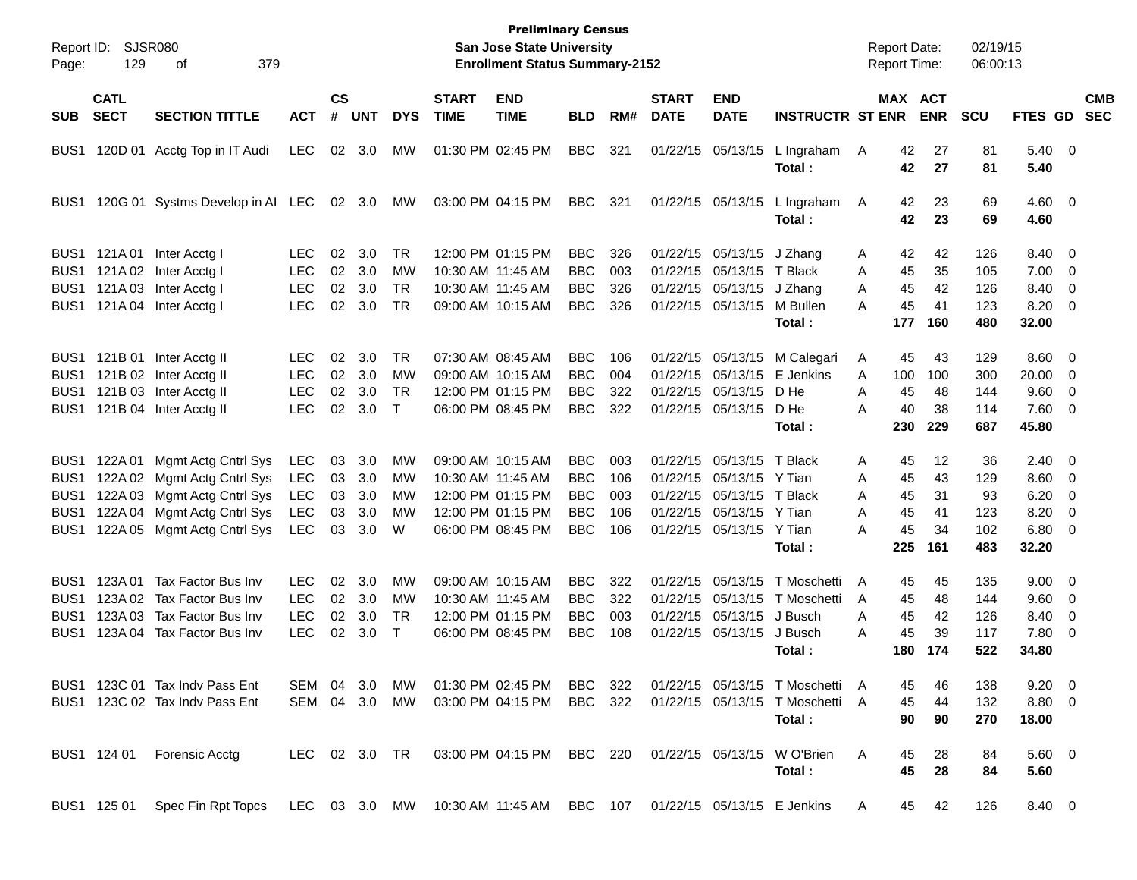| Report ID:<br>Page: | 129                        | <b>SJSR080</b><br>379<br>оf                                            |               |                    |            |            |                             | <b>Preliminary Census</b><br>San Jose State University<br><b>Enrollment Status Summary-2152</b> |            |     |                             |                           |                                 | <b>Report Date:</b><br>Report Time: |           |                              | 02/19/15<br>06:00:13 |                    |                          |                          |
|---------------------|----------------------------|------------------------------------------------------------------------|---------------|--------------------|------------|------------|-----------------------------|-------------------------------------------------------------------------------------------------|------------|-----|-----------------------------|---------------------------|---------------------------------|-------------------------------------|-----------|------------------------------|----------------------|--------------------|--------------------------|--------------------------|
| SUB.                | <b>CATL</b><br><b>SECT</b> | <b>SECTION TITTLE</b>                                                  | <b>ACT</b>    | $\mathsf{cs}$<br># | <b>UNT</b> | <b>DYS</b> | <b>START</b><br><b>TIME</b> | <b>END</b><br><b>TIME</b>                                                                       | <b>BLD</b> | RM# | <b>START</b><br><b>DATE</b> | <b>END</b><br><b>DATE</b> | <b>INSTRUCTR ST ENR</b>         |                                     |           | <b>MAX ACT</b><br><b>ENR</b> | <b>SCU</b>           | FTES GD            |                          | <b>CMB</b><br><b>SEC</b> |
| BUS <sub>1</sub>    |                            | 120D 01 Acctg Top in IT Audi                                           | <b>LEC</b>    | 02                 | 3.0        | MW         |                             | 01:30 PM 02:45 PM                                                                               | <b>BBC</b> | 321 |                             | 01/22/15 05/13/15         | L Ingraham<br>Total:            | A                                   | 42<br>42  | 27<br>27                     | 81<br>81             | $5.40 \ 0$<br>5.40 |                          |                          |
| BUS <sub>1</sub>    |                            | 120G 01 Systms Develop in AI LEC                                       |               |                    | 02 3.0     | МW         |                             | 03:00 PM 04:15 PM                                                                               | <b>BBC</b> | 321 |                             | 01/22/15 05/13/15         | L Ingraham<br>Total:            | A                                   | 42<br>42  | 23<br>23                     | 69<br>69             | $4.60 \ 0$<br>4.60 |                          |                          |
| BUS1                |                            | 121A 01 Inter Acctg I                                                  | <b>LEC</b>    | 02                 | 3.0        | <b>TR</b>  |                             | 12:00 PM 01:15 PM                                                                               | <b>BBC</b> | 326 |                             | 01/22/15 05/13/15         | J Zhang                         | A                                   | 42        | 42                           | 126                  | 8.40 0             |                          |                          |
| BUS1                |                            | 121A 02 Inter Acctg I                                                  | <b>LEC</b>    | 02                 | 3.0        | <b>MW</b>  |                             | 10:30 AM 11:45 AM                                                                               | <b>BBC</b> | 003 | 01/22/15                    | 05/13/15                  | T Black                         | A                                   | 45        | 35                           | 105                  | 7.00               | $\overline{\phantom{0}}$ |                          |
| BUS <sub>1</sub>    |                            | 121A 03 Inter Acctg I                                                  | <b>LEC</b>    | 02                 | 3.0        | <b>TR</b>  |                             | 10:30 AM 11:45 AM                                                                               | <b>BBC</b> | 326 | 01/22/15                    | 05/13/15                  | J Zhang                         | A                                   | 45        | 42                           | 126                  | 8.40               | - 0                      |                          |
| BUS1                |                            | 121A 04 Inter Acctg I                                                  | <b>LEC</b>    | 02                 | 3.0        | <b>TR</b>  |                             | 09:00 AM 10:15 AM                                                                               | <b>BBC</b> | 326 |                             | 01/22/15 05/13/15         | M Bullen<br>Total:              | А                                   | 45<br>177 | 41<br>160                    | 123<br>480           | 8.20<br>32.00      | - 0                      |                          |
|                     |                            | BUS1 121B 01 Inter Acctg II                                            | <b>LEC</b>    | 02                 | 3.0        | <b>TR</b>  |                             | 07:30 AM 08:45 AM                                                                               | <b>BBC</b> | 106 |                             | 01/22/15 05/13/15         | M Calegari                      | A                                   | 45        | 43                           | 129                  | $8.60 \ 0$         |                          |                          |
| BUS1                |                            | 121B 02 Inter Acctg II                                                 | <b>LEC</b>    | 02                 | 3.0        | <b>MW</b>  |                             | 09:00 AM 10:15 AM                                                                               | <b>BBC</b> | 004 | 01/22/15                    | 05/13/15                  | E Jenkins                       | A                                   | 100       | 100                          | 300                  | 20.00              | - 0                      |                          |
| BUS1                |                            | 121B 03 Inter Acctg II                                                 | <b>LEC</b>    | 02                 | 3.0        | <b>TR</b>  |                             | 12:00 PM 01:15 PM                                                                               | <b>BBC</b> | 322 | 01/22/15                    | 05/13/15                  | D He                            | A                                   | 45        | 48                           | 144                  | 9.60               | - 0                      |                          |
| BUS1                |                            | 121B 04 Inter Acctg II                                                 | <b>LEC</b>    | 02                 | 3.0        | $\top$     |                             | 06:00 PM 08:45 PM                                                                               | <b>BBC</b> | 322 |                             | 01/22/15 05/13/15         | D He                            | А                                   | 40        | 38                           | 114                  | 7.60 0             |                          |                          |
|                     |                            |                                                                        |               |                    |            |            |                             |                                                                                                 |            |     |                             |                           | Total :                         |                                     | 230       | 229                          | 687                  | 45.80              |                          |                          |
| BUS1                | 122A 01                    | Mgmt Actg Cntrl Sys                                                    | LEC           | 03                 | 3.0        | MW         |                             | 09:00 AM 10:15 AM                                                                               | <b>BBC</b> | 003 | 01/22/15                    | 05/13/15                  | T Black                         | A                                   | 45        | 12                           | 36                   | $2.40 \ 0$         |                          |                          |
| BUS <sub>1</sub>    | 122A 02                    | Mgmt Actg Cntrl Sys                                                    | LEC           | 03                 | 3.0        | <b>MW</b>  |                             | 10:30 AM 11:45 AM                                                                               | <b>BBC</b> | 106 | 01/22/15                    | 05/13/15                  | Y Tian                          | A                                   | 45        | 43                           | 129                  | $8.60 \quad 0$     |                          |                          |
| BUS <sub>1</sub>    | 122A 03                    | Mgmt Actg Cntrl Sys                                                    | LEC           | 03                 | 3.0        | MW         |                             | 12:00 PM 01:15 PM                                                                               | <b>BBC</b> | 003 | 01/22/15                    | 05/13/15                  | T Black                         | A                                   | 45        | 31                           | 93                   | 6.20               | - 0                      |                          |
| BUS <sub>1</sub>    | 122A 04                    | Mgmt Actg Cntrl Sys                                                    | LEC           | 03                 | 3.0        | <b>MW</b>  |                             | 12:00 PM 01:15 PM                                                                               | <b>BBC</b> | 106 | 01/22/15                    | 05/13/15                  | Y Tian                          | Α                                   | 45        | 41                           | 123                  | 8.20               | -0                       |                          |
| BUS1                |                            | 122A 05 Mgmt Actg Cntrl Sys                                            | <b>LEC</b>    | 03                 | 3.0        | W          |                             | 06:00 PM 08:45 PM                                                                               | <b>BBC</b> | 106 |                             | 01/22/15 05/13/15 Y Tian  |                                 | А                                   | 45        | 34                           | 102                  | 6.80 0             |                          |                          |
|                     |                            |                                                                        |               |                    |            |            |                             |                                                                                                 |            |     |                             |                           | Total:                          |                                     | 225       | 161                          | 483                  | 32.20              |                          |                          |
| BUS1                | 123A 01                    | Tax Factor Bus Inv                                                     | LEC.          | 02                 | 3.0        | МW         |                             | 09:00 AM 10:15 AM                                                                               | <b>BBC</b> | 322 | 01/22/15                    | 05/13/15                  | T Moschetti                     | A                                   | 45        | 45                           | 135                  | $9.00 \t 0$        |                          |                          |
| BUS <sub>1</sub>    | 123A 02                    | Tax Factor Bus Inv                                                     | <b>LEC</b>    | 02                 | 3.0        | <b>MW</b>  |                             | 10:30 AM 11:45 AM                                                                               | <b>BBC</b> | 322 | 01/22/15                    | 05/13/15                  | T Moschetti                     | A                                   | 45        | 48                           | 144                  | 9.60               | $\overline{\mathbf{0}}$  |                          |
| BUS <sub>1</sub>    | 123A 03                    | Tax Factor Bus Inv                                                     | <b>LEC</b>    | 02                 | 3.0        | <b>TR</b>  |                             | 12:00 PM 01:15 PM                                                                               | <b>BBC</b> | 003 | 01/22/15                    | 05/13/15                  | J Busch                         | A                                   | 45        | 42                           | 126                  | 8.40               | 0                        |                          |
| BUS1                | 123A 04                    | Tax Factor Bus Inv                                                     | <b>LEC</b>    | 02                 | 3.0        | $\top$     |                             | 06:00 PM 08:45 PM                                                                               | <b>BBC</b> | 108 |                             | 01/22/15 05/13/15         | J Busch                         | A                                   | 45        | 39                           | 117                  | 7.80               | - 0                      |                          |
|                     |                            |                                                                        |               |                    |            |            |                             |                                                                                                 |            |     |                             |                           | Total :                         |                                     | 180       | 174                          | 522                  | 34.80              |                          |                          |
|                     |                            | BUS1 123C 01 Tax Indv Pass Ent                                         | SEM 04 3.0    |                    |            | МW         |                             | 01:30 PM 02:45 PM                                                                               | BBC 322    |     |                             |                           | 01/22/15 05/13/15 T Moschetti A |                                     | 45        | 46                           | 138                  | $9.20 \ 0$         |                          |                          |
|                     |                            | BUS1 123C 02 Tax Indv Pass Ent                                         | SEM 04 3.0 MW |                    |            |            |                             | 03:00 PM 04:15 PM                                                                               | BBC 322    |     |                             |                           | 01/22/15 05/13/15 T Moschetti A |                                     | 45        | 44                           | 132                  | 8.80 0             |                          |                          |
|                     |                            |                                                                        |               |                    |            |            |                             |                                                                                                 |            |     |                             |                           | Total:                          |                                     | 90        | 90                           | 270                  | 18.00              |                          |                          |
|                     |                            | BUS1 124 01 Forensic Acctg                                             | LEC 02 3.0 TR |                    |            |            |                             | 03:00 PM 04:15 PM BBC 220                                                                       |            |     |                             |                           | 01/22/15 05/13/15 W O'Brien     | A                                   | 45        | 28                           | 84                   | $5.60$ 0           |                          |                          |
|                     |                            |                                                                        |               |                    |            |            |                             |                                                                                                 |            |     |                             |                           | Total:                          |                                     | 45        | 28                           | 84                   | 5.60               |                          |                          |
|                     |                            | BUS1 125 01 Spec Fin Rpt Topcs LEC 03 3.0 MW 10:30 AM 11:45 AM BBC 107 |               |                    |            |            |                             |                                                                                                 |            |     |                             |                           | 01/22/15 05/13/15 E Jenkins     | A                                   | 45        | 42                           | 126                  | 8.40 0             |                          |                          |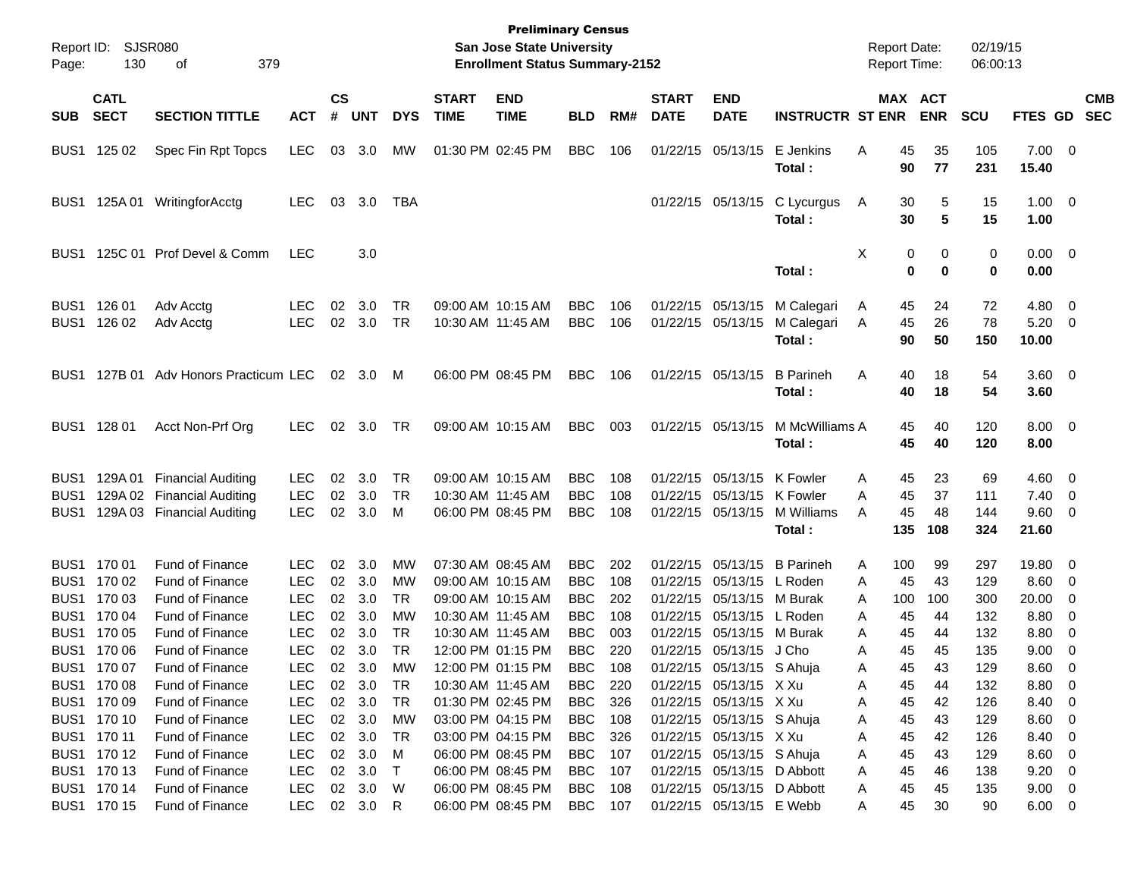| $\mathsf{cs}$<br><b>CATL</b><br><b>END</b><br><b>START</b><br><b>END</b><br><b>MAX ACT</b><br><b>START</b><br><b>SECT</b><br><b>SECTION TITTLE</b><br>#<br><b>UNT</b><br><b>DYS</b><br><b>TIME</b><br><b>TIME</b><br>RM#<br><b>DATE</b><br><b>DATE</b><br><b>INSTRUCTR ST ENR</b><br><b>ENR</b><br><b>SCU</b><br><b>FTES GD</b><br><b>SUB</b><br><b>ACT</b><br><b>BLD</b><br><b>LEC</b><br><b>BBC</b><br>E Jenkins<br>35<br>105<br>$7.00 \t 0$<br>BUS1 125 02<br>Spec Fin Rpt Topcs<br>03<br>3.0<br>MW<br>01:30 PM 02:45 PM<br>106<br>01/22/15 05/13/15<br>Α<br>45<br>77<br>Total:<br>90<br>231<br>15.40                                                                                                                      | <b>CMB</b><br><b>SEC</b><br>$1.00 \t 0$                                             |
|-------------------------------------------------------------------------------------------------------------------------------------------------------------------------------------------------------------------------------------------------------------------------------------------------------------------------------------------------------------------------------------------------------------------------------------------------------------------------------------------------------------------------------------------------------------------------------------------------------------------------------------------------------------------------------------------------------------------------------|-------------------------------------------------------------------------------------|
|                                                                                                                                                                                                                                                                                                                                                                                                                                                                                                                                                                                                                                                                                                                               |                                                                                     |
|                                                                                                                                                                                                                                                                                                                                                                                                                                                                                                                                                                                                                                                                                                                               |                                                                                     |
| 125A 01<br>WritingforAcctg<br><b>LEC</b><br>03<br>3.0<br>TBA<br>01/22/15 05/13/15<br>C Lycurgus<br>30<br>5<br>15<br>BUS1<br>A<br>$5\phantom{1}$<br>30<br>15<br>Total:<br>1.00                                                                                                                                                                                                                                                                                                                                                                                                                                                                                                                                                 |                                                                                     |
| 125C 01 Prof Devel & Comm<br><b>LEC</b><br>3.0<br>X<br>0<br>$0.00 \t 0$<br>0<br>0<br>BUS <sub>1</sub><br>$\mathbf 0$<br>$\bf{0}$<br>0<br>0.00<br>Total:                                                                                                                                                                                                                                                                                                                                                                                                                                                                                                                                                                       |                                                                                     |
| BUS1 126 01<br>09:00 AM 10:15 AM<br>$4.80\ 0$<br><b>LEC</b><br>02<br>3.0<br>TR<br><b>BBC</b><br>106<br>01/22/15 05/13/15<br>M Calegari<br>72<br>Adv Acctg<br>45<br>24<br>A<br><b>TR</b><br><b>LEC</b><br>02<br>3.0<br>10:30 AM 11:45 AM<br><b>BBC</b><br>106<br>01/22/15 05/13/15<br>45<br>26<br>78<br>5.20<br>BUS1<br>126 02<br>Adv Acctg<br>M Calegari<br>A<br>90<br>50<br>150<br>Total:<br>10.00                                                                                                                                                                                                                                                                                                                           | $\overline{\phantom{0}}$                                                            |
| BUS1 127B 01 Adv Honors Practicum LEC<br>06:00 PM 08:45 PM<br><b>BBC</b><br><b>B</b> Parineh<br>3.60 0<br>02 3.0 M<br>106<br>01/22/15 05/13/15<br>A<br>40<br>18<br>54<br>40<br>18<br>54<br>3.60<br>Total:                                                                                                                                                                                                                                                                                                                                                                                                                                                                                                                     |                                                                                     |
| BUS1 128 01<br>TR<br>09:00 AM 10:15 AM<br><b>BBC</b><br>M McWilliams A<br>$8.00 \t 0$<br>Acct Non-Prf Org<br><b>LEC</b><br>02<br>3.0<br>003<br>01/22/15 05/13/15<br>45<br>40<br>120<br>45<br>40<br>120<br>8.00<br>Total:                                                                                                                                                                                                                                                                                                                                                                                                                                                                                                      |                                                                                     |
| <b>TR</b><br>09:00 AM 10:15 AM<br><b>BBC</b><br>129A 01 Financial Auditing<br><b>LEC</b><br>02<br>3.0<br>108<br>01/22/15 05/13/15<br>K Fowler<br>45<br>23<br>69<br>$4.60 \quad 0$<br>BUS <sub>1</sub><br>A<br>129A 02 Financial Auditing<br><b>LEC</b><br>02<br>3.0<br><b>TR</b><br><b>BBC</b><br>108<br>01/22/15 05/13/15<br>K Fowler<br>45<br>37<br>10:30 AM 11:45 AM<br>Α<br>111<br>7.40<br>BUS1<br><b>LEC</b><br>02<br>3.0<br><b>BBC</b><br>108<br>01/22/15 05/13/15<br>45<br>48<br>144<br>9.60 0<br>129A 03 Financial Auditing<br>М<br>06:00 PM 08:45 PM<br>M Williams<br>BUS1<br>A<br>135<br>324<br>21.60<br>Total:<br>108                                                                                              | $\overline{\phantom{0}}$                                                            |
| BUS1 170 01<br><b>Fund of Finance</b><br>19.80 0<br><b>LEC</b><br>02<br>3.0<br>МW<br>07:30 AM 08:45 AM<br>BBC<br>202<br>01/22/15 05/13/15<br><b>B</b> Parineh<br>100<br>99<br>297<br>Α<br>Fund of Finance<br><b>LEC</b><br>02<br>3.0<br><b>BBC</b><br>L Roden<br>8.60<br>BUS1<br>170 02<br>МW<br>09:00 AM 10:15 AM<br>108<br>01/22/15<br>05/13/15<br>45<br>43<br>129<br>Α<br><b>LEC</b><br><b>BBC</b><br>20.00<br>BUS1 170 03<br>Fund of Finance<br>02<br>3.0<br><b>TR</b><br>09:00 AM 10:15 AM<br>202<br>01/22/15 05/13/15<br>M Burak<br>100<br>100<br>300<br>A                                                                                                                                                              | $\overline{\phantom{0}}$<br>0                                                       |
| <b>LEC</b><br>02<br>3.0<br>8.80<br>BUS1 170 04<br>Fund of Finance<br>МW<br>10:30 AM 11:45 AM<br><b>BBC</b><br>108<br>01/22/15 05/13/15<br>L Roden<br>45<br>44<br>132<br>Α<br><b>LEC</b><br><b>TR</b><br><b>BBC</b><br>003<br>BUS1 170 05<br>Fund of Finance<br>02<br>3.0<br>10:30 AM 11:45 AM<br>01/22/15<br>05/13/15<br>M Burak<br>45<br>132<br>8.80<br>А<br>44<br><b>LEC</b><br><b>TR</b><br><b>BBC</b><br>220<br>45<br>135<br>BUS1 170 06<br>Fund of Finance<br>02<br>3.0<br>12:00 PM 01:15 PM<br>01/22/15 05/13/15 J Cho<br>45<br>9.00<br>Α<br>BUS1 170 07<br>Fund of Finance<br><b>LEC</b><br>$02\,$<br>3.0<br>MW<br>12:00 PM 01:15 PM<br><b>BBC</b><br>108<br>01/22/15 05/13/15 S Ahuja<br>43<br>129<br>8.60<br>45<br>A | 0<br>$\overline{\mathbf{0}}$<br>$\overline{\phantom{0}}$<br>$\overline{\mathbf{0}}$ |
| 8.80 0<br>BUS1 170 08<br><b>Fund of Finance</b><br><b>LEC</b><br>$02\,$<br>3.0<br>TR<br>10:30 AM 11:45 AM<br><b>BBC</b><br>01/22/15 05/13/15 X Xu<br>45<br>44<br>132<br>220<br>Α<br>BUS1 170 09<br>3.0<br>01/22/15 05/13/15 X Xu<br>8.40 0<br><b>Fund of Finance</b><br><b>LEC</b><br>02<br>TR<br>01:30 PM 02:45 PM<br><b>BBC</b><br>326<br>45<br>42<br>126<br>Α<br>BUS1 170 10<br>02 3.0<br>01/22/15 05/13/15 S Ahuja<br>$8.60$ 0<br><b>Fund of Finance</b><br><b>LEC</b><br>МW<br>03:00 PM 04:15 PM<br><b>BBC</b><br>45<br>43<br>129<br>108<br>Α<br>BUS1 170 11<br>01/22/15 05/13/15 X Xu<br>Fund of Finance<br><b>LEC</b><br>02<br>3.0<br>TR<br>03:00 PM 04:15 PM<br><b>BBC</b><br>326<br>45<br>42<br>126<br>8.40 0<br>Α   |                                                                                     |
| BUS1 170 12<br>01/22/15 05/13/15 S Ahuja<br>$8.60$ 0<br><b>Fund of Finance</b><br><b>LEC</b><br>02<br>3.0<br>M<br>06:00 PM 08:45 PM<br><b>BBC</b><br>45<br>43<br>129<br>107<br>Α<br>BUS1 170 13<br>3.0<br>01/22/15 05/13/15 D Abbott<br>$9.20 \ 0$<br><b>Fund of Finance</b><br><b>LEC</b><br>02<br>$\top$<br>06:00 PM 08:45 PM<br><b>BBC</b><br>45<br>46<br>138<br>107<br>Α<br>BUS1 170 14<br>3.0<br>01/22/15 05/13/15 D Abbott<br>$9.00 \t 0$<br><b>Fund of Finance</b><br>LEC<br>02<br>- W<br>06:00 PM 08:45 PM<br>BBC<br>45<br>135<br>108<br>45<br>Α<br>BUS1 170 15<br><b>LEC</b><br>01/22/15 05/13/15 E Webb<br>Fund of Finance<br>02 3.0<br>06:00 PM 08:45 PM<br>BBC<br>107<br>45<br>30<br>90<br>$6.00 \t 0$<br>R<br>A  |                                                                                     |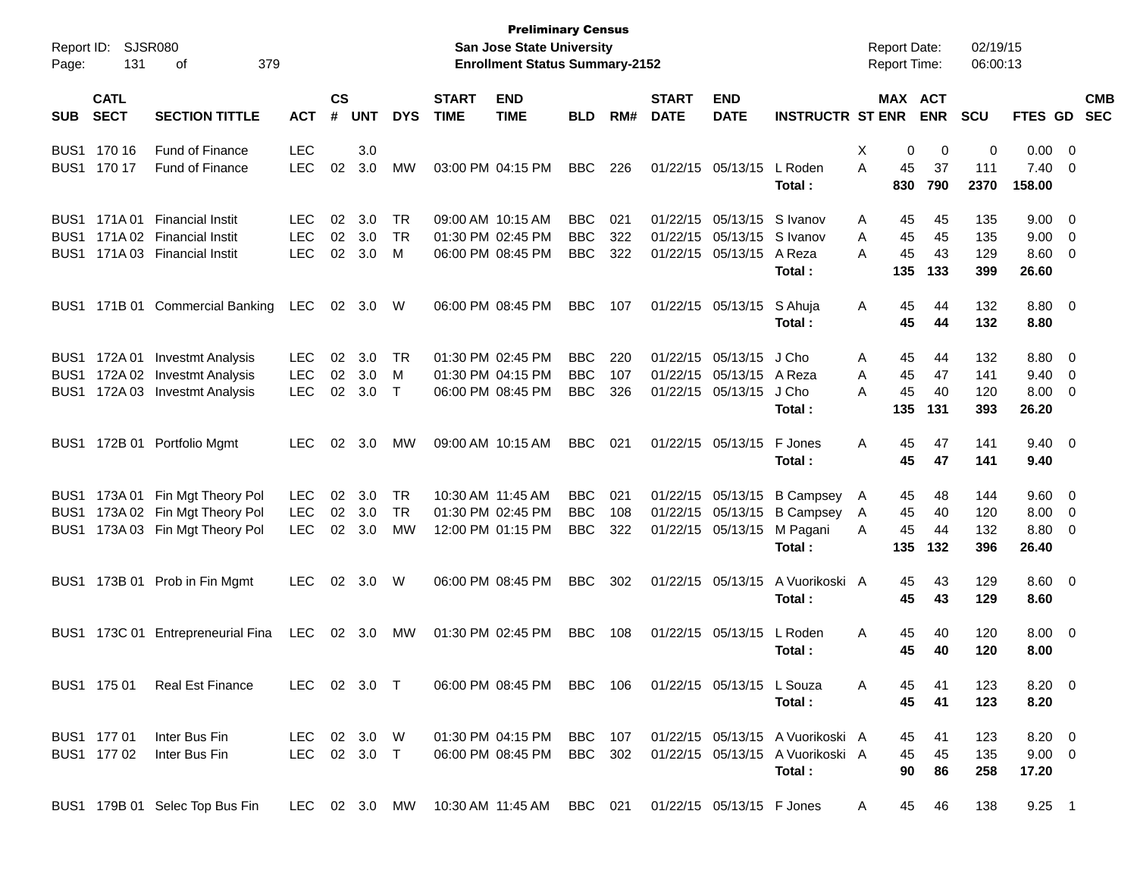| Report ID:<br>Page:                                      | 131                        | <b>SJSR080</b><br>379<br>οf                                                            |                                        |                    |                   |                              |                             | <b>Preliminary Census</b><br>San Jose State University<br><b>Enrollment Status Summary-2152</b> |                                        |                   |                             |                                                             |                                                                                | <b>Report Date:</b><br>Report Time: |                       |                       | 02/19/15<br>06:00:13     |                                         |                                                            |                          |
|----------------------------------------------------------|----------------------------|----------------------------------------------------------------------------------------|----------------------------------------|--------------------|-------------------|------------------------------|-----------------------------|-------------------------------------------------------------------------------------------------|----------------------------------------|-------------------|-----------------------------|-------------------------------------------------------------|--------------------------------------------------------------------------------|-------------------------------------|-----------------------|-----------------------|--------------------------|-----------------------------------------|------------------------------------------------------------|--------------------------|
| <b>SUB</b>                                               | <b>CATL</b><br><b>SECT</b> | <b>SECTION TITTLE</b>                                                                  | <b>ACT</b>                             | $\mathsf{cs}$<br># | <b>UNT</b>        | <b>DYS</b>                   | <b>START</b><br><b>TIME</b> | <b>END</b><br><b>TIME</b>                                                                       | <b>BLD</b>                             | RM#               | <b>START</b><br><b>DATE</b> | <b>END</b><br><b>DATE</b>                                   | <b>INSTRUCTR ST ENR</b>                                                        |                                     |                       | MAX ACT<br><b>ENR</b> | <b>SCU</b>               | <b>FTES GD</b>                          |                                                            | <b>CMB</b><br><b>SEC</b> |
|                                                          | BUS1 170 16<br>BUS1 170 17 | <b>Fund of Finance</b><br><b>Fund of Finance</b>                                       | <b>LEC</b><br><b>LEC</b>               | 02                 | 3.0<br>3.0        | МW                           |                             | 03:00 PM 04:15 PM                                                                               | <b>BBC</b>                             | 226               |                             | 01/22/15 05/13/15                                           | L Roden<br>Total:                                                              | Х<br>A                              | 0<br>45<br>830        | 0<br>37<br>790        | 0<br>111<br>2370         | 0.00<br>7.40<br>158.00                  | $\overline{\phantom{0}}$<br>$\overline{0}$                 |                          |
| BUS <sub>1</sub><br>BUS <sub>1</sub><br>BUS <sub>1</sub> | 171A 01                    | <b>Financial Instit</b><br>171A 02 Financial Instit<br>171A 03 Financial Instit        | <b>LEC</b><br><b>LEC</b><br><b>LEC</b> | 02<br>02<br>02     | 3.0<br>3.0<br>3.0 | TR<br><b>TR</b><br>M         |                             | 09:00 AM 10:15 AM<br>01:30 PM 02:45 PM<br>06:00 PM 08:45 PM                                     | <b>BBC</b><br><b>BBC</b><br><b>BBC</b> | 021<br>322<br>322 |                             | 01/22/15 05/13/15<br>01/22/15 05/13/15<br>01/22/15 05/13/15 | S Ivanov<br>S Ivanov<br>A Reza<br>Total:                                       | A<br>A<br>A                         | 45<br>45<br>45<br>135 | 45<br>45<br>43<br>133 | 135<br>135<br>129<br>399 | 9.00<br>9.00<br>8.60<br>26.60           | $\overline{\phantom{0}}$<br>- 0<br>- 0                     |                          |
| BUS1                                                     |                            | 171B 01 Commercial Banking                                                             | <b>LEC</b>                             | 02                 | 3.0               | W                            |                             | 06:00 PM 08:45 PM                                                                               | <b>BBC</b>                             | 107               |                             | 01/22/15 05/13/15                                           | S Ahuja<br>Total:                                                              | Α                                   | 45<br>45              | 44<br>44              | 132<br>132               | 8.80 0<br>8.80                          |                                                            |                          |
| BUS1<br>BUS <sub>1</sub><br>BUS1                         | 172A 01<br>172A 02         | <b>Investmt Analysis</b><br><b>Investmt Analysis</b><br>172A 03 Investmt Analysis      | <b>LEC</b><br><b>LEC</b><br><b>LEC</b> | 02<br>02<br>02     | 3.0<br>3.0<br>3.0 | TR<br>M<br>$\top$            |                             | 01:30 PM 02:45 PM<br>01:30 PM 04:15 PM<br>06:00 PM 08:45 PM                                     | <b>BBC</b><br><b>BBC</b><br><b>BBC</b> | 220<br>107<br>326 |                             | 01/22/15 05/13/15<br>01/22/15 05/13/15<br>01/22/15 05/13/15 | J Cho<br>A Reza<br>J Cho<br>Total:                                             | A<br>A<br>A                         | 45<br>45<br>45<br>135 | 44<br>47<br>40<br>131 | 132<br>141<br>120<br>393 | 8.80<br>9.40<br>8.00<br>26.20           | $\overline{\phantom{0}}$<br>- 0<br>$\overline{\mathbf{0}}$ |                          |
| BUS1                                                     |                            | 172B 01 Portfolio Mgmt                                                                 | <b>LEC</b>                             | 02                 | 3.0               | МW                           |                             | 09:00 AM 10:15 AM                                                                               | <b>BBC</b>                             | 021               |                             | 01/22/15 05/13/15                                           | F Jones<br>Total:                                                              | A                                   | 45<br>45              | 47<br>47              | 141<br>141               | $9.40 \quad 0$<br>9.40                  |                                                            |                          |
| BUS <sub>1</sub><br>BUS <sub>1</sub><br>BUS1             |                            | 173A 01 Fin Mgt Theory Pol<br>173A 02 Fin Mgt Theory Pol<br>173A 03 Fin Mgt Theory Pol | <b>LEC</b><br><b>LEC</b><br><b>LEC</b> | 02<br>02<br>02     | 3.0<br>3.0<br>3.0 | <b>TR</b><br><b>TR</b><br>MW |                             | 10:30 AM 11:45 AM<br>01:30 PM 02:45 PM<br>12:00 PM 01:15 PM                                     | <b>BBC</b><br><b>BBC</b><br><b>BBC</b> | 021<br>108<br>322 |                             | 01/22/15 05/13/15<br>01/22/15 05/13/15                      | 01/22/15 05/13/15 B Campsey<br><b>B</b> Campsey<br>M Pagani<br>Total:          | A<br>A<br>A                         | 45<br>45<br>45<br>135 | 48<br>40<br>44<br>132 | 144<br>120<br>132<br>396 | $9.60 \quad 0$<br>8.00<br>8.80<br>26.40 | - 0<br>- 0                                                 |                          |
| BUS1                                                     |                            | 173B 01 Prob in Fin Mgmt                                                               | LEC.                                   | 02                 | 3.0               | W                            |                             | 06:00 PM 08:45 PM                                                                               | <b>BBC</b>                             | 302               |                             | 01/22/15 05/13/15                                           | A Vuorikoski A<br>Total:                                                       |                                     | 45<br>45              | 43<br>43              | 129<br>129               | $8.60 \quad 0$<br>8.60                  |                                                            |                          |
| BUS1                                                     |                            | 173C 01 Entrepreneurial Fina                                                           | LEC                                    |                    | 02 3.0            | МW                           |                             | 01:30 PM 02:45 PM                                                                               | <b>BBC</b>                             | 108               |                             | 01/22/15 05/13/15                                           | L Roden<br>Total :                                                             | A                                   | 45<br>45              | 40<br>40              | 120<br>120               | $8.00 \t 0$<br>8.00                     |                                                            |                          |
|                                                          |                            | BUS1 175 01 Real Est Finance                                                           | LEC 02 3.0 T                           |                    |                   |                              |                             | 06:00 PM 08:45 PM BBC 106                                                                       |                                        |                   |                             | 01/22/15 05/13/15 L Souza                                   | Total:                                                                         | A                                   | 45<br>45              | 41<br>41              | 123<br>123               | $8.20 \ 0$<br>8.20                      |                                                            |                          |
|                                                          | BUS1 177 01<br>BUS1 177 02 | Inter Bus Fin<br>Inter Bus Fin                                                         | LEC 02 3.0 W<br>LEC 02 3.0 T           |                    |                   |                              |                             | 01:30 PM 04:15 PM BBC 107<br>06:00 PM 08:45 PM                                                  | BBC 302                                |                   |                             |                                                             | 01/22/15 05/13/15 A Vuorikoski A<br>01/22/15 05/13/15 A Vuorikoski A<br>Total: |                                     | 45<br>45<br>90        | 41<br>45<br>86        | 123<br>135<br>258        | $8.20 \ 0$<br>$9.00 \t 0$<br>17.20      |                                                            |                          |
|                                                          |                            | BUS1 179B 01 Selec Top Bus Fin                                                         |                                        |                    |                   |                              |                             | LEC 02 3.0 MW 10:30 AM 11:45 AM BBC 021 01/22/15 05/13/15 F Jones                               |                                        |                   |                             |                                                             |                                                                                | A                                   | 45                    | 46                    | 138                      | $9.25$ 1                                |                                                            |                          |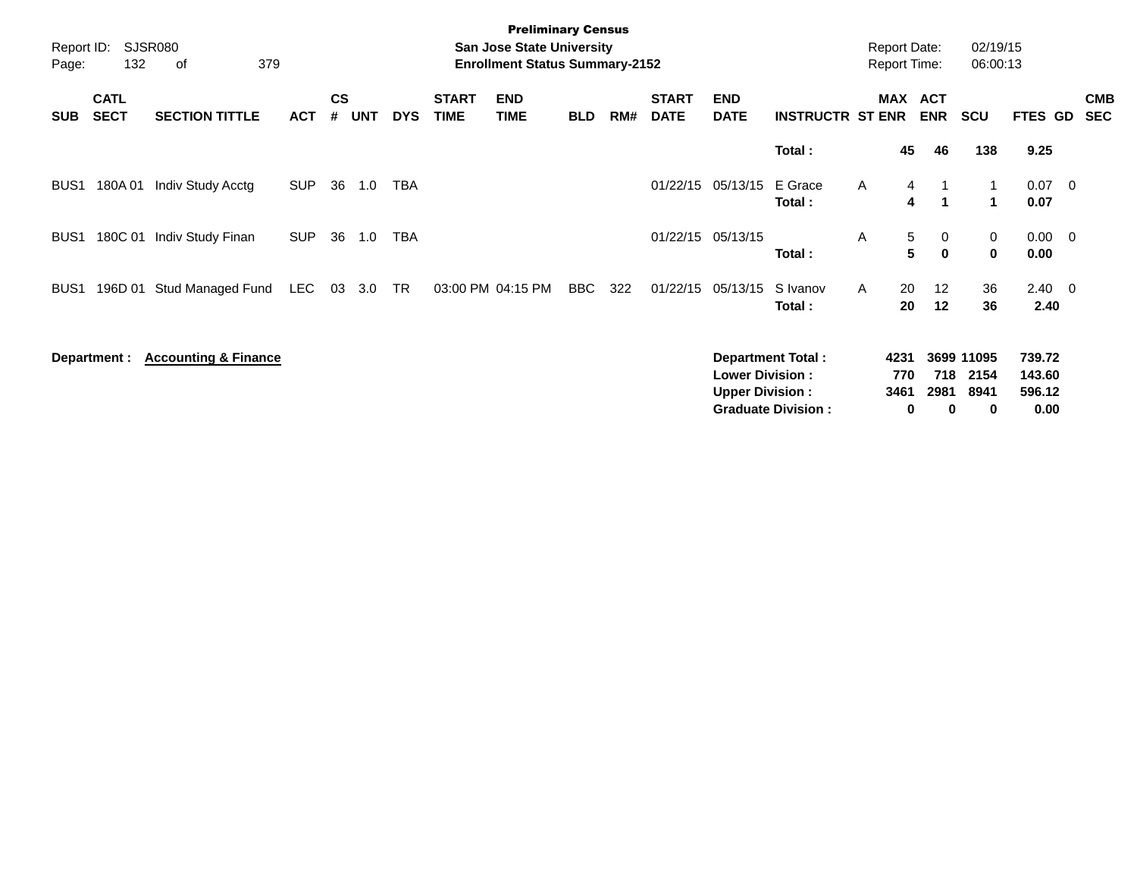| Report ID:<br>Page: | 132                        | SJSR080<br>379<br>οf            |            |                    |            |            |                             | <b>Preliminary Census</b><br><b>San Jose State University</b><br><b>Enrollment Status Summary-2152</b> |            |     |                             |                                                  |                                                       |              | <b>Report Date:</b><br><b>Report Time:</b> |                                        | 02/19/15<br>06:00:13            |                                    |                          |
|---------------------|----------------------------|---------------------------------|------------|--------------------|------------|------------|-----------------------------|--------------------------------------------------------------------------------------------------------|------------|-----|-----------------------------|--------------------------------------------------|-------------------------------------------------------|--------------|--------------------------------------------|----------------------------------------|---------------------------------|------------------------------------|--------------------------|
| <b>SUB</b>          | <b>CATL</b><br><b>SECT</b> | <b>SECTION TITTLE</b>           | <b>ACT</b> | $\mathsf{cs}$<br># | <b>UNT</b> | <b>DYS</b> | <b>START</b><br><b>TIME</b> | <b>END</b><br><b>TIME</b>                                                                              | <b>BLD</b> | RM# | <b>START</b><br><b>DATE</b> | <b>END</b><br><b>DATE</b>                        | <b>INSTRUCTR ST ENR</b>                               |              | MAX ACT                                    | <b>ENR</b>                             | <b>SCU</b>                      | FTES GD                            | <b>CMB</b><br><b>SEC</b> |
|                     |                            |                                 |            |                    |            |            |                             |                                                                                                        |            |     |                             |                                                  | Total:                                                |              | 45                                         | 46                                     | 138                             | 9.25                               |                          |
| BUS1                | 180A 01                    | Indiv Study Acctg               | <b>SUP</b> | 36                 | 1.0        | <b>TBA</b> |                             |                                                                                                        |            |     | 01/22/15                    | 05/13/15                                         | E Grace<br>Total:                                     | $\mathsf{A}$ | $\overline{4}$<br>4                        | $\overline{1}$<br>$\blacktriangleleft$ | $\mathbf{1}$<br>1               | $0.07$ 0<br>0.07                   |                          |
| BUS <sub>1</sub>    | 180C 01                    | Indiv Study Finan               | <b>SUP</b> | 36                 | 1.0        | <b>TBA</b> |                             |                                                                                                        |            |     |                             | 01/22/15 05/13/15                                | Total:                                                | A            | 5<br>5                                     | 0<br>$\mathbf{0}$                      | 0<br>$\mathbf 0$                | $0.00 \t 0$<br>0.00                |                          |
| BUS <sub>1</sub>    | 196D 01                    | Stud Managed Fund               | LEC        | 03                 | 3.0        | TR         |                             | 03:00 PM 04:15 PM                                                                                      | <b>BBC</b> | 322 | 01/22/15                    | 05/13/15                                         | S Ivanov<br>Total:                                    | A            | 20<br>20                                   | 12<br>12                               | 36<br>36                        | $2.40 \quad 0$<br>2.40             |                          |
|                     | Department :               | <b>Accounting &amp; Finance</b> |            |                    |            |            |                             |                                                                                                        |            |     |                             | <b>Lower Division:</b><br><b>Upper Division:</b> | <b>Department Total:</b><br><b>Graduate Division:</b> |              | 4231<br>770<br>3461<br>0                   | 718<br>2981<br>$\bf{0}$                | 3699 11095<br>2154<br>8941<br>0 | 739.72<br>143.60<br>596.12<br>0.00 |                          |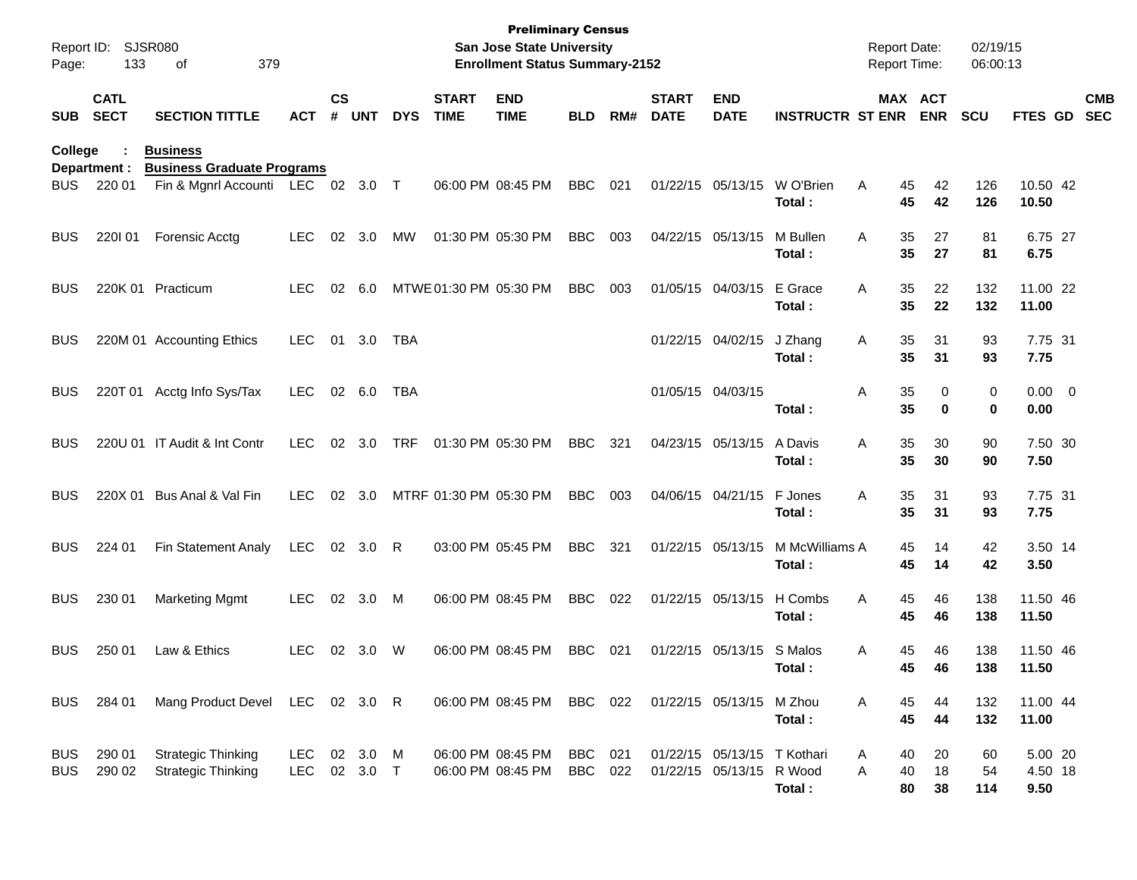| Report ID:<br>Page:      | 133                        | <b>SJSR080</b><br>379<br>οf                            |                    |                    |                  |             |                             | <b>Preliminary Census</b><br>San Jose State University<br><b>Enrollment Status Summary-2152</b> |                |     |                             |                                                         |                          | <b>Report Date:</b><br><b>Report Time:</b> |                       | 02/19/15<br>06:00:13 |                            |                          |
|--------------------------|----------------------------|--------------------------------------------------------|--------------------|--------------------|------------------|-------------|-----------------------------|-------------------------------------------------------------------------------------------------|----------------|-----|-----------------------------|---------------------------------------------------------|--------------------------|--------------------------------------------|-----------------------|----------------------|----------------------------|--------------------------|
| <b>SUB</b>               | <b>CATL</b><br><b>SECT</b> | <b>SECTION TITTLE</b>                                  | <b>ACT</b>         | $\mathsf{cs}$<br># | <b>UNT</b>       | <b>DYS</b>  | <b>START</b><br><b>TIME</b> | <b>END</b><br><b>TIME</b>                                                                       | <b>BLD</b>     | RM# | <b>START</b><br><b>DATE</b> | <b>END</b><br><b>DATE</b>                               | <b>INSTRUCTR ST ENR</b>  |                                            | MAX ACT<br><b>ENR</b> | <b>SCU</b>           | <b>FTES GD</b>             | <b>CMB</b><br><b>SEC</b> |
| College                  | Department :               | <b>Business</b><br><b>Business Graduate Programs</b>   |                    |                    |                  |             |                             |                                                                                                 |                |     |                             |                                                         |                          |                                            |                       |                      |                            |                          |
| <b>BUS</b>               | 220 01                     | Fin & Mgnrl Accounti LEC 02 3.0 T                      |                    |                    |                  |             |                             | 06:00 PM 08:45 PM                                                                               | <b>BBC</b>     | 021 |                             | 01/22/15 05/13/15                                       | W O'Brien<br>Total:      | Α<br>45<br>45                              | 42<br>42              | 126<br>126           | 10.50 42<br>10.50          |                          |
| <b>BUS</b>               | 220101                     | Forensic Acctg                                         | <b>LEC</b>         | 02                 | 3.0              | MW          |                             | 01:30 PM 05:30 PM                                                                               | <b>BBC</b>     | 003 |                             | 04/22/15 05/13/15                                       | M Bullen<br>Total:       | Α<br>35<br>35                              | 27<br>27              | 81<br>81             | 6.75 27<br>6.75            |                          |
| <b>BUS</b>               |                            | 220K 01 Practicum                                      | <b>LEC</b>         | 02                 | 6.0              |             | MTWE 01:30 PM 05:30 PM      |                                                                                                 | <b>BBC</b>     | 003 |                             | 01/05/15 04/03/15                                       | E Grace<br>Total:        | Α<br>35<br>35                              | 22<br>22              | 132<br>132           | 11.00 22<br>11.00          |                          |
| <b>BUS</b>               |                            | 220M 01 Accounting Ethics                              | <b>LEC</b>         | 01                 | 3.0              | TBA         |                             |                                                                                                 |                |     |                             | 01/22/15 04/02/15                                       | J Zhang<br>Total:        | 35<br>A<br>35                              | 31<br>31              | 93<br>93             | 7.75 31<br>7.75            |                          |
| <b>BUS</b>               |                            | 220T 01 Acctg Info Sys/Tax                             | <b>LEC</b>         | 02                 | 6.0              | TBA         |                             |                                                                                                 |                |     | 01/05/15 04/03/15           |                                                         | Total:                   | 35<br>A<br>35                              | 0<br>0                | 0<br>0               | $0.00 \t 0$<br>0.00        |                          |
| <b>BUS</b>               |                            | 220U 01 IT Audit & Int Contr                           | <b>LEC</b>         | 02                 | 3.0              | <b>TRF</b>  |                             | 01:30 PM 05:30 PM                                                                               | <b>BBC</b>     | 321 |                             | 04/23/15 05/13/15                                       | A Davis<br>Total:        | Α<br>35<br>35                              | 30<br>30              | 90<br>90             | 7.50 30<br>7.50            |                          |
| <b>BUS</b>               |                            | 220X 01 Bus Anal & Val Fin                             | <b>LEC</b>         | 02                 | 3.0              |             | MTRF 01:30 PM 05:30 PM      |                                                                                                 | <b>BBC</b>     | 003 |                             | 04/06/15 04/21/15                                       | F Jones<br>Total:        | Α<br>35<br>35                              | 31<br>31              | 93<br>93             | 7.75 31<br>7.75            |                          |
| <b>BUS</b>               | 224 01                     | Fin Statement Analy                                    | <b>LEC</b>         |                    | 02 3.0           | R           |                             | 03:00 PM 05:45 PM                                                                               | <b>BBC</b>     | 321 |                             | 01/22/15 05/13/15                                       | M McWilliams A<br>Total: | 45<br>45                                   | 14<br>14              | 42<br>42             | 3.50 14<br>3.50            |                          |
| <b>BUS</b>               | 230 01                     | <b>Marketing Mgmt</b>                                  | <b>LEC</b>         | 02                 | 3.0              | M           |                             | 06:00 PM 08:45 PM                                                                               | <b>BBC</b>     | 022 |                             | 01/22/15 05/13/15                                       | H Combs<br>Total:        | Α<br>45<br>45                              | 46<br>46              | 138<br>138           | 11.50 46<br>11.50          |                          |
| <b>BUS</b>               | 250 01                     | Law & Ethics                                           | <b>LEC</b>         | 02                 | 3.0              | W           |                             | 06:00 PM 08:45 PM                                                                               | <b>BBC</b>     | 021 |                             | 01/22/15 05/13/15                                       | S Malos<br>Total :       | Α<br>45                                    | 46<br>45<br>46        | 138<br>138           | 11.50 46<br>11.50          |                          |
| <b>BUS</b>               | 284 01                     | Mang Product Devel LEC 02 3.0 R                        |                    |                    |                  |             |                             | 06:00 PM 08:45 PM                                                                               | BBC 022        |     |                             | 01/22/15 05/13/15 M Zhou                                | Total:                   | A<br>45<br>45                              | 44<br>44              | 132<br>132           | 11.00 44<br>11.00          |                          |
| <b>BUS</b><br><b>BUS</b> | 290 01<br>290 02           | <b>Strategic Thinking</b><br><b>Strategic Thinking</b> | LEC.<br><b>LEC</b> |                    | 02 3.0<br>02 3.0 | M<br>$\top$ |                             | 06:00 PM 08:45 PM<br>06:00 PM 08:45 PM                                                          | BBC 021<br>BBC | 022 |                             | 01/22/15 05/13/15 T Kothari<br>01/22/15 05/13/15 R Wood | Total:                   | 40<br>A<br>Α<br>40<br>80                   | 20<br>18<br>38        | 60<br>54<br>114      | 5.00 20<br>4.50 18<br>9.50 |                          |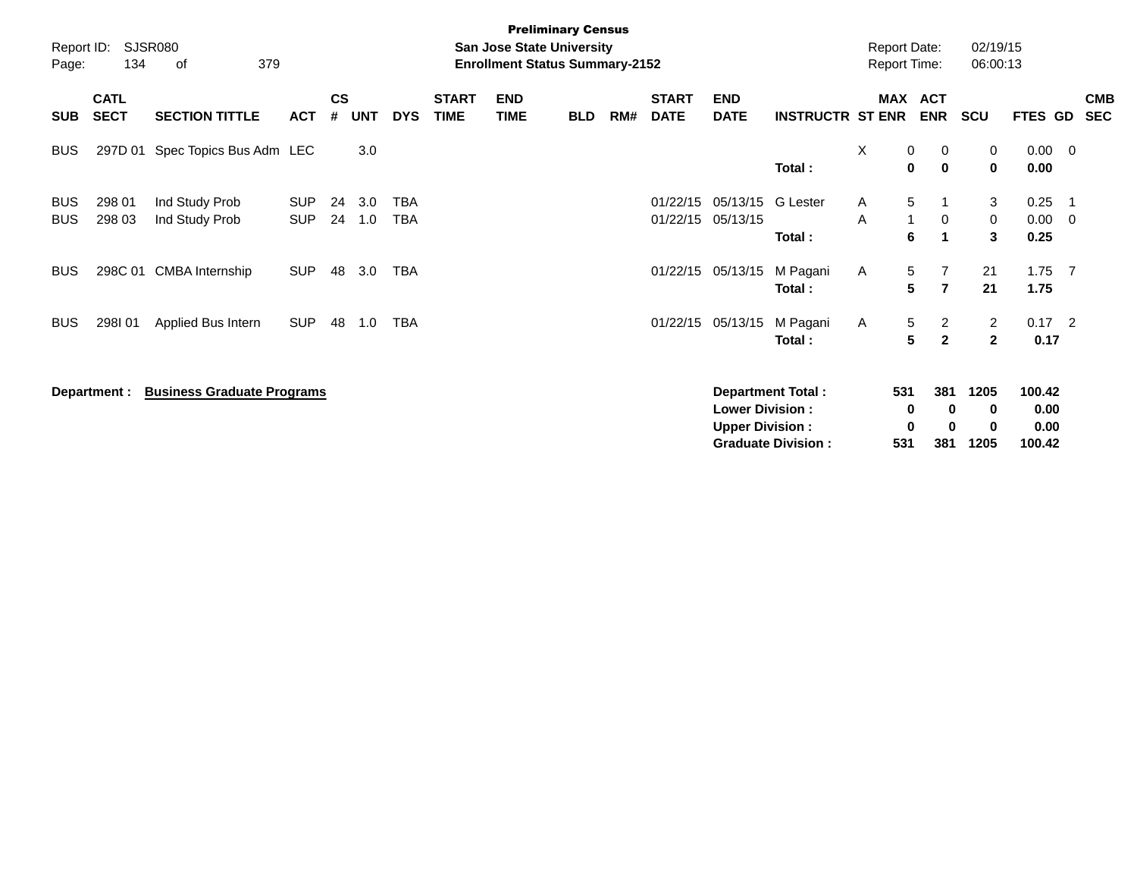| Report ID:<br>Page:      | 134                        | <b>SJSR080</b><br>379<br>οf       |                          |                    |            |                   |                             | <b>Preliminary Census</b><br><b>San Jose State University</b><br><b>Enrollment Status Summary-2152</b> |            |     |                             |                                                   |                           | <b>Report Date:</b><br><b>Report Time:</b> |                        |                                  | 02/19/15<br>06:00:13 |                        |                |                          |
|--------------------------|----------------------------|-----------------------------------|--------------------------|--------------------|------------|-------------------|-----------------------------|--------------------------------------------------------------------------------------------------------|------------|-----|-----------------------------|---------------------------------------------------|---------------------------|--------------------------------------------|------------------------|----------------------------------|----------------------|------------------------|----------------|--------------------------|
| <b>SUB</b>               | <b>CATL</b><br><b>SECT</b> | <b>SECTION TITTLE</b>             | <b>ACT</b>               | $\mathsf{cs}$<br># | <b>UNT</b> | <b>DYS</b>        | <b>START</b><br><b>TIME</b> | <b>END</b><br><b>TIME</b>                                                                              | <b>BLD</b> | RM# | <b>START</b><br><b>DATE</b> | <b>END</b><br><b>DATE</b>                         | <b>INSTRUCTR ST ENR</b>   | <b>MAX</b>                                 |                        | <b>ACT</b><br><b>ENR</b>         | <b>SCU</b>           | FTES GD                |                | <b>CMB</b><br><b>SEC</b> |
| <b>BUS</b>               | 297D 01                    | Spec Topics Bus Adm LEC           |                          |                    | 3.0        |                   |                             |                                                                                                        |            |     |                             |                                                   | Total:                    | X                                          | 0<br>0                 | 0<br>$\mathbf 0$                 | 0<br>$\mathbf{0}$    | $0.00 \t 0$<br>0.00    |                |                          |
| <b>BUS</b><br><b>BUS</b> | 298 01<br>298 03           | Ind Study Prob<br>Ind Study Prob  | <b>SUP</b><br><b>SUP</b> | 24<br>24           | 3.0<br>1.0 | TBA<br><b>TBA</b> |                             |                                                                                                        |            |     | 01/22/15<br>01/22/15        | 05/13/15<br>05/13/15                              | <b>G</b> Lester<br>Total: | A<br>A                                     | 5<br>$\mathbf{1}$<br>6 | 0<br>$\mathbf 1$                 | 3<br>0<br>3          | 0.25<br>0.00<br>0.25   | - 1<br>- 0     |                          |
| <b>BUS</b>               | 298C 01                    | <b>CMBA</b> Internship            | <b>SUP</b>               | 48                 | 3.0        | <b>TBA</b>        |                             |                                                                                                        |            |     | 01/22/15                    | 05/13/15                                          | M Pagani<br>Total:        | A                                          | 5<br>5                 | $\overline{7}$<br>$\overline{7}$ | 21<br>21             | 1.75<br>1.75           | $\overline{7}$ |                          |
| <b>BUS</b>               | 298I01                     | Applied Bus Intern                | <b>SUP</b>               | 48                 | 1.0        | TBA               |                             |                                                                                                        |            |     | 01/22/15                    | 05/13/15                                          | M Pagani<br>Total:        | A                                          | 5<br>5                 | $\overline{c}$<br>$\overline{2}$ | 2<br>$\mathbf{2}$    | $0.17$ 2<br>0.17       |                |                          |
|                          | Department :               | <b>Business Graduate Programs</b> |                          |                    |            |                   |                             |                                                                                                        |            |     |                             | <b>Lower Division :</b><br><b>Upper Division:</b> | <b>Department Total:</b>  |                                            | 531<br>0<br>0          | 381<br>$\bf{0}$<br>0             | 1205<br>0<br>0       | 100.42<br>0.00<br>0.00 |                |                          |

**Graduate Division : 531 381 1205 100.42**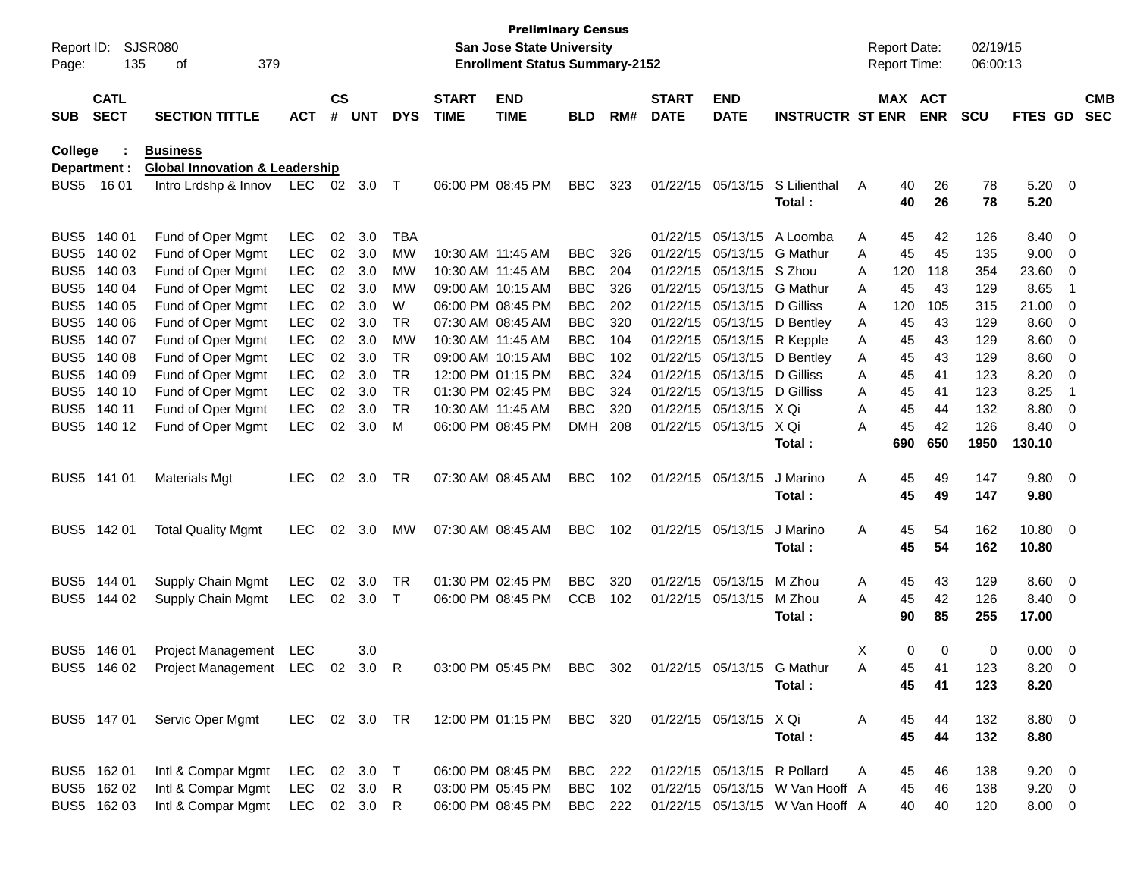| Report ID:<br>Page: | 135                        | SJSR080<br>379<br>οf                      |               |                    |            |            |                             | <b>Preliminary Census</b><br><b>San Jose State University</b><br><b>Enrollment Status Summary-2152</b> |                |     |                             |                             |                                 |   | <b>Report Date:</b><br>Report Time: |            | 02/19/15<br>06:00:13 |                |                          |                          |
|---------------------|----------------------------|-------------------------------------------|---------------|--------------------|------------|------------|-----------------------------|--------------------------------------------------------------------------------------------------------|----------------|-----|-----------------------------|-----------------------------|---------------------------------|---|-------------------------------------|------------|----------------------|----------------|--------------------------|--------------------------|
| <b>SUB</b>          | <b>CATL</b><br><b>SECT</b> | <b>SECTION TITTLE</b>                     | <b>ACT</b>    | $\mathsf{cs}$<br># | <b>UNT</b> | <b>DYS</b> | <b>START</b><br><b>TIME</b> | <b>END</b><br><b>TIME</b>                                                                              | <b>BLD</b>     | RM# | <b>START</b><br><b>DATE</b> | <b>END</b><br><b>DATE</b>   | <b>INSTRUCTR ST ENR</b>         |   | MAX ACT                             | <b>ENR</b> | <b>SCU</b>           | FTES GD        |                          | <b>CMB</b><br><b>SEC</b> |
| College             |                            | <b>Business</b>                           |               |                    |            |            |                             |                                                                                                        |                |     |                             |                             |                                 |   |                                     |            |                      |                |                          |                          |
|                     | Department :               | <b>Global Innovation &amp; Leadership</b> |               |                    |            |            |                             |                                                                                                        |                |     |                             |                             |                                 |   |                                     |            |                      |                |                          |                          |
| BUS5                | 16 01                      | Intro Lrdshp & Innov                      | LEC           | 02                 | 3.0        | Т          |                             | 06:00 PM 08:45 PM                                                                                      | <b>BBC</b>     | 323 |                             | 01/22/15 05/13/15           | S Lilienthal<br>Total:          | A | 40<br>40                            | 26<br>26   | 78<br>78             | 5.20<br>5.20   | $\overline{\phantom{0}}$ |                          |
| BUS <sub>5</sub>    | 140 01                     | Fund of Oper Mgmt                         | LEC           | 02                 | 3.0        | <b>TBA</b> |                             |                                                                                                        |                |     |                             | 01/22/15 05/13/15           | A Loomba                        | Α | 45                                  | 42         | 126                  | 8.40           | 0                        |                          |
| BUS <sub>5</sub>    | 140 02                     | Fund of Oper Mgmt                         | <b>LEC</b>    | 02                 | 3.0        | MW         |                             | 10:30 AM 11:45 AM                                                                                      | <b>BBC</b>     | 326 |                             | 01/22/15 05/13/15           | G Mathur                        | Α | 45                                  | 45         | 135                  | 9.00           | 0                        |                          |
| BUS <sub>5</sub>    | 140 03                     | Fund of Oper Mgmt                         | <b>LEC</b>    | 02                 | 3.0        | MW         |                             | 10:30 AM 11:45 AM                                                                                      | <b>BBC</b>     | 204 |                             | 01/22/15 05/13/15           | S Zhou                          | Α | 120                                 | 118        | 354                  | 23.60          | 0                        |                          |
| BUS <sub>5</sub>    | 140 04                     | Fund of Oper Mgmt                         | <b>LEC</b>    | 02                 | 3.0        | МW         |                             | 09:00 AM 10:15 AM                                                                                      | <b>BBC</b>     | 326 |                             | 01/22/15 05/13/15           | G Mathur                        | A | 45                                  | 43         | 129                  | 8.65           | -1                       |                          |
| BUS <sub>5</sub>    | 140 05                     | Fund of Oper Mgmt                         | <b>LEC</b>    | 02                 | 3.0        | W          |                             | 06:00 PM 08:45 PM                                                                                      | <b>BBC</b>     | 202 |                             | 01/22/15 05/13/15           | D Gilliss                       | Α | 120                                 | 105        | 315                  | 21.00          | 0                        |                          |
| BUS <sub>5</sub>    | 140 06                     | Fund of Oper Mgmt                         | <b>LEC</b>    | 02                 | 3.0        | TR         |                             | 07:30 AM 08:45 AM                                                                                      | <b>BBC</b>     | 320 |                             | 01/22/15 05/13/15           | D Bentley                       | A | 45                                  | 43         | 129                  | 8.60           | 0                        |                          |
| BUS <sub>5</sub>    | 140 07                     | Fund of Oper Mgmt                         | <b>LEC</b>    | 02                 | 3.0        | <b>MW</b>  |                             | 10:30 AM 11:45 AM                                                                                      | <b>BBC</b>     | 104 |                             | 01/22/15 05/13/15           | R Kepple                        | A | 45                                  | 43         | 129                  | 8.60           | 0                        |                          |
| BUS <sub>5</sub>    | 140 08                     | Fund of Oper Mgmt                         | <b>LEC</b>    | 02                 | 3.0        | TR         |                             | 09:00 AM 10:15 AM                                                                                      | <b>BBC</b>     | 102 |                             | 01/22/15 05/13/15           | D Bentley                       | Α | 45                                  | 43         | 129                  | 8.60           | 0                        |                          |
| BUS <sub>5</sub>    | 140 09                     | Fund of Oper Mgmt                         | <b>LEC</b>    | 02                 | 3.0        | <b>TR</b>  |                             | 12:00 PM 01:15 PM                                                                                      | <b>BBC</b>     | 324 |                             | 01/22/15 05/13/15           | D Gilliss                       | Α | 45                                  | 41         | 123                  | 8.20           | 0                        |                          |
| BUS <sub>5</sub>    | 140 10                     | Fund of Oper Mgmt                         | <b>LEC</b>    | 02                 | 3.0        | <b>TR</b>  |                             | 01:30 PM 02:45 PM                                                                                      | <b>BBC</b>     | 324 |                             | 01/22/15 05/13/15           | D Gilliss                       | A | 45                                  | 41         | 123                  | 8.25           | $\overline{1}$           |                          |
| BUS <sub>5</sub>    | 140 11                     | Fund of Oper Mgmt                         | <b>LEC</b>    | 02                 | 3.0        | TR         |                             | 10:30 AM 11:45 AM                                                                                      | <b>BBC</b>     | 320 |                             | 01/22/15 05/13/15           | X Qi                            | Α | 45                                  | 44         | 132                  | 8.80           | 0                        |                          |
| BUS <sub>5</sub>    | 140 12                     | Fund of Oper Mgmt                         | <b>LEC</b>    | 02                 | 3.0        | м          |                             | 06:00 PM 08:45 PM                                                                                      | <b>DMH</b>     | 208 |                             | 01/22/15 05/13/15           | X Qi                            | Α | 45                                  | 42         | 126                  | 8.40           | 0                        |                          |
|                     |                            |                                           |               |                    |            |            |                             |                                                                                                        |                |     |                             |                             | Total:                          |   | 690                                 | 650        | 1950                 | 130.10         |                          |                          |
| BUS <sub>5</sub>    | 141 01                     | <b>Materials Mgt</b>                      | <b>LEC</b>    | 02                 | 3.0        | TR         |                             | 07:30 AM 08:45 AM                                                                                      | <b>BBC</b>     | 102 |                             | 01/22/15 05/13/15           | J Marino                        | Α | 45                                  | 49         | 147                  | 9.80           | $\overline{\phantom{0}}$ |                          |
|                     |                            |                                           |               |                    |            |            |                             |                                                                                                        |                |     |                             |                             | Total:                          |   | 45                                  | 49         | 147                  | 9.80           |                          |                          |
| BUS <sub>5</sub>    | 142 01                     | <b>Total Quality Mgmt</b>                 | <b>LEC</b>    | 02                 | 3.0        | MW         |                             | 07:30 AM 08:45 AM                                                                                      | <b>BBC</b>     | 102 |                             | 01/22/15 05/13/15           | J Marino                        | Α | 45                                  | 54         | 162                  | 10.80          | $\overline{\phantom{0}}$ |                          |
|                     |                            |                                           |               |                    |            |            |                             |                                                                                                        |                |     |                             |                             | Total:                          |   | 45                                  | 54         | 162                  | 10.80          |                          |                          |
| BUS <sub>5</sub>    | 144 01                     | Supply Chain Mgmt                         | <b>LEC</b>    | 02                 | 3.0        | TR         |                             | 01:30 PM 02:45 PM                                                                                      | <b>BBC</b>     | 320 |                             | 01/22/15 05/13/15           | M Zhou                          | A | 45                                  | 43         | 129                  | 8.60           | 0                        |                          |
| BUS <sub>5</sub>    | 144 02                     | Supply Chain Mgmt                         | <b>LEC</b>    | 02                 | 3.0        | $\top$     |                             | 06:00 PM 08:45 PM                                                                                      | <b>CCB</b>     | 102 |                             | 01/22/15 05/13/15           | M Zhou                          | Α | 45                                  | 42         | 126                  | 8.40           | 0                        |                          |
|                     |                            |                                           |               |                    |            |            |                             |                                                                                                        |                |     |                             |                             | Total:                          |   | 90                                  | 85         | 255                  | 17.00          |                          |                          |
| BUS <sub>5</sub>    | 146 01                     | Project Management                        | LEC           |                    | 3.0        |            |                             |                                                                                                        |                |     |                             |                             |                                 | X | 0                                   | 0          | 0                    | 0.00           | $\overline{0}$           |                          |
|                     | BUS5 146 02                | Project Management LEC 02 3.0 R           |               |                    |            |            |                             | 03:00 PM 05:45 PM                                                                                      | BBC            | 302 |                             | 01/22/15 05/13/15 G Mathur  |                                 | A | 45                                  | 41         | 123                  | 8.20           | $\Omega$                 |                          |
|                     |                            |                                           |               |                    |            |            |                             |                                                                                                        |                |     |                             |                             | Total:                          |   | 45                                  | 41         | 123                  | 8.20           |                          |                          |
|                     | BUS5 147 01                | Servic Oper Mgmt                          | LEC 02 3.0 TR |                    |            |            |                             | 12:00 PM 01:15 PM BBC 320                                                                              |                |     |                             | 01/22/15 05/13/15 X Qi      |                                 | A | 45                                  | 44         | 132                  | 8.80 0         |                          |                          |
|                     |                            |                                           |               |                    |            |            |                             |                                                                                                        |                |     |                             |                             | Total:                          |   | 45                                  | 44         | 132                  | 8.80           |                          |                          |
|                     | BUS5 162 01                | Intl & Compar Mgmt                        | LEC           |                    | 02 3.0     | $\top$     |                             | 06:00 PM 08:45 PM                                                                                      | <b>BBC</b> 222 |     |                             | 01/22/15 05/13/15 R Pollard |                                 | A | 45                                  | 46         | 138                  | $9.20 \quad 0$ |                          |                          |
|                     | BUS5 162 02                | Intl & Compar Mgmt                        | <b>LEC</b>    |                    | 02 3.0     | R          |                             | 03:00 PM 05:45 PM                                                                                      | <b>BBC</b>     | 102 |                             |                             | 01/22/15 05/13/15 W Van Hooff A |   | 45                                  | 46         | 138                  | $9.20 \ 0$     |                          |                          |
|                     | BUS5 162 03                | Intl & Compar Mgmt                        | LEC 02 3.0 R  |                    |            |            |                             | 06:00 PM 08:45 PM                                                                                      | BBC 222        |     |                             |                             | 01/22/15 05/13/15 W Van Hooff A |   | 40                                  | 40         | 120                  | 8.00 0         |                          |                          |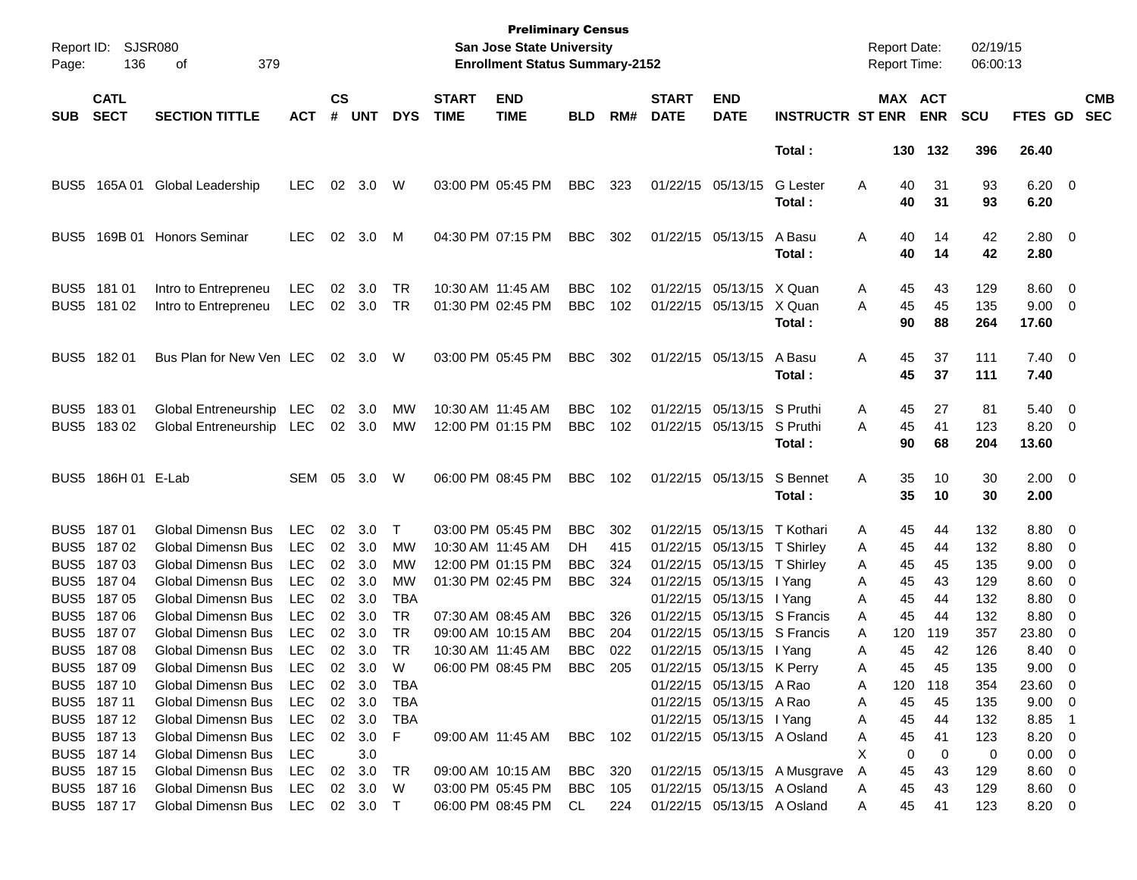| Report ID:<br>Page: | SJSR080<br>136             | 379<br>οf                                            |                   |                    |               |            |                             | <b>Preliminary Census</b><br><b>San Jose State University</b><br><b>Enrollment Status Summary-2152</b> |                          |            |                             |                                                          |                                |        | <b>Report Date:</b><br><b>Report Time:</b> |                | 02/19/15<br>06:00:13 |                                       |                          |                          |
|---------------------|----------------------------|------------------------------------------------------|-------------------|--------------------|---------------|------------|-----------------------------|--------------------------------------------------------------------------------------------------------|--------------------------|------------|-----------------------------|----------------------------------------------------------|--------------------------------|--------|--------------------------------------------|----------------|----------------------|---------------------------------------|--------------------------|--------------------------|
| <b>SUB</b>          | <b>CATL</b><br><b>SECT</b> | <b>SECTION TITTLE</b>                                | <b>ACT</b>        | $\mathsf{cs}$<br># | <b>UNT</b>    | <b>DYS</b> | <b>START</b><br><b>TIME</b> | <b>END</b><br><b>TIME</b>                                                                              | <b>BLD</b>               | RM#        | <b>START</b><br><b>DATE</b> | <b>END</b><br><b>DATE</b>                                | <b>INSTRUCTR ST ENR</b>        |        | MAX ACT                                    | <b>ENR</b>     | <b>SCU</b>           | <b>FTES GD</b>                        |                          | <b>CMB</b><br><b>SEC</b> |
|                     |                            |                                                      |                   |                    |               |            |                             |                                                                                                        |                          |            |                             |                                                          | Total:                         |        |                                            | 130 132        | 396                  | 26.40                                 |                          |                          |
| BUS5                | 165A 01                    | Global Leadership                                    | <b>LEC</b>        | 02                 | 3.0           | W          |                             | 03:00 PM 05:45 PM                                                                                      | <b>BBC</b>               | 323        |                             | 01/22/15 05/13/15                                        | <b>G</b> Lester<br>Total :     | Α      | 40<br>40                                   | 31<br>31       | 93<br>93             | $6.20 \quad 0$<br>6.20                |                          |                          |
| BUS5                | 169B 01                    | <b>Honors Seminar</b>                                | <b>LEC</b>        | 02                 | 3.0           | M          |                             | 04:30 PM 07:15 PM                                                                                      | <b>BBC</b>               | 302        |                             | 01/22/15 05/13/15                                        | A Basu<br>Total :              | Α      | 40<br>40                                   | 14<br>14       | 42<br>42             | $2.80 \ 0$<br>2.80                    |                          |                          |
| BUS <sub>5</sub>    | 181 01<br>BUS5 181 02      | Intro to Entrepreneu<br>Intro to Entrepreneu         | LEC<br><b>LEC</b> | 02                 | 3.0<br>02 3.0 | TR<br>TR   | 10:30 AM 11:45 AM           | 01:30 PM 02:45 PM                                                                                      | <b>BBC</b><br><b>BBC</b> | 102<br>102 |                             | 01/22/15 05/13/15 X Quan<br>01/22/15 05/13/15 X Quan     | Total :                        | A<br>A | 45<br>45<br>90                             | 43<br>45<br>88 | 129<br>135<br>264    | $8.60$ 0<br>$9.00 \t 0$<br>17.60      |                          |                          |
|                     | BUS5 182 01                | Bus Plan for New Ven LEC                             |                   | 02                 | 3.0           | W          |                             | 03:00 PM 05:45 PM                                                                                      | <b>BBC</b>               | 302        |                             | 01/22/15 05/13/15                                        | A Basu<br>Total :              | Α      | 45<br>45                                   | 37<br>37       | 111<br>111           | $7.40 \quad 0$<br>7.40                |                          |                          |
| BUS <sub>5</sub>    | 18301<br>BUS5 183 02       | Global Entreneurship LEC<br>Global Entreneurship LEC |                   | 02                 | 3.0<br>02 3.0 | MW<br>МW   | 10:30 AM 11:45 AM           | 12:00 PM 01:15 PM                                                                                      | <b>BBC</b><br><b>BBC</b> | 102<br>102 |                             | 01/22/15 05/13/15 S Pruthi<br>01/22/15 05/13/15 S Pruthi | Total :                        | A<br>A | 45<br>45<br>90                             | 27<br>41<br>68 | 81<br>123<br>204     | $5.40 \quad 0$<br>$8.20 \ 0$<br>13.60 |                          |                          |
| BUS <sub>5</sub>    | 186H 01 E-Lab              |                                                      | SEM               | 05                 | 3.0           | W          |                             | 06:00 PM 08:45 PM                                                                                      | <b>BBC</b>               | 102        |                             | 01/22/15 05/13/15                                        | S Bennet<br>Total:             | Α      | 35<br>35                                   | 10<br>10       | 30<br>30             | $2.00 \t 0$<br>2.00                   |                          |                          |
| BUS <sub>5</sub>    | 18701                      | <b>Global Dimensn Bus</b>                            | <b>LEC</b>        | 02                 | 3.0           | T          |                             | 03:00 PM 05:45 PM                                                                                      | <b>BBC</b>               | 302        |                             | 01/22/15 05/13/15 T Kothari                              |                                | Α      | 45                                         | 44             | 132                  | $8.80\ 0$                             |                          |                          |
| BUS <sub>5</sub>    | 18702                      | <b>Global Dimensn Bus</b>                            | <b>LEC</b>        | 02                 | 3.0           | MW         | 10:30 AM 11:45 AM           |                                                                                                        | DH.                      | 415        |                             | 01/22/15 05/13/15 T Shirley                              |                                | Α      | 45                                         | 44             | 132                  | 8.80 0                                |                          |                          |
| BUS <sub>5</sub>    | 18703                      | <b>Global Dimensn Bus</b>                            | <b>LEC</b>        | 02                 | 3.0           | мw         |                             | 12:00 PM 01:15 PM                                                                                      | <b>BBC</b>               | 324        |                             | 01/22/15 05/13/15                                        | T Shirley                      | A      | 45                                         | 45             | 135                  | $9.00 \t 0$                           |                          |                          |
| BUS <sub>5</sub>    | 18704                      | <b>Global Dimensn Bus</b>                            | <b>LEC</b>        |                    | 02 3.0        | MW         |                             | 01:30 PM 02:45 PM                                                                                      | <b>BBC</b>               | 324        |                             | 01/22/15 05/13/15                                        | I Yang                         | A      | 45                                         | 43             | 129                  | $8.60 \quad 0$                        |                          |                          |
| BUS <sub>5</sub>    | 18705                      | <b>Global Dimensn Bus</b>                            | LEC               | 02                 | 3.0           | TBA        |                             |                                                                                                        |                          |            |                             | 01/22/15 05/13/15 I Yang                                 |                                | A      | 45                                         | 44             | 132                  | 8.80                                  | $\overline{\phantom{0}}$ |                          |
| BUS <sub>5</sub>    | 18706                      | <b>Global Dimensn Bus</b>                            | <b>LEC</b>        | 02                 | 3.0           | TR         |                             | 07:30 AM 08:45 AM                                                                                      | <b>BBC</b>               | 326        |                             |                                                          | 01/22/15 05/13/15 S Francis    | A      | 45                                         | 44             | 132                  | 8.80                                  | $\overline{\phantom{0}}$ |                          |
| BUS <sub>5</sub>    | 18707                      | <b>Global Dimensn Bus</b>                            | <b>LEC</b>        | 02 <sub>2</sub>    | 3.0           | TR         |                             | 09:00 AM 10:15 AM                                                                                      | <b>BBC</b>               | 204        |                             |                                                          | 01/22/15 05/13/15 S Francis    | A      | 120                                        | 119            | 357                  | 23.80                                 | - 0                      |                          |
| BUS5                | 18708                      | Global Dimensn Bus                                   | <b>LEC</b>        |                    | 02 3.0        | TR         | 10:30 AM 11:45 AM           |                                                                                                        | <b>BBC</b>               | 022        |                             | 01/22/15 05/13/15 l Yang                                 |                                | Α      | 45                                         | 42             | 126                  | 8.40                                  | $\overline{\phantom{0}}$ |                          |
|                     | BUS5 187 09                | Global Dimensn Bus LEC 02 3.0                        |                   |                    |               | W          |                             | 06:00 PM 08:45 PM                                                                                      | <b>BBC</b>               | 205        |                             | 01/22/15 05/13/15 K Perry                                |                                | A      | 45                                         | 45             | 135                  | $9.00 \t 0$                           |                          |                          |
|                     | BUS5 187 10                | Global Dimensn Bus                                   | LEC               |                    | 02 3.0        | TBA        |                             |                                                                                                        |                          |            |                             | 01/22/15 05/13/15 A Rao                                  |                                | A      | 120                                        | 118            | 354                  | 23.60 0                               |                          |                          |
|                     | BUS5 187 11                | Global Dimensn Bus                                   | LEC               |                    | 02 3.0        | TBA        |                             |                                                                                                        |                          |            |                             | 01/22/15 05/13/15 A Rao                                  |                                | A      | 45                                         | 45             | 135                  | $9.00 \t 0$                           |                          |                          |
|                     | BUS5 187 12                | Global Dimensn Bus                                   | LEC               |                    | 02 3.0        | TBA        |                             |                                                                                                        |                          |            |                             | 01/22/15 05/13/15 I Yang                                 |                                | A      | 45                                         | 44             | 132                  | 8.85 1                                |                          |                          |
|                     | BUS5 187 13                | Global Dimensn Bus                                   | LEC               |                    | 02 3.0        | F.         |                             | 09:00 AM 11:45 AM BBC 102                                                                              |                          |            |                             |                                                          | 01/22/15 05/13/15 A Osland     | A      | 45                                         | 41             | 123                  | 8.20 0                                |                          |                          |
|                     | BUS5 187 14                | <b>Global Dimensn Bus</b>                            | LEC               |                    | 3.0           |            |                             |                                                                                                        |                          |            |                             |                                                          |                                | X.     | 0                                          | $\overline{0}$ | 0                    | $0.00 \t 0$                           |                          |                          |
|                     | BUS5 187 15                | Global Dimensn Bus                                   | LEC               |                    | 02 3.0        | TR.        |                             | 09:00 AM 10:15 AM                                                                                      | BBC 320                  |            |                             |                                                          | 01/22/15 05/13/15 A Musgrave   | A      | 45                                         | 43             | 129                  | 8.60 0                                |                          |                          |
|                     | BUS5 187 16                | <b>Global Dimensn Bus</b>                            | LEC               |                    | 02 3.0        | W.         |                             | 03:00 PM 05:45 PM                                                                                      | <b>BBC</b> 105           |            |                             | 01/22/15 05/13/15 A Osland                               |                                | A      | 45                                         | 43             | 129                  | 8.60 0                                |                          |                          |
|                     | BUS5 187 17                | Global Dimensn Bus LEC 02 3.0 T                      |                   |                    |               |            |                             | 06:00 PM 08:45 PM CL                                                                                   |                          |            |                             |                                                          | 224 01/22/15 05/13/15 A Osland | A      |                                            | 45 41          | 123                  | 8.20 0                                |                          |                          |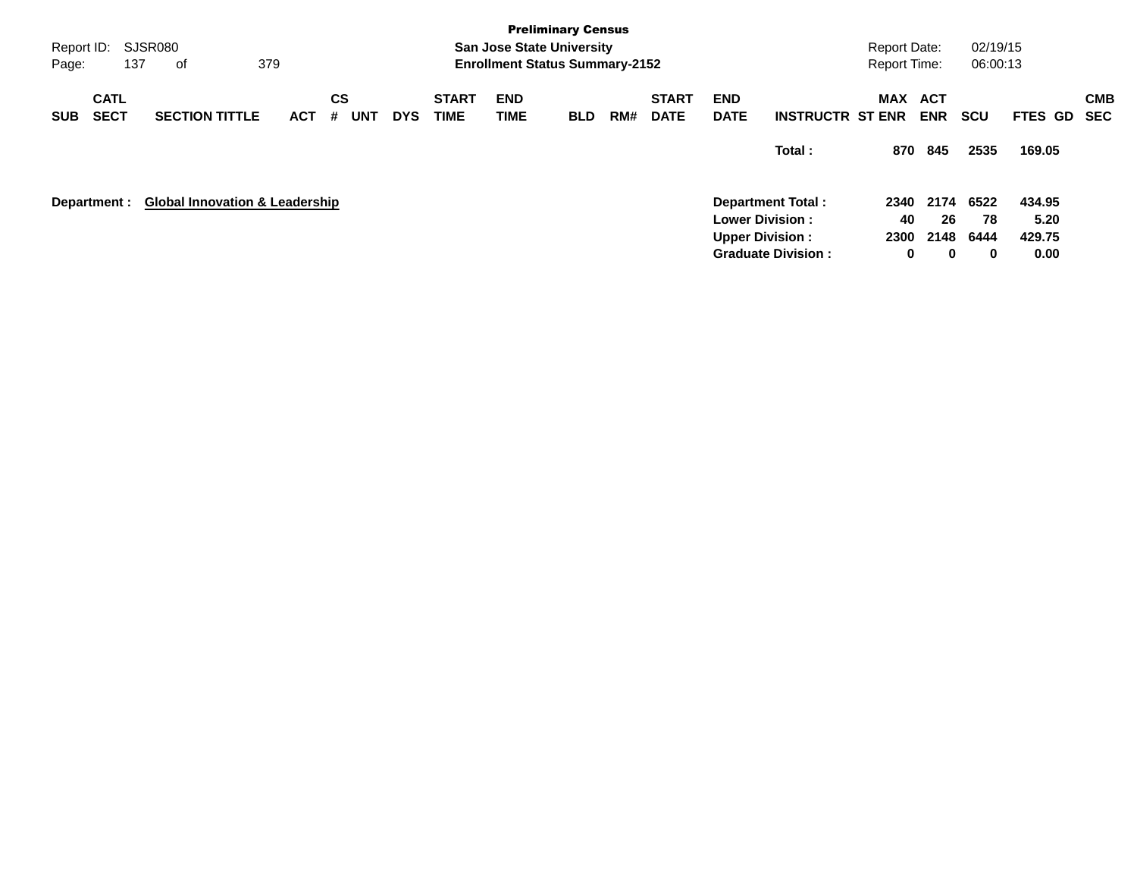| Report ID:<br>Page: |                            | SJSR080<br>137<br>оf                      | 379 |     |                |            |            |                             |                    | <b>Preliminary Census</b><br><b>San Jose State University</b><br><b>Enrollment Status Summary-2152</b> |     |                             |                           |                                                                                                           | <b>Report Date:</b><br><b>Report Time:</b> |                                | 02/19/15<br>06:00:13    |                                  |                   |
|---------------------|----------------------------|-------------------------------------------|-----|-----|----------------|------------|------------|-----------------------------|--------------------|--------------------------------------------------------------------------------------------------------|-----|-----------------------------|---------------------------|-----------------------------------------------------------------------------------------------------------|--------------------------------------------|--------------------------------|-------------------------|----------------------------------|-------------------|
| <b>SUB</b>          | <b>CATL</b><br><b>SECT</b> | <b>SECTION TITTLE</b>                     |     | ACT | <b>CS</b><br># | <b>UNT</b> | <b>DYS</b> | <b>START</b><br><b>TIME</b> | <b>END</b><br>TIME | <b>BLD</b>                                                                                             | RM# | <b>START</b><br><b>DATE</b> | <b>END</b><br><b>DATE</b> | <b>INSTRUCTR ST ENR</b>                                                                                   | MAX                                        | <b>ACT</b><br><b>ENR</b>       | <b>SCU</b>              | <b>FTES GD</b>                   | <b>CMB</b><br>SEC |
|                     |                            |                                           |     |     |                |            |            |                             |                    |                                                                                                        |     |                             |                           | Total:                                                                                                    | 870                                        | 845                            | 2535                    | 169.05                           |                   |
| Department :        |                            | <b>Global Innovation &amp; Leadership</b> |     |     |                |            |            |                             |                    |                                                                                                        |     |                             |                           | <b>Department Total:</b><br><b>Lower Division:</b><br><b>Upper Division:</b><br><b>Graduate Division:</b> | 2340<br>40<br>2300<br>0                    | 2174<br>26<br>2148<br>$\bf{0}$ | 6522<br>78<br>6444<br>0 | 434.95<br>5.20<br>429.75<br>0.00 |                   |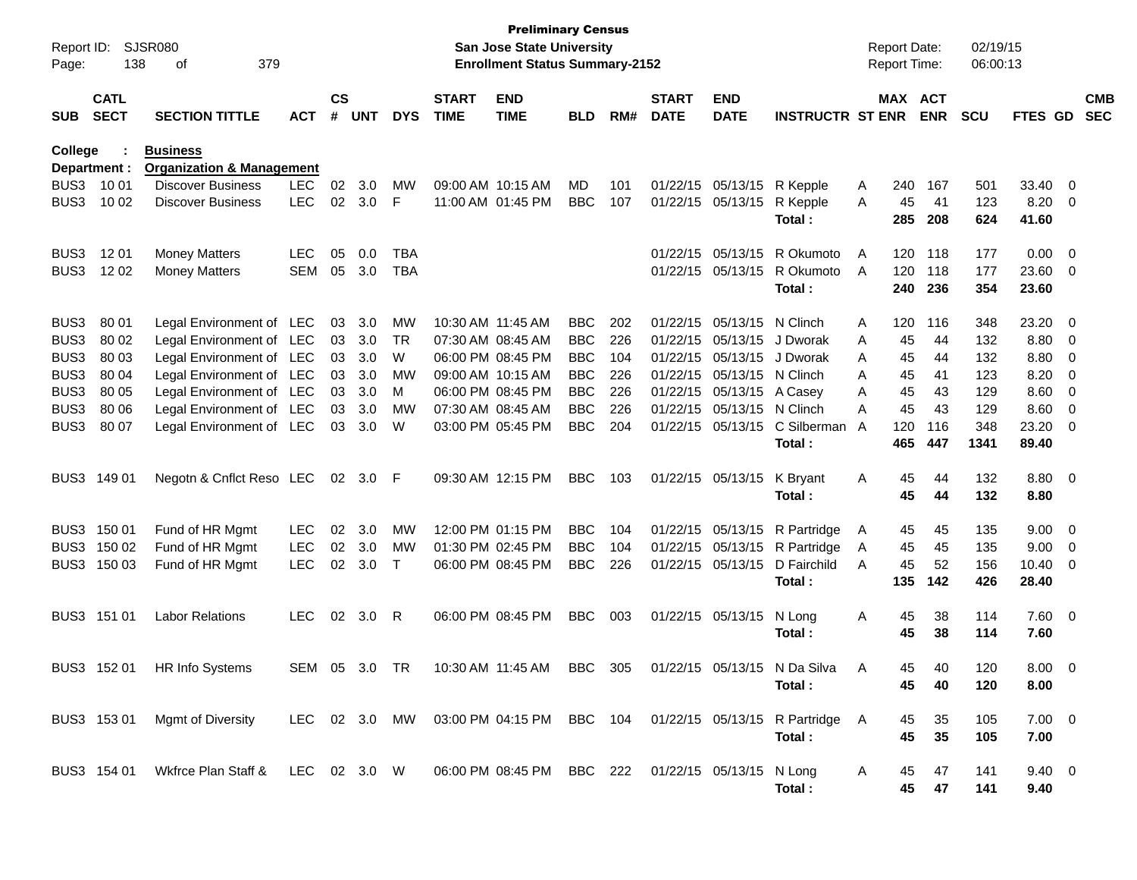| Report ID:<br>Page: | 138                        | SJSR080<br>379<br>οf                                    |               |                    |            |            |                             | <b>Preliminary Census</b><br><b>San Jose State University</b><br><b>Enrollment Status Summary-2152</b> |            |     |                             |                           |                                                                                 |          | <b>Report Date:</b><br>Report Time: |            | 02/19/15<br>06:00:13 |                        |                          |                          |
|---------------------|----------------------------|---------------------------------------------------------|---------------|--------------------|------------|------------|-----------------------------|--------------------------------------------------------------------------------------------------------|------------|-----|-----------------------------|---------------------------|---------------------------------------------------------------------------------|----------|-------------------------------------|------------|----------------------|------------------------|--------------------------|--------------------------|
| <b>SUB</b>          | <b>CATL</b><br><b>SECT</b> | <b>SECTION TITTLE</b>                                   | <b>ACT</b>    | $\mathsf{cs}$<br># | <b>UNT</b> | <b>DYS</b> | <b>START</b><br><b>TIME</b> | <b>END</b><br><b>TIME</b>                                                                              | <b>BLD</b> | RM# | <b>START</b><br><b>DATE</b> | <b>END</b><br><b>DATE</b> | <b>INSTRUCTR ST ENR</b>                                                         |          | MAX ACT                             | <b>ENR</b> | <b>SCU</b>           | FTES GD                |                          | <b>CMB</b><br><b>SEC</b> |
| College             | Department :               | <b>Business</b><br><b>Organization &amp; Management</b> |               |                    |            |            |                             |                                                                                                        |            |     |                             |                           |                                                                                 |          |                                     |            |                      |                        |                          |                          |
| BUS3                | 10 01                      | <b>Discover Business</b>                                | <b>LEC</b>    | 02                 | 3.0        | MW         |                             | 09:00 AM 10:15 AM                                                                                      | MD         | 101 | 01/22/15                    | 05/13/15                  | R Kepple                                                                        | A        | 240                                 | 167        | 501                  | 33.40                  | - 0                      |                          |
| BUS3                | 10 02                      | <b>Discover Business</b>                                | <b>LEC</b>    | 02                 | 3.0        | F          |                             | 11:00 AM 01:45 PM                                                                                      | <b>BBC</b> | 107 |                             | 01/22/15 05/13/15         | R Kepple<br>Total:                                                              | A        | 45<br>285                           | 41<br>208  | 123<br>624           | 8.20<br>41.60          | $\overline{\mathbf{0}}$  |                          |
| BUS3                | 12 01                      | <b>Money Matters</b>                                    | <b>LEC</b>    | 05                 | 0.0        | <b>TBA</b> |                             |                                                                                                        |            |     | 01/22/15                    | 05/13/15                  | R Okumoto                                                                       | A        | 120                                 | 118        | 177                  | 0.00                   | $\overline{\mathbf{0}}$  |                          |
| BUS3                | 12 02                      | <b>Money Matters</b>                                    | <b>SEM</b>    | 05                 | 3.0        | <b>TBA</b> |                             |                                                                                                        |            |     |                             | 01/22/15 05/13/15         | R Okumoto<br>Total:                                                             | A        | 120<br>240                          | 118<br>236 | 177<br>354           | 23.60<br>23.60         | $\overline{\mathbf{0}}$  |                          |
| BUS3                | 80 01                      | Legal Environment of LEC                                |               | 03                 | 3.0        | MW         | 10:30 AM 11:45 AM           |                                                                                                        | <b>BBC</b> | 202 | 01/22/15                    | 05/13/15                  | N Clinch                                                                        | A        | 120                                 | 116        | 348                  | 23.20                  | $\overline{0}$           |                          |
| BUS3                | 80 02                      | Legal Environment of LEC                                |               | 03                 | 3.0        | <b>TR</b>  |                             | 07:30 AM 08:45 AM                                                                                      | <b>BBC</b> | 226 | 01/22/15                    | 05/13/15                  | J Dworak                                                                        | A        | 45                                  | 44         | 132                  | 8.80                   | $\overline{0}$           |                          |
| BUS3                | 80 03                      | Legal Environment of LEC                                |               | 03                 | 3.0        | W          |                             | 06:00 PM 08:45 PM                                                                                      | <b>BBC</b> | 104 | 01/22/15                    | 05/13/15                  | J Dworak                                                                        | A        | 45                                  | 44         | 132                  | 8.80                   | $\overline{0}$           |                          |
| BUS3                | 80 04                      | Legal Environment of LEC                                |               | 03                 | 3.0        | МW         |                             | 09:00 AM 10:15 AM                                                                                      | <b>BBC</b> | 226 | 01/22/15                    | 05/13/15                  | N Clinch                                                                        | A        | 45                                  | 41         | 123                  | 8.20                   | 0                        |                          |
| BUS3                | 80 05                      | Legal Environment of LEC                                |               | 03                 | 3.0        | M          |                             | 06:00 PM 08:45 PM                                                                                      | <b>BBC</b> | 226 |                             | 01/22/15 05/13/15         | A Casey                                                                         | A        | 45                                  | 43         | 129                  | 8.60                   | 0                        |                          |
| BUS3                | 80 06                      | Legal Environment of LEC                                |               | 03                 | 3.0        | <b>MW</b>  |                             | 07:30 AM 08:45 AM                                                                                      | <b>BBC</b> | 226 | 01/22/15                    | 05/13/15                  | N Clinch                                                                        | A        | 45                                  | 43         | 129                  | 8.60                   | 0                        |                          |
| BUS3                | 80 07                      | Legal Environment of LEC                                |               | 03                 | 3.0        | W          |                             | 03:00 PM 05:45 PM                                                                                      | <b>BBC</b> | 204 |                             | 01/22/15 05/13/15         | C Silberman<br>Total:                                                           | A        | 120<br>465                          | 116<br>447 | 348<br>1341          | 23.20<br>89.40         | 0                        |                          |
| BUS3                | 149 01                     | Negotn & Cnflct Reso LEC                                |               | 02                 | 3.0        | -F         |                             | 09:30 AM 12:15 PM                                                                                      | <b>BBC</b> | 103 |                             | 01/22/15 05/13/15         | K Bryant<br>Total:                                                              | A        | 45<br>45                            | 44<br>44   | 132<br>132           | 8.80<br>8.80           | $\overline{\phantom{0}}$ |                          |
| BUS3                | 150 01                     | Fund of HR Mgmt                                         | <b>LEC</b>    | 02                 | 3.0        | MW         |                             | 12:00 PM 01:15 PM                                                                                      | <b>BBC</b> | 104 | 01/22/15                    | 05/13/15                  | R Partridge                                                                     | A        | 45                                  | 45         | 135                  | 9.00                   | - 0                      |                          |
| BUS3                | 150 02                     | Fund of HR Mgmt                                         | <b>LEC</b>    | 02                 | 3.0        | <b>MW</b>  |                             | 01:30 PM 02:45 PM                                                                                      | <b>BBC</b> | 104 | 01/22/15                    | 05/13/15                  | R Partridge                                                                     | A        | 45                                  | 45         | 135                  | 9.00                   | - 0                      |                          |
|                     | BUS3 150 03                | Fund of HR Mgmt                                         | <b>LEC</b>    | 02                 | 3.0        | $\top$     |                             | 06:00 PM 08:45 PM                                                                                      | <b>BBC</b> | 226 | 01/22/15 05/13/15           |                           | D Fairchild<br>Total:                                                           | A        | 45<br>135                           | 52<br>142  | 156<br>426           | 10.40<br>28.40         | - 0                      |                          |
|                     | BUS3 151 01                | <b>Labor Relations</b>                                  | <b>LEC</b>    | 02                 | 3.0        | R          |                             | 06:00 PM 08:45 PM                                                                                      | <b>BBC</b> | 003 |                             | 01/22/15 05/13/15         | N Long<br>Total:                                                                | Α        | 45<br>45                            | 38<br>38   | 114<br>114           | 7.60<br>7.60           | $\overline{\phantom{0}}$ |                          |
|                     |                            | BUS3 152 01 HR Info Systems                             | SEM 05 3.0 TR |                    |            |            |                             | 10:30 AM 11:45 AM BBC                                                                                  |            | 305 |                             |                           | 01/22/15 05/13/15 N Da Silva<br>Total:                                          | A        | 45.<br>45                           | 40<br>40   | 120<br>120           | $8.00 \t 0$<br>8.00    |                          |                          |
|                     |                            | BUS3 153 01 Mgmt of Diversity                           |               |                    |            |            |                             |                                                                                                        |            |     |                             |                           | LEC 02 3.0 MW 03:00 PM 04:15 PM BBC 104 01/22/15 05/13/15 R Partridge<br>Total: | <b>A</b> | 45<br>45                            | 35<br>35   | 105<br>105           | $7.00 \t 0$<br>7.00    |                          |                          |
|                     |                            | BUS3 154 01 Wkfrce Plan Staff & LEC 02 3.0 W            |               |                    |            |            |                             | 06:00 PM 08:45 PM BBC 222 01/22/15 05/13/15 N Long                                                     |            |     |                             |                           | Total:                                                                          | A        | 45<br>45                            | 47<br>47   | 141<br>141           | $9.40 \quad 0$<br>9.40 |                          |                          |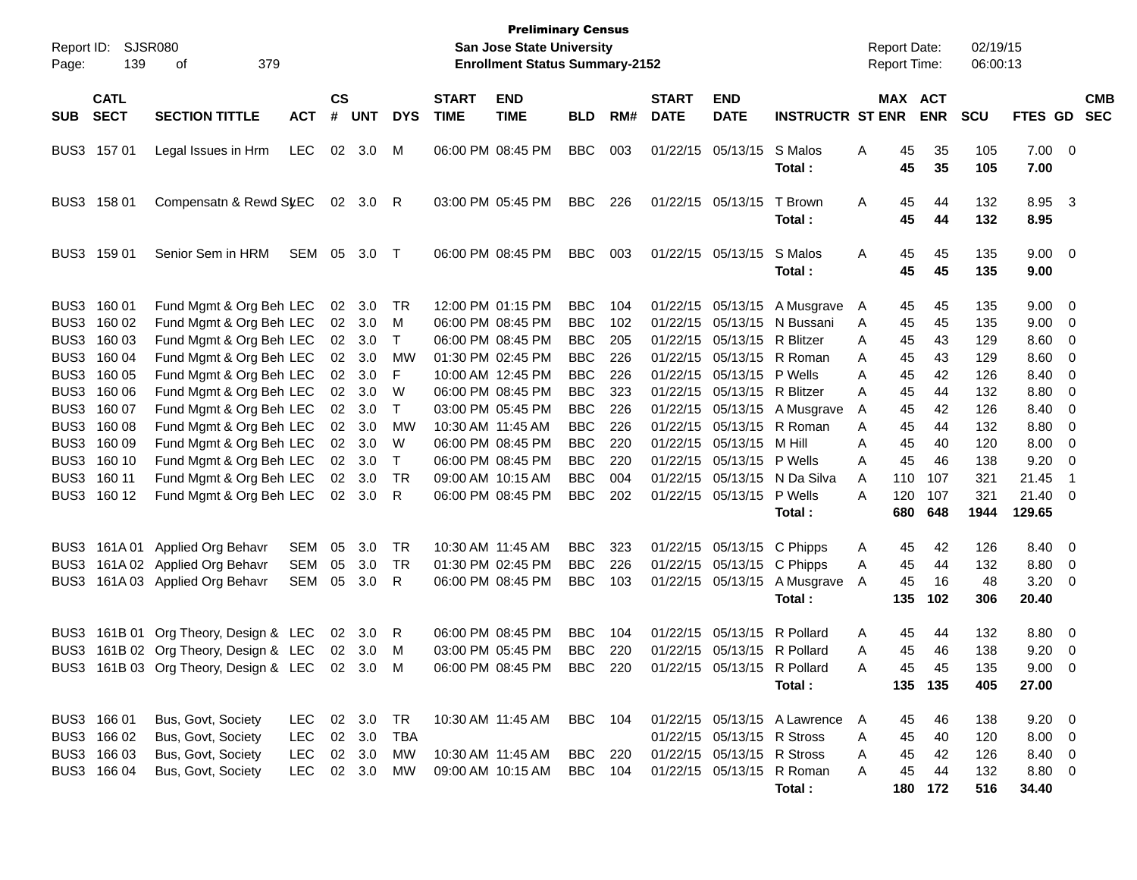| Page:      | Report ID: SJSR080<br>139  | 379<br>οf                                      |            |                    |                |              |                             | <b>Preliminary Census</b><br>San Jose State University<br><b>Enrollment Status Summary-2152</b> |                |     |                             |                             |                              |   | <b>Report Date:</b><br><b>Report Time:</b> |            | 02/19/15<br>06:00:13 |                     |                          |                          |
|------------|----------------------------|------------------------------------------------|------------|--------------------|----------------|--------------|-----------------------------|-------------------------------------------------------------------------------------------------|----------------|-----|-----------------------------|-----------------------------|------------------------------|---|--------------------------------------------|------------|----------------------|---------------------|--------------------------|--------------------------|
| <b>SUB</b> | <b>CATL</b><br><b>SECT</b> | <b>SECTION TITTLE</b>                          | <b>ACT</b> | $\mathsf{cs}$<br># | <b>UNT</b>     | <b>DYS</b>   | <b>START</b><br><b>TIME</b> | <b>END</b><br><b>TIME</b>                                                                       | <b>BLD</b>     | RM# | <b>START</b><br><b>DATE</b> | <b>END</b><br><b>DATE</b>   | <b>INSTRUCTR ST ENR</b>      |   | MAX ACT                                    | <b>ENR</b> | <b>SCU</b>           | <b>FTES GD</b>      |                          | <b>CMB</b><br><b>SEC</b> |
|            | BUS3 157 01                | Legal Issues in Hrm                            | <b>LEC</b> | 02                 | 3.0            | M            |                             | 06:00 PM 08:45 PM                                                                               | <b>BBC</b>     | 003 |                             | 01/22/15 05/13/15           | S Malos<br>Total:            | Α | 45<br>45                                   | 35<br>35   | 105<br>105           | 7.00 0<br>7.00      |                          |                          |
|            | BUS3 158 01                | Compensatn & Rewd SyEC                         |            |                    | 02 3.0 R       |              |                             | 03:00 PM 05:45 PM                                                                               | <b>BBC</b>     | 226 |                             | 01/22/15 05/13/15           | T Brown<br>Total:            | Α | 45<br>45                                   | 44<br>44   | 132<br>132           | 8.95 3<br>8.95      |                          |                          |
|            | BUS3 159 01                | Senior Sem in HRM                              | SEM        | 05                 | 3.0            | T            |                             | 06:00 PM 08:45 PM                                                                               | <b>BBC</b>     | 003 |                             | 01/22/15 05/13/15           | S Malos<br>Total:            | Α | 45<br>45                                   | 45<br>45   | 135<br>135           | $9.00 \t 0$<br>9.00 |                          |                          |
|            | BUS3 160 01                | Fund Mgmt & Org Beh LEC                        |            | 02                 | 3.0            | TR           |                             | 12:00 PM 01:15 PM                                                                               | <b>BBC</b>     | 104 |                             |                             | 01/22/15 05/13/15 A Musgrave | A | 45                                         | 45         | 135                  | $9.00 \t 0$         |                          |                          |
|            | BUS3 160 02                | Fund Mgmt & Org Beh LEC                        |            | 02                 | 3.0            | M            |                             | 06:00 PM 08:45 PM                                                                               | <b>BBC</b>     | 102 |                             |                             | 01/22/15 05/13/15 N Bussani  | A | 45                                         | 45         | 135                  | $9.00 \t 0$         |                          |                          |
| BUS3       | 160 03                     | Fund Mgmt & Org Beh LEC                        |            |                    | 02 3.0         | T            |                             | 06:00 PM 08:45 PM                                                                               | <b>BBC</b>     | 205 |                             | 01/22/15 05/13/15 R Blitzer |                              | A | 45                                         | 43         | 129                  | $8.60$ 0            |                          |                          |
| BUS3       | 160 04                     | Fund Mgmt & Org Beh LEC                        |            |                    | 02 3.0         | MW           |                             | 01:30 PM 02:45 PM                                                                               | <b>BBC</b>     | 226 |                             |                             | 01/22/15 05/13/15 R Roman    | A | 45                                         | 43         | 129                  | $8.60$ 0            |                          |                          |
| BUS3       | 160 05                     | Fund Mgmt & Org Beh LEC                        |            | 02 <sub>2</sub>    | 3.0            | F            |                             | 10:00 AM 12:45 PM                                                                               | <b>BBC</b>     | 226 |                             | 01/22/15 05/13/15 P Wells   |                              | Α | 45                                         | 42         | 126                  | 8.40 0              |                          |                          |
| BUS3       | 160 06                     | Fund Mgmt & Org Beh LEC                        |            | 02 <sub>2</sub>    | 3.0            | W            |                             | 06:00 PM 08:45 PM                                                                               | <b>BBC</b>     | 323 |                             | 01/22/15 05/13/15 R Blitzer |                              | A | 45                                         | 44         | 132                  | 8.80                | $\overline{\phantom{0}}$ |                          |
| BUS3       | 160 07                     | Fund Mgmt & Org Beh LEC                        |            |                    | $02 \quad 3.0$ | T            |                             | 03:00 PM 05:45 PM                                                                               | <b>BBC</b>     | 226 |                             |                             | 01/22/15 05/13/15 A Musgrave | A | 45                                         | 42         | 126                  | 8.40 0              |                          |                          |
| BUS3       | 160 08                     | Fund Mgmt & Org Beh LEC                        |            | 02 <sub>2</sub>    | 3.0            | MW           |                             | 10:30 AM 11:45 AM                                                                               | <b>BBC</b>     | 226 |                             |                             | 01/22/15 05/13/15 R Roman    | A | 45                                         | 44         | 132                  | 8.80                | $\overline{\phantom{0}}$ |                          |
| BUS3       | 160 09                     | Fund Mgmt & Org Beh LEC                        |            |                    | 02 3.0         | W            |                             | 06:00 PM 08:45 PM                                                                               | <b>BBC</b>     | 220 |                             | 01/22/15 05/13/15           | M Hill                       | Α | 45                                         | 40         | 120                  | 8.00                | $\overline{\phantom{0}}$ |                          |
| BUS3       | 160 10                     | Fund Mgmt & Org Beh LEC                        |            |                    | 02 3.0         | $\mathsf{T}$ |                             | 06:00 PM 08:45 PM                                                                               | <b>BBC</b>     | 220 |                             | 01/22/15 05/13/15 P Wells   |                              | A | 45                                         | 46         | 138                  | 9.20                | $\overline{\phantom{0}}$ |                          |
|            | BUS3 160 11                | Fund Mgmt & Org Beh LEC                        |            | 02                 | 3.0            | TR           |                             | 09:00 AM 10:15 AM                                                                               | <b>BBC</b>     | 004 |                             |                             | 01/22/15 05/13/15 N Da Silva | A | 110                                        | 107        | 321                  | 21.45               | - 1                      |                          |
|            | BUS3 160 12                | Fund Mgmt & Org Beh LEC                        |            |                    | 02 3.0         | -R           |                             | 06:00 PM 08:45 PM                                                                               | <b>BBC</b>     | 202 |                             | 01/22/15 05/13/15 P Wells   |                              | A | 120                                        | 107        | 321                  | 21.40 0             |                          |                          |
|            |                            |                                                |            |                    |                |              |                             |                                                                                                 |                |     |                             |                             | Total:                       |   | 680                                        | 648        | 1944                 | 129.65              |                          |                          |
| BUS3       |                            | 161A 01 Applied Org Behavr                     | <b>SEM</b> | 05                 | 3.0            | TR           |                             | 10:30 AM 11:45 AM                                                                               | <b>BBC</b>     | 323 |                             | 01/22/15 05/13/15 C Phipps  |                              | A | 45                                         | 42         | 126                  | 8.40 0              |                          |                          |
| BUS3       |                            | 161A 02 Applied Org Behavr                     | <b>SEM</b> | 05                 | 3.0            | TR           |                             | 01:30 PM 02:45 PM                                                                               | <b>BBC</b>     | 226 |                             | 01/22/15 05/13/15 C Phipps  |                              | Α | 45                                         | 44         | 132                  | 8.80 0              |                          |                          |
| BUS3       |                            | 161A 03 Applied Org Behavr                     | SEM        | 05                 | 3.0            | R            |                             | 06:00 PM 08:45 PM                                                                               | <b>BBC</b>     | 103 |                             | 01/22/15 05/13/15           | A Musgrave                   | A | 45                                         | 16         | 48                   | $3.20 \ 0$          |                          |                          |
|            |                            |                                                |            |                    |                |              |                             |                                                                                                 |                |     |                             |                             | Total:                       |   | 135                                        | 102        | 306                  | 20.40               |                          |                          |
| BUS3       |                            | 161B 01 Org Theory, Design & LEC               |            | 02                 | 3.0            | R            |                             | 06:00 PM 08:45 PM                                                                               | <b>BBC</b>     | 104 |                             | 01/22/15 05/13/15 R Pollard |                              | A | 45                                         | 44         | 132                  | 8.80 0              |                          |                          |
|            |                            | BUS3 161B 02 Org Theory, Design & LEC          |            |                    | 02 3.0         | M            |                             | 03:00 PM 05:45 PM                                                                               | <b>BBC</b>     | 220 |                             | 01/22/15 05/13/15 R Pollard |                              | Α | 45                                         | 46         | 138                  | 9.20                | $\overline{\phantom{0}}$ |                          |
|            |                            | BUS3 161B 03 Org Theory, Design & LEC 02 3.0 M |            |                    |                |              |                             | 06:00 PM 08:45 PM                                                                               | BBC            | 220 |                             |                             | 01/22/15 05/13/15 R Pollard  | А | 45                                         | 45         | 135                  | $9.00 \quad 0$      |                          |                          |
|            |                            |                                                |            |                    |                |              |                             |                                                                                                 |                |     |                             |                             | Total:                       |   |                                            | 135 135    | 405                  | 27.00               |                          |                          |
|            | BUS3 166 01                | Bus, Govt, Society                             | LEC.       |                    | 02 3.0         | TR           |                             | 10:30 AM 11:45 AM                                                                               | <b>BBC</b> 104 |     |                             |                             | 01/22/15 05/13/15 A Lawrence | A | 45                                         | 46         | 138                  | $9.20 \ 0$          |                          |                          |
|            | BUS3 166 02                | Bus, Govt, Society                             | <b>LEC</b> |                    | 02 3.0         | TBA          |                             |                                                                                                 |                |     |                             | 01/22/15 05/13/15 R Stross  |                              | Α | 45                                         | 40         | 120                  | $8.00 \t 0$         |                          |                          |
|            | BUS3 166 03                | Bus, Govt, Society                             | <b>LEC</b> |                    | 02 3.0         | МW           |                             | 10:30 AM 11:45 AM                                                                               | <b>BBC</b> 220 |     |                             | 01/22/15 05/13/15 R Stross  |                              | Α | 45                                         | 42         | 126                  | 8.40 0              |                          |                          |
|            | BUS3 166 04                | Bus, Govt, Society                             | <b>LEC</b> |                    | 02 3.0         | MW           |                             | 09:00 AM 10:15 AM                                                                               | <b>BBC</b>     | 104 |                             |                             | 01/22/15 05/13/15 R Roman    | Α | 45                                         | 44         | 132                  | 8.80 0              |                          |                          |
|            |                            |                                                |            |                    |                |              |                             |                                                                                                 |                |     |                             |                             | Total:                       |   |                                            | 180 172    | 516                  | 34.40               |                          |                          |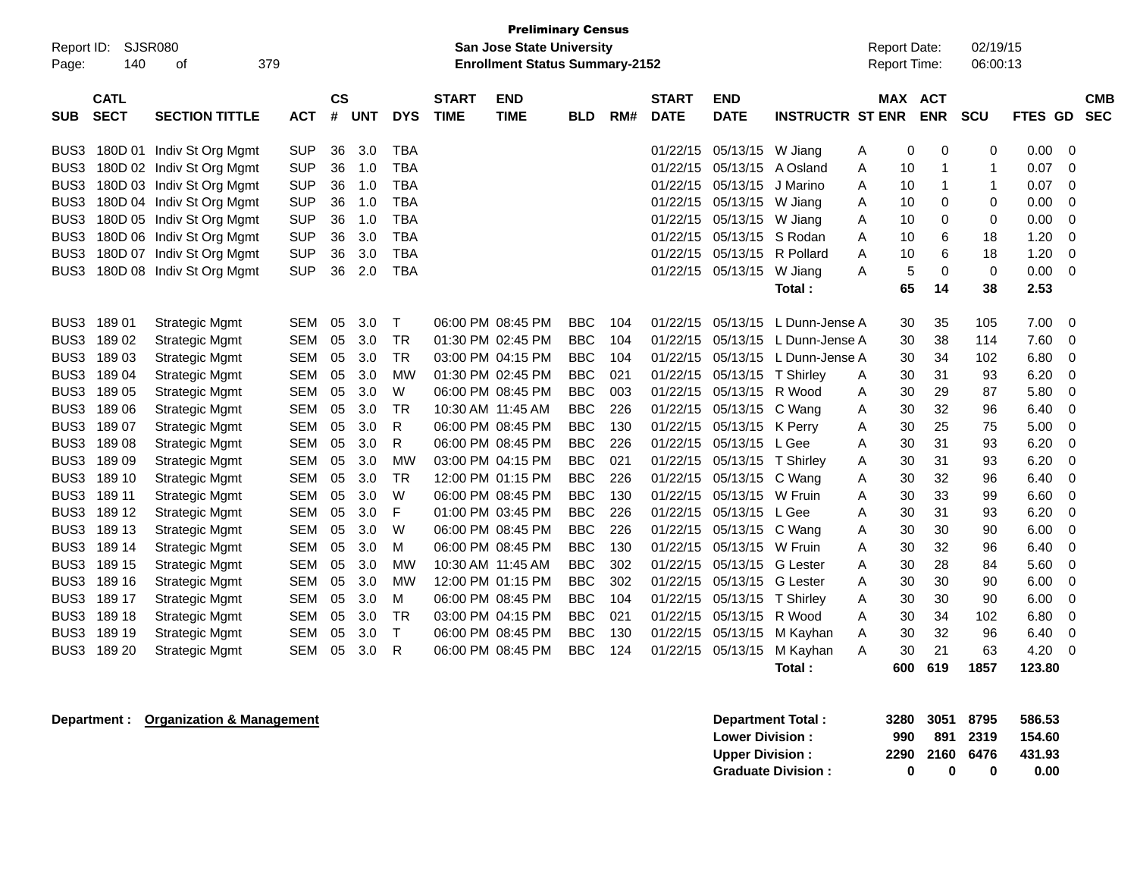| Page:            | <b>Preliminary Census</b><br>SJSR080<br>02/19/15<br><b>San Jose State University</b><br><b>Report Date:</b><br>Report ID:<br>140<br>379<br><b>Enrollment Status Summary-2152</b><br><b>Report Time:</b><br>06:00:13<br>οf |                           |            |                |            |              |                             |                           |            |     |                             |                           |                         |   |             |                          |            |         |                          |
|------------------|---------------------------------------------------------------------------------------------------------------------------------------------------------------------------------------------------------------------------|---------------------------|------------|----------------|------------|--------------|-----------------------------|---------------------------|------------|-----|-----------------------------|---------------------------|-------------------------|---|-------------|--------------------------|------------|---------|--------------------------|
| <b>SUB</b>       | <b>CATL</b><br><b>SECT</b>                                                                                                                                                                                                | <b>SECTION TITTLE</b>     | <b>ACT</b> | <b>CS</b><br># | <b>UNT</b> | <b>DYS</b>   | <b>START</b><br><b>TIME</b> | <b>END</b><br><b>TIME</b> | BLD        | RM# | <b>START</b><br><b>DATE</b> | <b>END</b><br><b>DATE</b> | <b>INSTRUCTR ST ENR</b> |   | <b>MAX</b>  | <b>ACT</b><br><b>ENR</b> | <b>SCU</b> | FTES GD | <b>CMB</b><br><b>SEC</b> |
| BUS3             |                                                                                                                                                                                                                           | 180D 01 Indiv St Org Mgmt | <b>SUP</b> | 36             | 3.0        | <b>TBA</b>   |                             |                           |            |     | 01/22/15                    | 05/13/15                  | W Jiang                 | A | $\mathbf 0$ | 0                        | 0          | 0.00    | 0                        |
| BUS3             |                                                                                                                                                                                                                           | 180D 02 Indiv St Org Mgmt | <b>SUP</b> | 36             | 1.0        | <b>TBA</b>   |                             |                           |            |     | 01/22/15                    | 05/13/15                  | A Osland                | A | 10          | 1                        | 1          | 0.07    | 0                        |
| BUS <sub>3</sub> |                                                                                                                                                                                                                           | 180D 03 Indiv St Org Mgmt | <b>SUP</b> | 36             | 1.0        | <b>TBA</b>   |                             |                           |            |     | 01/22/15                    | 05/13/15                  | J Marino                | A | 10          | 1                        | 1          | 0.07    | 0                        |
| BUS3             |                                                                                                                                                                                                                           | 180D 04 Indiv St Org Mgmt | <b>SUP</b> | 36             | 1.0        | <b>TBA</b>   |                             |                           |            |     | 01/22/15                    | 05/13/15                  | W Jiang                 | A | 10          | 0                        | 0          | 0.00    | 0                        |
| BUS <sub>3</sub> |                                                                                                                                                                                                                           | 180D 05 Indiv St Org Mgmt | <b>SUP</b> | 36             | 1.0        | <b>TBA</b>   |                             |                           |            |     | 01/22/15                    | 05/13/15                  | W Jiang                 | A | 10          | 0                        | 0          | 0.00    | 0                        |
| BUS3             |                                                                                                                                                                                                                           | 180D 06 Indiv St Org Mgmt | <b>SUP</b> | 36             | 3.0        | <b>TBA</b>   |                             |                           |            |     | 01/22/15                    | 05/13/15                  | S Rodan                 | A | 10          | 6                        | 18         | 1.20    | 0                        |
| BUS3             |                                                                                                                                                                                                                           | 180D 07 Indiv St Org Mgmt | <b>SUP</b> | 36             | 3.0        | <b>TBA</b>   |                             |                           |            |     | 01/22/15                    | 05/13/15                  | R Pollard               | Α | 10          | 6                        | 18         | 1.20    | 0                        |
| BUS <sub>3</sub> |                                                                                                                                                                                                                           | 180D 08 Indiv St Org Mgmt | <b>SUP</b> | 36             | 2.0        | <b>TBA</b>   |                             |                           |            |     | 01/22/15                    | 05/13/15                  | W Jiang                 | А | 5           | $\mathbf 0$              | 0          | 0.00    | $\Omega$                 |
|                  |                                                                                                                                                                                                                           |                           |            |                |            |              |                             |                           |            |     |                             |                           | Total:                  |   | 65          | 14                       | 38         | 2.53    |                          |
| BUS3             | 18901                                                                                                                                                                                                                     | <b>Strategic Mgmt</b>     | <b>SEM</b> | 05             | 3.0        | $\mathsf{T}$ |                             | 06:00 PM 08:45 PM         | BBC        | 104 | 01/22/15                    | 05/13/15                  | L Dunn-Jense A          |   | 30          | 35                       | 105        | 7.00    | 0                        |
| BUS3             | 18902                                                                                                                                                                                                                     | <b>Strategic Mgmt</b>     | SEM        | 05             | 3.0        | <b>TR</b>    |                             | 01:30 PM 02:45 PM         | <b>BBC</b> | 104 | 01/22/15                    | 05/13/15                  | L Dunn-Jense A          |   | 30          | 38                       | 114        | 7.60    | 0                        |
| BUS <sub>3</sub> | 18903                                                                                                                                                                                                                     | <b>Strategic Mgmt</b>     | <b>SEM</b> | 05             | 3.0        | <b>TR</b>    |                             | 03:00 PM 04:15 PM         | <b>BBC</b> | 104 | 01/22/15                    | 05/13/15                  | L Dunn-Jense A          |   | 30          | 34                       | 102        | 6.80    | 0                        |
| BUS3             | 18904                                                                                                                                                                                                                     | <b>Strategic Mgmt</b>     | <b>SEM</b> | 05             | 3.0        | <b>MW</b>    |                             | 01:30 PM 02:45 PM         | <b>BBC</b> | 021 | 01/22/15                    | 05/13/15                  | T Shirley               | Α | 30          | 31                       | 93         | 6.20    | 0                        |
| BUS3             | 18905                                                                                                                                                                                                                     | <b>Strategic Mgmt</b>     | <b>SEM</b> | 05             | 3.0        | W            |                             | 06:00 PM 08:45 PM         | <b>BBC</b> | 003 | 01/22/15                    | 05/13/15                  | R Wood                  | A | 30          | 29                       | 87         | 5.80    | 0                        |
| BUS3             | 18906                                                                                                                                                                                                                     | <b>Strategic Mgmt</b>     | <b>SEM</b> | 05             | 3.0        | <b>TR</b>    |                             | 10:30 AM 11:45 AM         | <b>BBC</b> | 226 | 01/22/15                    | 05/13/15                  | C Wang                  | Α | 30          | 32                       | 96         | 6.40    | 0                        |
| BUS <sub>3</sub> | 18907                                                                                                                                                                                                                     | <b>Strategic Mgmt</b>     | <b>SEM</b> | 05             | 3.0        | R            |                             | 06:00 PM 08:45 PM         | <b>BBC</b> | 130 | 01/22/15                    | 05/13/15 K Perry          |                         | A | 30          | 25                       | 75         | 5.00    | 0                        |
| BUS <sub>3</sub> | 18908                                                                                                                                                                                                                     | <b>Strategic Mgmt</b>     | SEM        | 05             | 3.0        | R            |                             | 06:00 PM 08:45 PM         | BBC        | 226 | 01/22/15                    | 05/13/15                  | L Gee                   | A | 30          | 31                       | 93         | 6.20    | 0                        |
| BUS3             | 18909                                                                                                                                                                                                                     | <b>Strategic Mgmt</b>     | <b>SEM</b> | 05             | 3.0        | <b>MW</b>    |                             | 03:00 PM 04:15 PM         | <b>BBC</b> | 021 | 01/22/15                    | 05/13/15                  | T Shirley               | Α | 30          | 31                       | 93         | 6.20    | 0                        |
| BUS <sub>3</sub> | 189 10                                                                                                                                                                                                                    | <b>Strategic Mgmt</b>     | <b>SEM</b> | 05             | 3.0        | <b>TR</b>    |                             | 12:00 PM 01:15 PM         | <b>BBC</b> | 226 | 01/22/15                    | 05/13/15                  | C Wang                  | A | 30          | 32                       | 96         | 6.40    | 0                        |
| BUS3             | 189 11                                                                                                                                                                                                                    | <b>Strategic Mgmt</b>     | <b>SEM</b> | 05             | 3.0        | W            |                             | 06:00 PM 08:45 PM         | <b>BBC</b> | 130 | 01/22/15                    | 05/13/15 W Fruin          |                         | A | 30          | 33                       | 99         | 6.60    | 0                        |
| BUS <sub>3</sub> | 189 12                                                                                                                                                                                                                    | <b>Strategic Mgmt</b>     | <b>SEM</b> | 05             | 3.0        | F            |                             | 01:00 PM 03:45 PM         | <b>BBC</b> | 226 | 01/22/15                    | 05/13/15 L Gee            |                         | A | 30          | 31                       | 93         | 6.20    | 0                        |
| BUS3             | 189 13                                                                                                                                                                                                                    | <b>Strategic Mgmt</b>     | <b>SEM</b> | 05             | 3.0        | W            |                             | 06:00 PM 08:45 PM         | <b>BBC</b> | 226 | 01/22/15                    | 05/13/15 C Wang           |                         | A | 30          | 30                       | 90         | 6.00    | 0                        |
| BUS <sub>3</sub> | 189 14                                                                                                                                                                                                                    | <b>Strategic Mgmt</b>     | <b>SEM</b> | 05             | 3.0        | м            |                             | 06:00 PM 08:45 PM         | <b>BBC</b> | 130 | 01/22/15                    | 05/13/15 W Fruin          |                         | A | 30          | 32                       | 96         | 6.40    | $\Omega$                 |
| BUS <sub>3</sub> | 189 15                                                                                                                                                                                                                    | <b>Strategic Mgmt</b>     | SEM        | 05             | 3.0        | МW           |                             | 10:30 AM 11:45 AM         | <b>BBC</b> | 302 | 01/22/15                    | 05/13/15                  | <b>G</b> Lester         | A | 30          | 28                       | 84         | 5.60    | 0                        |
| BUS3             | 189 16                                                                                                                                                                                                                    | <b>Strategic Mgmt</b>     | <b>SEM</b> | 05             | 3.0        | <b>MW</b>    |                             | 12:00 PM 01:15 PM         | <b>BBC</b> | 302 | 01/22/15                    | 05/13/15                  | <b>G</b> Lester         | Α | 30          | 30                       | 90         | 6.00    | 0                        |
| BUS <sub>3</sub> | 189 17                                                                                                                                                                                                                    | <b>Strategic Mgmt</b>     | <b>SEM</b> | 05             | 3.0        | м            |                             | 06:00 PM 08:45 PM         | <b>BBC</b> | 104 | 01/22/15                    | 05/13/15 T Shirley        |                         | A | 30          | 30                       | 90         | 6.00    | 0                        |
| BUS3             | 189 18                                                                                                                                                                                                                    | <b>Strategic Mgmt</b>     | <b>SEM</b> | 05             | 3.0        | <b>TR</b>    |                             | 03:00 PM 04:15 PM         | <b>BBC</b> | 021 | 01/22/15                    | 05/13/15                  | R Wood                  | Α | 30          | 34                       | 102        | 6.80    | 0                        |
| BUS <sub>3</sub> | 189 19                                                                                                                                                                                                                    | <b>Strategic Mgmt</b>     | <b>SEM</b> | 05             | 3.0        | T            |                             | 06:00 PM 08:45 PM         | <b>BBC</b> | 130 | 01/22/15                    | 05/13/15                  | M Kayhan                | A | 30          | 32                       | 96         | 6.40    | 0                        |
| BUS3             | 189 20                                                                                                                                                                                                                    | <b>Strategic Mgmt</b>     | <b>SEM</b> | 05             | 3.0        | R            |                             | 06:00 PM 08:45 PM         | <b>BBC</b> | 124 | 01/22/15                    | 05/13/15                  | M Kayhan                | A | 30          | 21                       | 63         | 4.20    | $\Omega$                 |
|                  |                                                                                                                                                                                                                           |                           |            |                |            |              |                             |                           |            |     |                             |                           | Total :                 |   | 600         | 619                      | 1857       | 123.80  |                          |

**Department : Organization & Management** 

| Department Total:         |     | 3280 3051 8795 |          | 586.53 |
|---------------------------|-----|----------------|----------|--------|
| <b>Lower Division:</b>    | 990 |                | 891 2319 | 154.60 |
| <b>Upper Division:</b>    |     | 2290 2160      | 6476     | 431.93 |
| <b>Graduate Division:</b> | n   | n              | o        | 0.00   |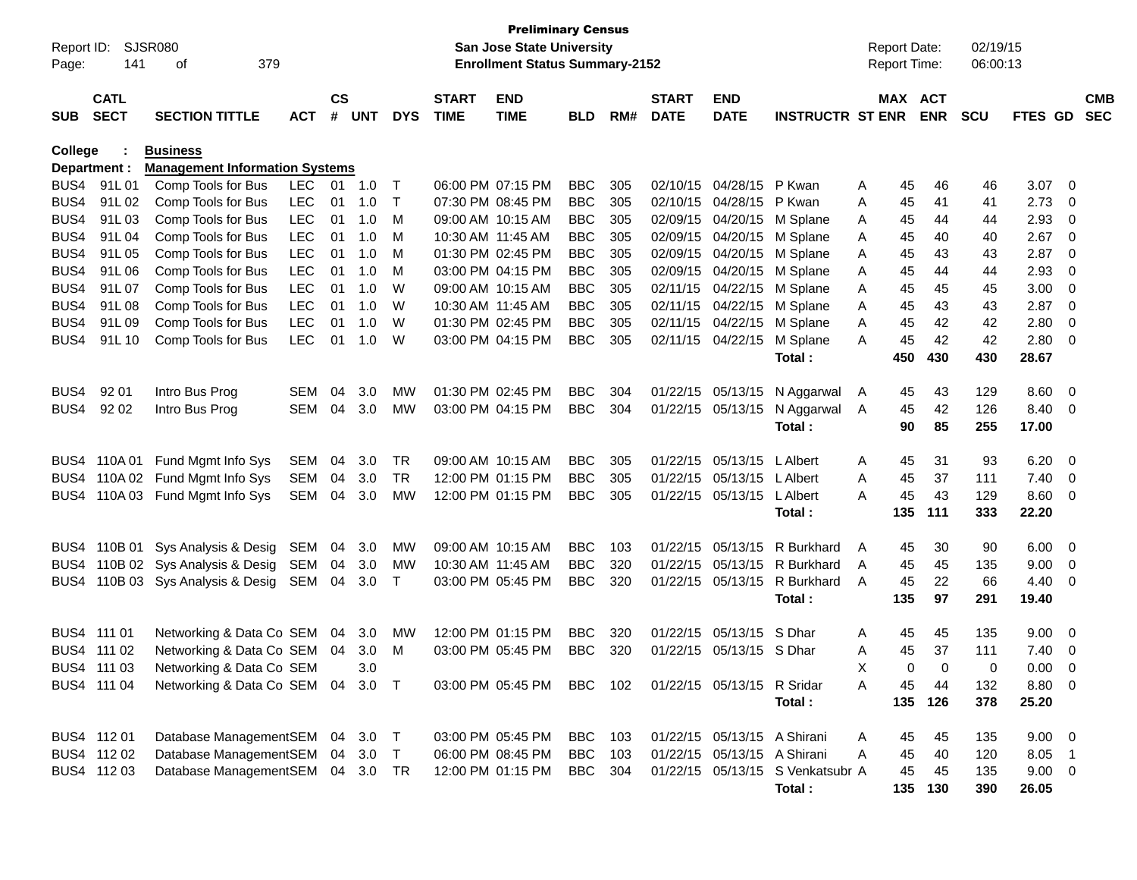|                | <b>Preliminary Census</b><br>Report ID:<br>SJSR080<br>San Jose State University |                                       |            |               |            |            |              |                                       |                |       |              |                             |                                  | <b>Report Date:</b> |              | 02/19/15   |            |                          |                |            |
|----------------|---------------------------------------------------------------------------------|---------------------------------------|------------|---------------|------------|------------|--------------|---------------------------------------|----------------|-------|--------------|-----------------------------|----------------------------------|---------------------|--------------|------------|------------|--------------------------|----------------|------------|
| Page:          | 141                                                                             | 379<br>οf                             |            |               |            |            |              | <b>Enrollment Status Summary-2152</b> |                |       |              |                             |                                  |                     | Report Time: |            | 06:00:13   |                          |                |            |
|                | <b>CATL</b>                                                                     |                                       |            | $\mathsf{cs}$ |            |            | <b>START</b> | <b>END</b>                            |                |       | <b>START</b> | <b>END</b>                  |                                  |                     | MAX ACT      |            |            |                          |                | <b>CMB</b> |
| <b>SUB</b>     | <b>SECT</b>                                                                     | <b>SECTION TITTLE</b>                 | <b>ACT</b> | #             | <b>UNT</b> | <b>DYS</b> | <b>TIME</b>  | <b>TIME</b>                           | <b>BLD</b>     | RM#   | <b>DATE</b>  | <b>DATE</b>                 | <b>INSTRUCTR ST ENR</b>          |                     |              | <b>ENR</b> | <b>SCU</b> | FTES GD                  |                | <b>SEC</b> |
| <b>College</b> |                                                                                 | <b>Business</b>                       |            |               |            |            |              |                                       |                |       |              |                             |                                  |                     |              |            |            |                          |                |            |
|                | Department :                                                                    | <b>Management Information Systems</b> |            |               |            |            |              |                                       |                |       |              |                             |                                  |                     |              |            |            |                          |                |            |
| BUS4           | 91L01                                                                           | Comp Tools for Bus                    | <b>LEC</b> | 01            | 1.0        | $\top$     |              | 06:00 PM 07:15 PM                     | <b>BBC</b>     | 305   |              | 02/10/15 04/28/15           | P Kwan                           | Α                   | 45           | 46         | 46         | 3.07                     | $\overline{0}$ |            |
| BUS4           | 91L02                                                                           | Comp Tools for Bus                    | <b>LEC</b> | 01            | 1.0        | Τ          |              | 07:30 PM 08:45 PM                     | <b>BBC</b>     | 305   |              | 02/10/15 04/28/15           | P Kwan                           | Α                   | 45           | 41         | 41         | 2.73                     | 0              |            |
| BUS4           | 91L03                                                                           | Comp Tools for Bus                    | <b>LEC</b> | 01            | 1.0        | М          |              | 09:00 AM 10:15 AM                     | <b>BBC</b>     | 305   |              | 02/09/15 04/20/15           | M Splane                         | A                   | 45           | 44         | 44         | 2.93                     | 0              |            |
| BUS4           | 91L04                                                                           | Comp Tools for Bus                    | <b>LEC</b> | 01            | 1.0        | М          |              | 10:30 AM 11:45 AM                     | <b>BBC</b>     | 305   |              | 02/09/15 04/20/15           | M Splane                         | A                   | 45           | 40         | 40         | 2.67                     | 0              |            |
| BUS4           | 91L05                                                                           | Comp Tools for Bus                    | <b>LEC</b> | 01            | 1.0        | М          |              | 01:30 PM 02:45 PM                     | <b>BBC</b>     | 305   |              | 02/09/15 04/20/15           | M Splane                         | Α                   | 45           | 43         | 43         | 2.87                     | 0              |            |
| BUS4           | 91L06                                                                           | Comp Tools for Bus                    | <b>LEC</b> | 01            | 1.0        | М          |              | 03:00 PM 04:15 PM                     | <b>BBC</b>     | 305   |              | 02/09/15 04/20/15           | M Splane                         | Α                   | 45           | 44         | 44         | 2.93                     | 0              |            |
| BUS4           | 91L 07                                                                          | Comp Tools for Bus                    | <b>LEC</b> | 01            | 1.0        | W          |              | 09:00 AM 10:15 AM                     | <b>BBC</b>     | 305   |              | 02/11/15 04/22/15           | M Splane                         | A                   | 45           | 45         | 45         | 3.00                     | 0              |            |
| BUS4           | 91L08                                                                           | Comp Tools for Bus                    | <b>LEC</b> | 01            | 1.0        | W          |              | 10:30 AM 11:45 AM                     | <b>BBC</b>     | 305   |              | 02/11/15 04/22/15           | M Splane                         | A                   | 45           | 43         | 43         | 2.87                     | 0              |            |
| BUS4           | 91L09                                                                           | Comp Tools for Bus                    | <b>LEC</b> | 01            | 1.0        | W          |              | 01:30 PM 02:45 PM                     | <b>BBC</b>     | 305   |              | 02/11/15 04/22/15           | M Splane                         | A                   | 45           | 42         | 42         | 2.80                     | 0              |            |
| BUS4           | 91L 10                                                                          | Comp Tools for Bus                    | <b>LEC</b> | 01            | 1.0        | W          |              | 03:00 PM 04:15 PM                     | <b>BBC</b>     | 305   |              | 02/11/15 04/22/15           | M Splane                         | A                   | 45           | 42         | 42         | 2.80                     | 0              |            |
|                |                                                                                 |                                       |            |               |            |            |              |                                       |                |       |              |                             | Total:                           |                     | 450          | 430        | 430        | 28.67                    |                |            |
| BUS4           | 92 01                                                                           | Intro Bus Prog                        | <b>SEM</b> | 04            | 3.0        | MW         |              | 01:30 PM 02:45 PM                     | <b>BBC</b>     | 304   |              | 01/22/15 05/13/15           | N Aggarwal                       | A                   | 45           | 43         | 129        | 8.60                     | 0              |            |
| BUS4           | 92 02                                                                           | Intro Bus Prog                        | <b>SEM</b> | 04            | 3.0        | MW         |              | 03:00 PM 04:15 PM                     | <b>BBC</b>     | 304   |              | 01/22/15 05/13/15           | N Aggarwal                       | A                   | 45           | 42         | 126        | 8.40                     | 0              |            |
|                |                                                                                 |                                       |            |               |            |            |              |                                       |                |       |              |                             | Total:                           |                     | 90           | 85         | 255        | 17.00                    |                |            |
|                |                                                                                 |                                       |            |               |            |            |              |                                       |                |       |              |                             |                                  |                     |              |            |            |                          |                |            |
| BUS4           | 110A 01                                                                         | Fund Mgmt Info Sys                    | <b>SEM</b> | 04            | 3.0        | TR         |              | 09:00 AM 10:15 AM                     | <b>BBC</b>     | 305   |              | 01/22/15 05/13/15           | L Albert                         | A                   | 45           | 31         | 93         | 6.20                     | 0              |            |
| BUS4           | 110A 02                                                                         | Fund Mgmt Info Sys                    | <b>SEM</b> | 04            | 3.0        | TR         |              | 12:00 PM 01:15 PM                     | <b>BBC</b>     | 305   |              | 01/22/15 05/13/15           | L Albert                         | Α                   | 45           | 37         | 111        | 7.40                     | 0              |            |
| BUS4           |                                                                                 | 110A 03 Fund Mgmt Info Sys            | <b>SEM</b> | 04            | 3.0        | MW         |              | 12:00 PM 01:15 PM                     | <b>BBC</b>     | 305   |              | 01/22/15 05/13/15           | L Albert                         | Α                   | 45           | 43         | 129        | 8.60                     | 0              |            |
|                |                                                                                 |                                       |            |               |            |            |              |                                       |                |       |              |                             | Total:                           |                     | 135          | 111        | 333        | 22.20                    |                |            |
| BUS4           | 110B 01                                                                         | Sys Analysis & Desig                  | SEM        | 04            | 3.0        | MW         |              | 09:00 AM 10:15 AM                     | <b>BBC</b>     | 103   |              | 01/22/15 05/13/15           | R Burkhard                       | A                   | 45           | 30         | 90         | 6.00                     | 0              |            |
| BUS4           |                                                                                 | 110B 02 Sys Analysis & Desig          | SEM        | 04            | 3.0        | <b>MW</b>  |              | 10:30 AM 11:45 AM                     | <b>BBC</b>     | 320   |              | 01/22/15 05/13/15           | R Burkhard                       | A                   | 45           | 45         | 135        | 9.00                     | 0              |            |
| BUS4           |                                                                                 | 110B 03 Sys Analysis & Desig          | SEM        | 04            | 3.0        | $\top$     |              | 03:00 PM 05:45 PM                     | <b>BBC</b>     | 320   |              | 01/22/15 05/13/15           | R Burkhard                       | A                   | 45           | 22         | 66         | 4.40                     | 0              |            |
|                |                                                                                 |                                       |            |               |            |            |              |                                       |                |       |              |                             | Total:                           |                     | 135          | 97         | 291        | 19.40                    |                |            |
|                |                                                                                 |                                       |            |               |            |            |              |                                       |                |       |              |                             |                                  |                     |              |            |            |                          |                |            |
|                | BUS4 111 01                                                                     | Networking & Data Co SEM              |            | 04            | 3.0        | МW         |              | 12:00 PM 01:15 PM                     | <b>BBC</b>     | 320   |              | 01/22/15 05/13/15           | S Dhar                           | A                   | 45           | 45         | 135        | 9.00                     | 0              |            |
|                | BUS4 111 02                                                                     | Networking & Data Co SEM              |            | 04            | 3.0        | M          |              | 03:00 PM 05:45 PM                     | <b>BBC</b>     | 320   |              | 01/22/15 05/13/15 S Dhar    |                                  | Α                   | 45           | 37         | 111        | 7.40                     | 0              |            |
|                | BUS4 111 03                                                                     | Networking & Data Co SEM              |            |               | 3.0        |            |              |                                       |                |       |              |                             |                                  | x                   | 0            | $\Omega$   | 0          | 0.00                     | $\Omega$       |            |
|                | BUS4 111 04                                                                     | Networking & Data Co SEM 04 3.0 T     |            |               |            |            |              | 03:00 PM 05:45 PM                     | BBC 102        |       |              | 01/22/15 05/13/15 R Sridar  |                                  | Α                   | 45           | 44         | 132        | 8.80 0                   |                |            |
|                |                                                                                 |                                       |            |               |            |            |              |                                       |                |       |              |                             | Total:                           |                     | 135          | 126        | 378        | 25.20                    |                |            |
|                | BUS4 112 01                                                                     | Database ManagementSEM 04 3.0 T       |            |               |            |            |              | 03:00 PM 05:45 PM                     | BBC            | - 103 |              | 01/22/15 05/13/15 A Shirani |                                  |                     |              | 45         | 135        |                          |                |            |
|                | BUS4 112 02                                                                     | Database ManagementSEM                |            |               | 04 3.0     | $\top$     |              | 06:00 PM 08:45 PM                     | BBC            | 103   |              | 01/22/15 05/13/15 A Shirani |                                  | A<br>Α              | 45<br>45     | 40         | 120        | $9.00 \quad 0$<br>8.05 1 |                |            |
|                |                                                                                 | Database ManagementSEM 04 3.0 TR      |            |               |            |            |              |                                       | <b>BBC</b> 304 |       |              |                             | 01/22/15 05/13/15 S Venkatsubr A |                     |              |            |            |                          |                |            |
|                | BUS4 112 03                                                                     |                                       |            |               |            |            |              | 12:00 PM 01:15 PM                     |                |       |              |                             |                                  |                     | 45           | 45         | 135        | $9.00 \t 0$              |                |            |
|                |                                                                                 |                                       |            |               |            |            |              |                                       |                |       |              |                             | Total:                           |                     | 135          | 130        | 390        | 26.05                    |                |            |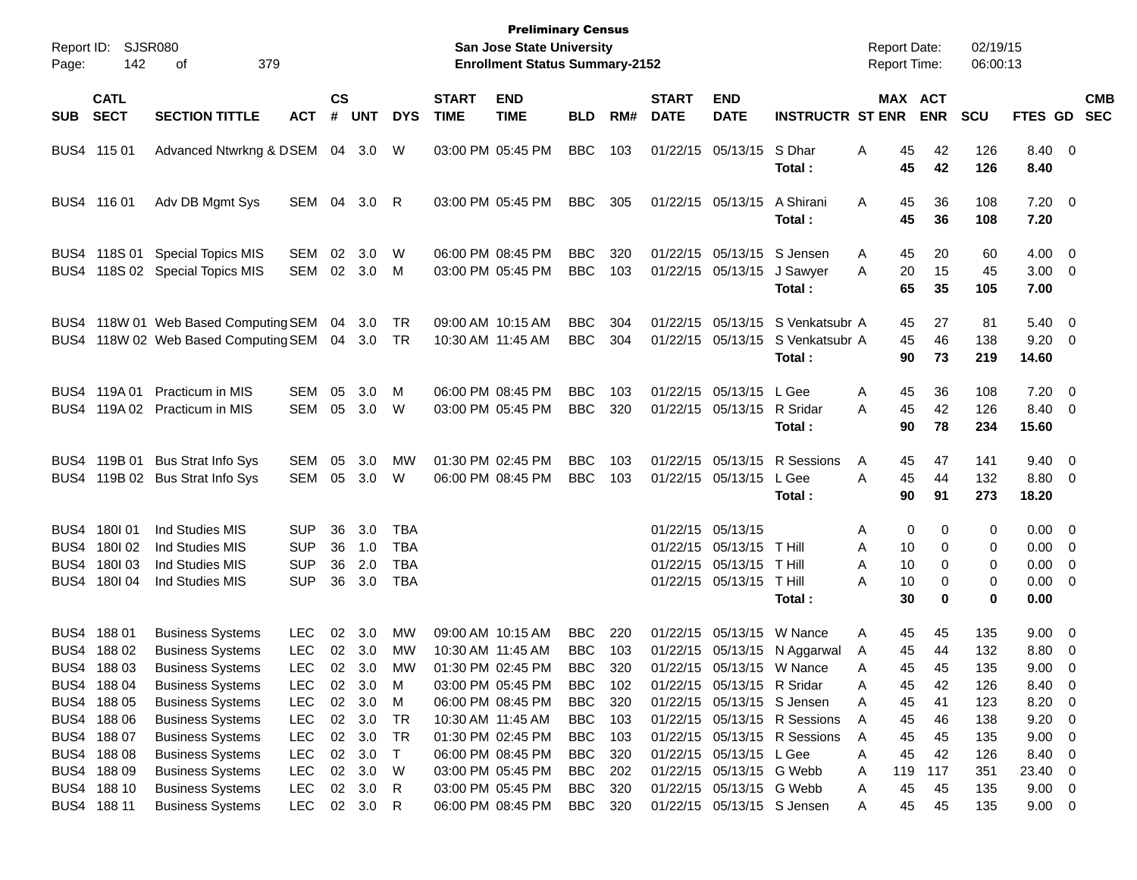| Page:      | <b>Preliminary Census</b><br>Report ID:<br>SJSR080<br>San Jose State University<br>142<br>379<br><b>Enrollment Status Summary-2152</b><br>οf |                                                                                                                                                                |                                                                                  |                      |                                                            |                                                      |                             |                                                                                                                            |                                                                                  |                                        |                             |                                                                                                               | <b>Report Date:</b><br>Report Time:                                            |                                                                 | 02/19/15<br>06:00:13              |                                        |                                                                  |                                                                                                              |
|------------|----------------------------------------------------------------------------------------------------------------------------------------------|----------------------------------------------------------------------------------------------------------------------------------------------------------------|----------------------------------------------------------------------------------|----------------------|------------------------------------------------------------|------------------------------------------------------|-----------------------------|----------------------------------------------------------------------------------------------------------------------------|----------------------------------------------------------------------------------|----------------------------------------|-----------------------------|---------------------------------------------------------------------------------------------------------------|--------------------------------------------------------------------------------|-----------------------------------------------------------------|-----------------------------------|----------------------------------------|------------------------------------------------------------------|--------------------------------------------------------------------------------------------------------------|
| <b>SUB</b> | <b>CATL</b><br><b>SECT</b>                                                                                                                   | <b>SECTION TITTLE</b>                                                                                                                                          | АСТ                                                                              | $\mathsf{cs}$<br>#   | <b>UNT</b>                                                 | <b>DYS</b>                                           | <b>START</b><br><b>TIME</b> | <b>END</b><br><b>TIME</b>                                                                                                  | <b>BLD</b>                                                                       | RM#                                    | <b>START</b><br><b>DATE</b> | <b>END</b><br><b>DATE</b>                                                                                     | <b>INSTRUCTR ST ENR</b>                                                        |                                                                 | MAX ACT<br><b>ENR</b>             | <b>SCU</b>                             | FTES GD SEC                                                      | <b>CMB</b>                                                                                                   |
|            | BUS4 115 01                                                                                                                                  | Advanced Ntwrkng & DSEM 04 3.0                                                                                                                                 |                                                                                  |                      |                                                            | W                                                    |                             | 03:00 PM 05:45 PM                                                                                                          | <b>BBC</b>                                                                       | 103                                    |                             | 01/22/15 05/13/15 S Dhar                                                                                      | Total:                                                                         | 45<br>Α<br>45                                                   | 42<br>42                          | 126<br>126                             | 8.40 0<br>8.40                                                   |                                                                                                              |
|            | BUS4 116 01                                                                                                                                  | Adv DB Mgmt Sys                                                                                                                                                | SEM 04 3.0                                                                       |                      |                                                            | R                                                    |                             | 03:00 PM 05:45 PM                                                                                                          | <b>BBC</b>                                                                       | 305                                    |                             | 01/22/15 05/13/15                                                                                             | A Shirani<br>Total:                                                            | 45<br>A<br>45                                                   | 36<br>36                          | 108<br>108                             | $7.20 \t 0$<br>7.20                                              |                                                                                                              |
|            | BUS4 118S 01                                                                                                                                 | <b>Special Topics MIS</b><br>BUS4 118S 02 Special Topics MIS                                                                                                   | SEM<br>SEM                                                                       | 02<br>02             | 3.0<br>3.0                                                 | W<br>M                                               |                             | 06:00 PM 08:45 PM<br>03:00 PM 05:45 PM                                                                                     | <b>BBC</b><br><b>BBC</b>                                                         | 320<br>103                             |                             | 01/22/15 05/13/15 S Jensen<br>01/22/15 05/13/15                                                               | J Sawyer<br>Total:                                                             | 45<br>A<br>A<br>20<br>65                                        | 20<br>15<br>35                    | 60<br>45<br>105                        | $4.00 \ 0$<br>$3.00 \ 0$<br>7.00                                 |                                                                                                              |
|            |                                                                                                                                              | BUS4 118W 01 Web Based Computing SEM 04 3.0<br>BUS4 118W 02 Web Based Computing SEM 04 3.0 TR                                                                  |                                                                                  |                      |                                                            | TR                                                   |                             | 09:00 AM 10:15 AM<br>10:30 AM 11:45 AM                                                                                     | <b>BBC</b><br><b>BBC</b>                                                         | 304<br>304                             |                             |                                                                                                               | 01/22/15 05/13/15 S Venkatsubr A<br>01/22/15 05/13/15 S Venkatsubr A<br>Total: | 45<br>45<br>90                                                  | 27<br>46<br>73                    | 81<br>138<br>219                       | $5.40 \ 0$<br>$9.20 \ 0$<br>14.60                                |                                                                                                              |
|            | BUS4 119A 01                                                                                                                                 | <b>Practicum in MIS</b><br>BUS4 119A 02 Practicum in MIS                                                                                                       | SEM<br>SEM                                                                       | 05<br>05             | 3.0<br>3.0                                                 | M<br><b>W</b>                                        |                             | 06:00 PM 08:45 PM<br>03:00 PM 05:45 PM                                                                                     | <b>BBC</b><br><b>BBC</b>                                                         | 103<br>320                             |                             | 01/22/15 05/13/15 L Gee<br>01/22/15 05/13/15 R Sridar                                                         | Total:                                                                         | 45<br>Α<br>45<br>A<br>90                                        | 36<br>42<br>78                    | 108<br>126<br>234                      | $7.20 \t 0$<br>8.40 0<br>15.60                                   |                                                                                                              |
|            | BUS4 119B 01                                                                                                                                 | <b>Bus Strat Info Sys</b><br>BUS4 119B 02 Bus Strat Info Sys                                                                                                   | SEM<br>SEM                                                                       | 05<br>05             | 3.0<br>3.0                                                 | МW<br>W                                              |                             | 01:30 PM 02:45 PM<br>06:00 PM 08:45 PM                                                                                     | <b>BBC</b><br><b>BBC</b>                                                         | 103<br>103                             |                             | 01/22/15 05/13/15                                                                                             | 01/22/15 05/13/15 R Sessions<br>L Gee<br>Total:                                | 45<br>A<br>45<br>A<br>90                                        | 47<br>44<br>91                    | 141<br>132<br>273                      | $9.40 \quad 0$<br>8.80 0<br>18.20                                |                                                                                                              |
|            | BUS4 180 01<br>BUS4 180 02<br>BUS4 180 03<br>BUS4 180 04                                                                                     | Ind Studies MIS<br>Ind Studies MIS<br>Ind Studies MIS<br>Ind Studies MIS                                                                                       | SUP<br><b>SUP</b><br><b>SUP</b><br><b>SUP</b>                                    | 36<br>36<br>36<br>36 | 3.0<br>1.0<br>2.0<br>3.0                                   | <b>TBA</b><br><b>TBA</b><br><b>TBA</b><br><b>TBA</b> |                             |                                                                                                                            |                                                                                  |                                        |                             | 01/22/15 05/13/15<br>01/22/15 05/13/15 T Hill<br>01/22/15 05/13/15 T Hill<br>01/22/15 05/13/15 T Hill         | Total:                                                                         | 0<br>Α<br>Α<br>10<br>10<br>Α<br>Α<br>10<br>30                   | 0<br>0<br>0<br>0<br>$\bf{0}$      | 0<br>0<br>0<br>0<br>0                  | $0.00 \t 0$<br>$0.00 \t 0$<br>$0.00 \t 0$<br>$0.00 \t 0$<br>0.00 |                                                                                                              |
|            | BUS4 188 01<br>BUS4 188 02<br>BUS4 188 03<br>BUS4 188 04<br>BUS4 188 05                                                                      | <b>Business Systems</b><br><b>Business Systems</b><br><b>Business Systems</b><br><b>Business Systems</b><br><b>Business Systems</b>                            | <b>LEC</b><br><b>LEC</b><br><b>LEC</b><br>LEC<br><b>LEC</b>                      | 02<br>02<br>02       | 3.0<br>02 3.0<br>3.0<br>3.0<br>02 3.0                      | МW<br>МW<br>МW<br>M<br>M                             |                             | 09:00 AM 10:15 AM<br>10:30 AM 11:45 AM<br>01:30 PM 02:45 PM<br>03:00 PM 05:45 PM<br>06:00 PM 08:45 PM                      | <b>BBC</b><br><b>BBC</b><br><b>BBC</b><br><b>BBC</b><br><b>BBC</b>               | 220<br>103<br>320<br>102<br>320        | 01/22/15                    | 05/13/15<br>01/22/15 05/13/15 W Nance<br>01/22/15 05/13/15 R Sridar<br>01/22/15 05/13/15 S Jensen             | W Nance<br>01/22/15 05/13/15 N Aggarwal                                        | 45<br>A<br>45<br>A<br>45<br>Α<br>45<br>Α<br>45<br>Α             | 45<br>44<br>45<br>42<br>41        | 135<br>132<br>135<br>126<br>123        | $9.00 \t 0$<br>8.80 0<br>9.00<br>8.40<br>8.20                    | $\overline{\mathbf{0}}$<br>$\overline{\phantom{0}}$<br>$\overline{\phantom{0}}$                              |
|            | BUS4 188 06<br>BUS4 188 07<br>BUS4 188 08<br>BUS4 188 09<br>BUS4 188 10<br>BUS4 188 11                                                       | <b>Business Systems</b><br><b>Business Systems</b><br><b>Business Systems</b><br><b>Business Systems</b><br><b>Business Systems</b><br><b>Business Systems</b> | <b>LEC</b><br><b>LEC</b><br><b>LEC</b><br><b>LEC</b><br><b>LEC</b><br><b>LEC</b> |                      | 02 3.0<br>02 3.0<br>02 3.0<br>02 3.0<br>02 3.0<br>02 3.0 R | TR<br>TR<br>$\top$<br>W<br>R                         |                             | 10:30 AM 11:45 AM<br>01:30 PM 02:45 PM<br>06:00 PM 08:45 PM<br>03:00 PM 05:45 PM<br>03:00 PM 05:45 PM<br>06:00 PM 08:45 PM | <b>BBC</b><br><b>BBC</b><br><b>BBC</b><br><b>BBC</b><br><b>BBC</b><br><b>BBC</b> | 103<br>103<br>320<br>202<br>320<br>320 |                             | 01/22/15 05/13/15 L Gee<br>01/22/15 05/13/15 G Webb<br>01/22/15 05/13/15 G Webb<br>01/22/15 05/13/15 S Jensen | 01/22/15 05/13/15 R Sessions<br>01/22/15 05/13/15 R Sessions                   | 45<br>Α<br>45<br>A<br>45<br>Α<br>119<br>Α<br>45<br>Α<br>45<br>Α | 46<br>45<br>42<br>117<br>45<br>45 | 138<br>135<br>126<br>351<br>135<br>135 | 9.20<br>9.00<br>8.40<br>23.40<br>$9.00 \t 0$<br>$9.00 \t 0$      | $\overline{\phantom{0}}$<br>$\overline{\phantom{0}}$<br>$\overline{\phantom{0}}$<br>$\overline{\phantom{0}}$ |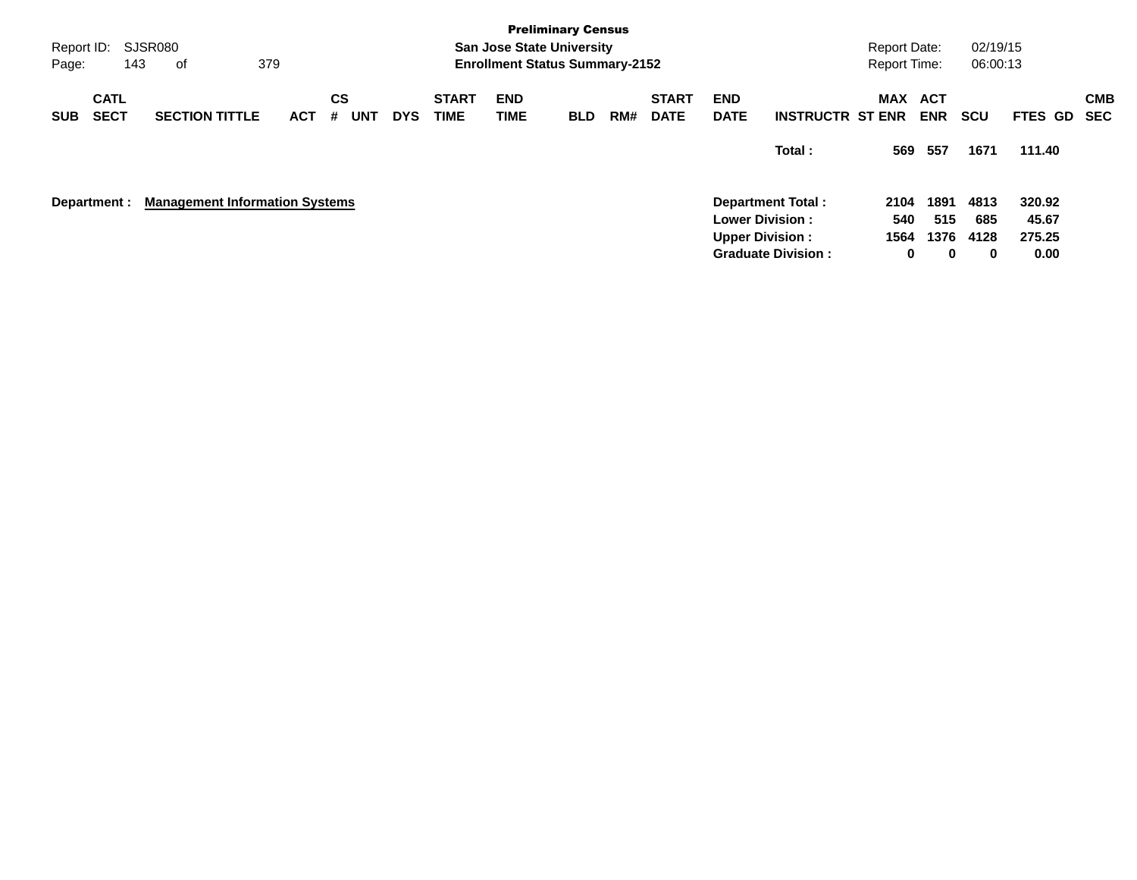| <b>Preliminary Census</b>                                                                                                                                                                                                                                                               |                                 |                            |                                     |
|-----------------------------------------------------------------------------------------------------------------------------------------------------------------------------------------------------------------------------------------------------------------------------------------|---------------------------------|----------------------------|-------------------------------------|
| SJSR080<br>Report ID:<br><b>San Jose State University</b>                                                                                                                                                                                                                               | <b>Report Date:</b>             | 02/19/15                   |                                     |
| 379<br><b>Enrollment Status Summary-2152</b><br>143<br>Page:<br>оf                                                                                                                                                                                                                      | <b>Report Time:</b>             | 06:00:13                   |                                     |
| <b>CATL</b><br>CS<br><b>START</b><br><b>END</b><br><b>END</b><br><b>START</b><br><b>SECT</b><br><b>SECTION TITTLE</b><br><b>TIME</b><br>TIME<br><b>DATE</b><br><b>UNT</b><br><b>DATE</b><br><b>INSTRUCTR ST ENR</b><br><b>ACT</b><br><b>DYS</b><br>RM#<br>#<br><b>SUB</b><br><b>BLD</b> | <b>MAX</b><br>ACT<br><b>ENR</b> | <b>SCU</b>                 | <b>CMB</b><br>FTES GD<br><b>SEC</b> |
| Total:                                                                                                                                                                                                                                                                                  | 557<br>569                      | 1671                       | 111.40                              |
| <b>Management Information Systems</b><br>Department Total:<br>Department :<br><b>Lower Division:</b>                                                                                                                                                                                    | 2104<br>540                     | 1891<br>4813<br>515<br>685 | 320.92<br>45.67                     |
| <b>Upper Division:</b>                                                                                                                                                                                                                                                                  | 1564                            | 1376<br>4128               | 275.25                              |
| <b>Graduate Division:</b>                                                                                                                                                                                                                                                               | 0                               | 0<br>0                     | 0.00                                |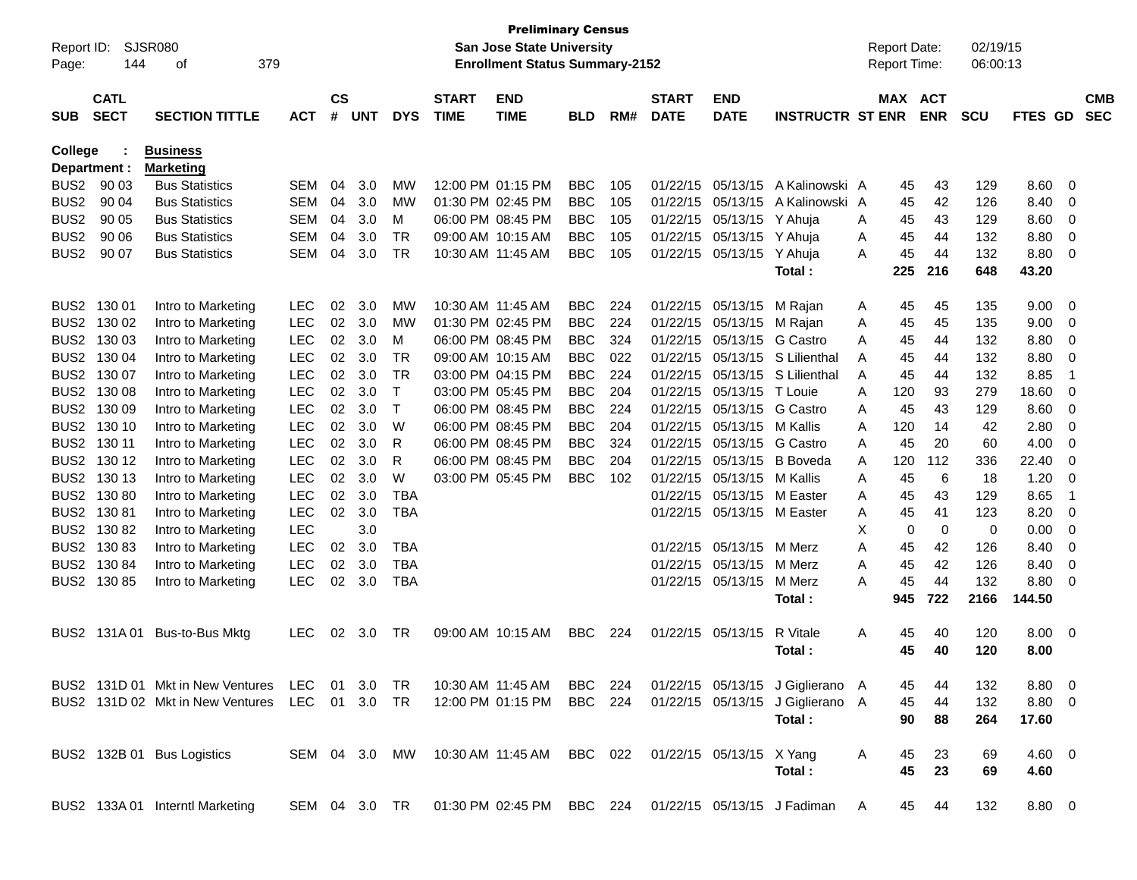| Page:            | <b>Preliminary Census</b><br>SJSR080<br>Report ID:<br><b>San Jose State University</b><br>379<br><b>Enrollment Status Summary-2152</b><br>144<br>οf |                                             |            |                    |            |               |                             |                           |            |     |                             |                            | <b>Report Date:</b><br><b>Report Time:</b>                              |          | 02/19/15<br>06:00:13 |             |            |                |                         |                          |
|------------------|-----------------------------------------------------------------------------------------------------------------------------------------------------|---------------------------------------------|------------|--------------------|------------|---------------|-----------------------------|---------------------------|------------|-----|-----------------------------|----------------------------|-------------------------------------------------------------------------|----------|----------------------|-------------|------------|----------------|-------------------------|--------------------------|
| <b>SUB</b>       | <b>CATL</b><br><b>SECT</b>                                                                                                                          | <b>SECTION TITTLE</b>                       | <b>ACT</b> | $\mathsf{cs}$<br># | <b>UNT</b> | <b>DYS</b>    | <b>START</b><br><b>TIME</b> | <b>END</b><br><b>TIME</b> | <b>BLD</b> | RM# | <b>START</b><br><b>DATE</b> | <b>END</b><br><b>DATE</b>  | <b>INSTRUCTR ST ENR</b>                                                 |          | MAX ACT              | <b>ENR</b>  | <b>SCU</b> | FTES GD        |                         | <b>CMB</b><br><b>SEC</b> |
| College          |                                                                                                                                                     | <b>Business</b>                             |            |                    |            |               |                             |                           |            |     |                             |                            |                                                                         |          |                      |             |            |                |                         |                          |
|                  | Department :                                                                                                                                        | <b>Marketing</b>                            |            |                    |            |               |                             |                           |            |     |                             |                            |                                                                         |          |                      |             |            |                |                         |                          |
| BUS <sub>2</sub> | 90 03                                                                                                                                               | <b>Bus Statistics</b>                       | <b>SEM</b> | 04                 | 3.0        | МW            |                             | 12:00 PM 01:15 PM         | <b>BBC</b> | 105 | 01/22/15                    | 05/13/15                   | A Kalinowski A                                                          |          | 45                   | 43          | 129        | 8.60           | 0                       |                          |
| BUS <sub>2</sub> | 90 04                                                                                                                                               | <b>Bus Statistics</b>                       | <b>SEM</b> | 04                 | 3.0        | МW            |                             | 01:30 PM 02:45 PM         | <b>BBC</b> | 105 | 01/22/15                    | 05/13/15                   | A Kalinowski A                                                          |          | 45                   | 42          | 126        | 8.40           | 0                       |                          |
| BUS <sub>2</sub> | 90 05                                                                                                                                               | <b>Bus Statistics</b>                       | <b>SEM</b> | 04                 | 3.0        | м             |                             | 06:00 PM 08:45 PM         | <b>BBC</b> | 105 | 01/22/15                    | 05/13/15                   | Y Ahuia                                                                 | A        | 45                   | 43          | 129        | 8.60           | 0                       |                          |
| BUS <sub>2</sub> | 90 06                                                                                                                                               | <b>Bus Statistics</b>                       | <b>SEM</b> | 04                 | 3.0        | <b>TR</b>     |                             | 09:00 AM 10:15 AM         | <b>BBC</b> | 105 | 01/22/15                    | 05/13/15                   | Y Ahuja                                                                 | A        | 45                   | 44          | 132        | 8.80           | 0                       |                          |
| BUS <sub>2</sub> | 90 07                                                                                                                                               | <b>Bus Statistics</b>                       | <b>SEM</b> | 04                 | 3.0        | <b>TR</b>     |                             | 10:30 AM 11:45 AM         | <b>BBC</b> | 105 |                             | 01/22/15 05/13/15          | Y Ahuja                                                                 | A        | 45                   | 44          | 132        | 8.80           | 0                       |                          |
|                  |                                                                                                                                                     |                                             |            |                    |            |               |                             |                           |            |     |                             |                            | Total:                                                                  |          | 225                  | 216         | 648        | 43.20          |                         |                          |
| BUS <sub>2</sub> | 130 01                                                                                                                                              | Intro to Marketing                          | <b>LEC</b> | 02                 | 3.0        | МW            |                             | 10:30 AM 11:45 AM         | <b>BBC</b> | 224 |                             | 01/22/15 05/13/15 M Rajan  |                                                                         | A        | 45                   | 45          | 135        | 9.00           | 0                       |                          |
| BUS <sub>2</sub> | 130 02                                                                                                                                              | Intro to Marketing                          | <b>LEC</b> | 02                 | 3.0        | МW            |                             | 01:30 PM 02:45 PM         | <b>BBC</b> | 224 | 01/22/15                    | 05/13/15                   | M Rajan                                                                 | A        | 45                   | 45          | 135        | 9.00           | 0                       |                          |
| BUS <sub>2</sub> | 130 03                                                                                                                                              | Intro to Marketing                          | <b>LEC</b> | 02                 | 3.0        | м             |                             | 06:00 PM 08:45 PM         | <b>BBC</b> | 324 | 01/22/15                    | 05/13/15                   | G Castro                                                                | A        | 45                   | 44          | 132        | 8.80           | 0                       |                          |
| BUS <sub>2</sub> | 130 04                                                                                                                                              | Intro to Marketing                          | <b>LEC</b> | 02                 | 3.0        | <b>TR</b>     |                             | 09:00 AM 10:15 AM         | <b>BBC</b> | 022 | 01/22/15                    | 05/13/15                   | S Lilienthal                                                            | A        | 45                   | 44          | 132        | 8.80           | 0                       |                          |
| BUS <sub>2</sub> | 130 07                                                                                                                                              | Intro to Marketing                          | <b>LEC</b> | 02                 | 3.0        | <b>TR</b>     |                             | 03:00 PM 04:15 PM         | <b>BBC</b> | 224 | 01/22/15                    | 05/13/15                   | S Lilienthal                                                            | A        | 45                   | 44          | 132        | 8.85           | -1                      |                          |
| BUS <sub>2</sub> | 130 08                                                                                                                                              | Intro to Marketing                          | <b>LEC</b> | 02                 | 3.0        | $\mathsf{T}$  |                             | 03:00 PM 05:45 PM         | <b>BBC</b> | 204 | 01/22/15                    | 05/13/15                   | T Louie                                                                 | A        | 120                  | 93          | 279        | 18.60          | 0                       |                          |
| BUS <sub>2</sub> | 130 09                                                                                                                                              | Intro to Marketing                          | <b>LEC</b> | 02                 | 3.0        | $\mathsf T$   |                             | 06:00 PM 08:45 PM         | <b>BBC</b> | 224 | 01/22/15                    | 05/13/15                   | <b>G</b> Castro                                                         | A        | 45                   | 43          | 129        | 8.60           | 0                       |                          |
| BUS <sub>2</sub> | 130 10                                                                                                                                              | Intro to Marketing                          | <b>LEC</b> | 02                 | 3.0        | W             |                             | 06:00 PM 08:45 PM         | <b>BBC</b> | 204 | 01/22/15                    | 05/13/15 M Kallis          |                                                                         | A        | 120                  | 14          | 42         | 2.80           | 0                       |                          |
| BUS <sub>2</sub> | 130 11                                                                                                                                              | Intro to Marketing                          | <b>LEC</b> | 02                 | 3.0        | R             |                             | 06:00 PM 08:45 PM         | <b>BBC</b> | 324 | 01/22/15                    | 05/13/15                   | G Castro                                                                | A        | 45                   | 20          | 60         | 4.00           | 0                       |                          |
| BUS <sub>2</sub> | 130 12                                                                                                                                              | Intro to Marketing                          | <b>LEC</b> | 02                 | 3.0        | R             |                             | 06:00 PM 08:45 PM         | <b>BBC</b> | 204 | 01/22/15                    | 05/13/15                   | <b>B</b> Boveda                                                         | A        | 120                  | 112         | 336        | 22.40          | 0                       |                          |
| BUS <sub>2</sub> | 130 13                                                                                                                                              | Intro to Marketing                          | <b>LEC</b> | 02                 | 3.0        | W             |                             | 03:00 PM 05:45 PM         | <b>BBC</b> | 102 | 01/22/15                    | 05/13/15                   | M Kallis                                                                | A        | 45                   | 6           | 18         | 1.20           | 0                       |                          |
| BUS <sub>2</sub> | 13080                                                                                                                                               | Intro to Marketing                          | <b>LEC</b> | 02                 | 3.0        | <b>TBA</b>    |                             |                           |            |     | 01/22/15                    | 05/13/15                   | M Easter                                                                | A        | 45                   | 43          | 129        | 8.65           | -1                      |                          |
| BUS <sub>2</sub> | 13081                                                                                                                                               | Intro to Marketing                          | <b>LEC</b> | 02                 | 3.0        | <b>TBA</b>    |                             |                           |            |     |                             | 01/22/15 05/13/15 M Easter |                                                                         | A        | 45                   | 41          | 123        | 8.20           | 0                       |                          |
| BUS <sub>2</sub> | 13082                                                                                                                                               | Intro to Marketing                          | <b>LEC</b> |                    | 3.0        |               |                             |                           |            |     |                             |                            |                                                                         | X        | 0                    | $\mathbf 0$ | 0          | 0.00           | 0                       |                          |
| BUS <sub>2</sub> | 13083                                                                                                                                               | Intro to Marketing                          | <b>LEC</b> | 02                 | 3.0        | <b>TBA</b>    |                             |                           |            |     | 01/22/15                    | 05/13/15                   | M Merz                                                                  | A        | 45                   | 42          | 126        | 8.40           | 0                       |                          |
| BUS <sub>2</sub> | 130 84                                                                                                                                              | Intro to Marketing                          | <b>LEC</b> | 02                 | 3.0        | <b>TBA</b>    |                             |                           |            |     | 01/22/15                    | 05/13/15                   | M Merz                                                                  | Α        | 45                   | 42          | 126        | 8.40           | 0                       |                          |
| BUS2             | 13085                                                                                                                                               | Intro to Marketing                          | <b>LEC</b> | 02                 | 3.0        | <b>TBA</b>    |                             |                           |            |     |                             | 01/22/15 05/13/15          | M Merz                                                                  | A        | 45                   | 44          | 132        | 8.80           | 0                       |                          |
|                  |                                                                                                                                                     |                                             |            |                    |            |               |                             |                           |            |     |                             |                            | Total:                                                                  |          | 945                  | 722         | 2166       | 144.50         |                         |                          |
| BUS2             | 131A 01                                                                                                                                             | Bus-to-Bus Mktg                             | <b>LEC</b> | 02                 | 3.0        | TR            |                             | 09:00 AM 10:15 AM         | <b>BBC</b> | 224 |                             | 01/22/15 05/13/15          | R Vitale                                                                | A        | 45                   | 40          | 120        | 8.00           | $\overline{\mathbf{0}}$ |                          |
|                  |                                                                                                                                                     |                                             |            |                    |            |               |                             |                           |            |     |                             |                            | Total :                                                                 |          | 45                   | 40          | 120        | 8.00           |                         |                          |
|                  |                                                                                                                                                     | BUS2 131D 01 Mkt in New Ventures LEC 01 3.0 |            |                    |            | TR            |                             | 10:30 AM 11:45 AM         | BBC 224    |     |                             |                            | 01/22/15 05/13/15 J Giglierano A                                        |          | 45                   | 44          | 132        | $8.80\ 0$      |                         |                          |
|                  |                                                                                                                                                     | BUS2 131D 02 Mkt in New Ventures LEC 01 3.0 |            |                    |            | <b>TR</b>     |                             | 12:00 PM 01:15 PM         | BBC 224    |     |                             |                            | 01/22/15 05/13/15 J Giglierano A                                        |          | 45                   | 44          | 132        | 8.80 0         |                         |                          |
|                  |                                                                                                                                                     |                                             |            |                    |            |               |                             |                           |            |     |                             |                            | Total:                                                                  |          | 90                   | 88          | 264        | 17.60          |                         |                          |
|                  |                                                                                                                                                     | BUS2 132B 01 Bus Logistics                  |            |                    |            | SEM 04 3.0 MW |                             | 10:30 AM 11:45 AM BBC 022 |            |     |                             | 01/22/15 05/13/15 X Yang   |                                                                         | A        | 45                   | 23          | 69         | $4.60 \quad 0$ |                         |                          |
|                  |                                                                                                                                                     |                                             |            |                    |            |               |                             |                           |            |     |                             |                            | Total:                                                                  |          | 45                   | 23          | 69         | 4.60           |                         |                          |
|                  |                                                                                                                                                     | BUS2 133A 01 Interntl Marketing             |            |                    |            |               |                             |                           |            |     |                             |                            | SEM 04 3.0 TR  01:30 PM 02:45 PM BBC 224  01/22/15  05/13/15  J Fadiman | <b>A</b> | 45                   | 44          | 132        | 8.80 0         |                         |                          |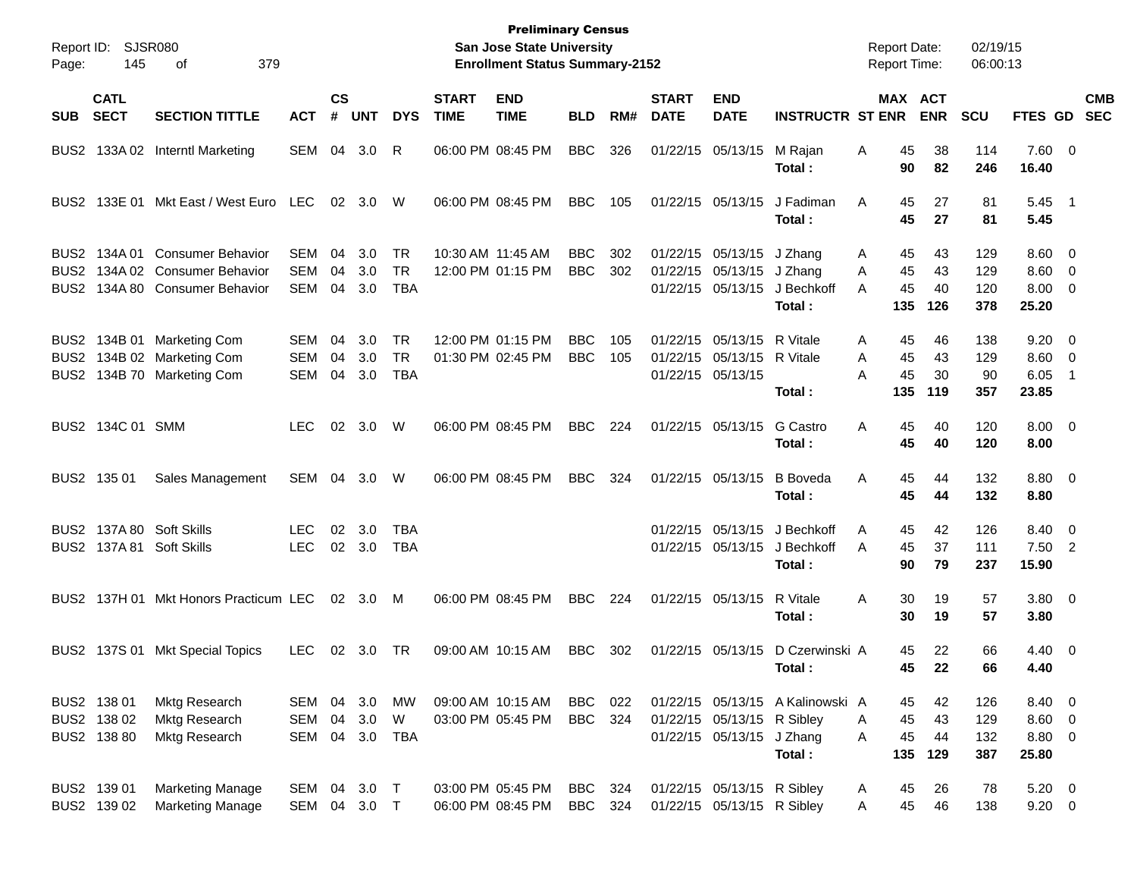| Page:                    | Report ID: SJSR080<br>145                 | 379<br>οf                                                                                |                                        |                    |                         |                               | <b>Preliminary Census</b><br>San Jose State University<br><b>Enrollment Status Summary-2152</b> |                                        |                          |            |                             |                                                                     | <b>Report Date:</b><br><b>Report Time:</b> |                                      | 02/19/15<br>06:00:13        |                          |                                                          |     |                          |
|--------------------------|-------------------------------------------|------------------------------------------------------------------------------------------|----------------------------------------|--------------------|-------------------------|-------------------------------|-------------------------------------------------------------------------------------------------|----------------------------------------|--------------------------|------------|-----------------------------|---------------------------------------------------------------------|--------------------------------------------|--------------------------------------|-----------------------------|--------------------------|----------------------------------------------------------|-----|--------------------------|
| <b>SUB</b>               | <b>CATL</b><br><b>SECT</b>                | <b>SECTION TITTLE</b>                                                                    | <b>ACT</b>                             | $\mathsf{cs}$<br># | <b>UNT</b>              | <b>DYS</b>                    | <b>START</b><br><b>TIME</b>                                                                     | <b>END</b><br><b>TIME</b>              | <b>BLD</b>               | RM#        | <b>START</b><br><b>DATE</b> | <b>END</b><br><b>DATE</b>                                           | <b>INSTRUCTR ST ENR</b>                    |                                      | MAX ACT<br><b>ENR</b>       | <b>SCU</b>               | <b>FTES GD</b>                                           |     | <b>CMB</b><br><b>SEC</b> |
| BUS <sub>2</sub>         |                                           | 133A 02 Interntl Marketing                                                               | SEM                                    | 04                 | 3.0                     | R                             |                                                                                                 | 06:00 PM 08:45 PM                      | <b>BBC</b>               | 326        |                             | 01/22/15 05/13/15                                                   | M Rajan<br>Total :                         | Α<br>90                              | 38<br>45<br>82              | 114<br>246               | 7.60 0<br>16.40                                          |     |                          |
| BUS2                     |                                           | 133E 01 Mkt East / West Euro                                                             | LEC                                    |                    | 02 3.0                  | W                             |                                                                                                 | 06:00 PM 08:45 PM                      | <b>BBC</b>               | 105        |                             | 01/22/15 05/13/15                                                   | J Fadiman<br>Total :                       | A<br>45                              | 27<br>45<br>27              | 81<br>81                 | $5.45$ 1<br>5.45                                         |     |                          |
| BUS2<br>BUS2.            |                                           | BUS2 134A 01 Consumer Behavior<br>134A 02 Consumer Behavior<br>134A 80 Consumer Behavior | SEM<br>SEM<br><b>SEM</b>               | 04<br>04<br>04     | 3.0<br>3.0<br>3.0       | TR<br><b>TR</b><br><b>TBA</b> |                                                                                                 | 10:30 AM 11:45 AM<br>12:00 PM 01:15 PM | <b>BBC</b><br><b>BBC</b> | 302<br>302 |                             | 01/22/15 05/13/15<br>01/22/15 05/13/15 J Zhang<br>01/22/15 05/13/15 | J Zhang<br>J Bechkoff<br>Total :           | 45<br>Α<br>45<br>A<br>45<br>A<br>135 | 43<br>43<br>40<br>126       | 129<br>129<br>120<br>378 | $8.60 \quad 0$<br>$8.60 \quad 0$<br>$8.00 \t 0$<br>25.20 |     |                          |
| BUS <sub>2</sub><br>BUS2 |                                           | BUS2 134B 01 Marketing Com<br>134B 02 Marketing Com<br>134B 70 Marketing Com             | <b>SEM</b><br><b>SEM</b><br><b>SEM</b> | 04<br>04<br>04     | 3.0<br>3.0<br>3.0       | TR<br><b>TR</b><br><b>TBA</b> |                                                                                                 | 12:00 PM 01:15 PM<br>01:30 PM 02:45 PM | <b>BBC</b><br><b>BBC</b> | 105<br>105 |                             | 01/22/15 05/13/15<br>01/22/15 05/13/15<br>01/22/15 05/13/15         | R Vitale<br>R Vitale<br>Total:             | A<br>45<br>A<br>45<br>A<br>135       | 46<br>45<br>43<br>30<br>119 | 138<br>129<br>90<br>357  | $9.20 \ 0$<br>$8.60 \quad 0$<br>6.05<br>23.85            | - 1 |                          |
|                          | BUS2 134C 01 SMM                          |                                                                                          | LEC.                                   | 02                 | 3.0                     | W                             |                                                                                                 | 06:00 PM 08:45 PM                      | <b>BBC</b>               | 224        |                             | 01/22/15 05/13/15                                                   | G Castro<br>Total :                        | 45<br>Α<br>45                        | 40<br>40                    | 120<br>120               | $8.00 \ 0$<br>8.00                                       |     |                          |
|                          | BUS2 135 01                               | Sales Management                                                                         | SEM                                    | 04                 | 3.0                     | W                             |                                                                                                 | 06:00 PM 08:45 PM                      | <b>BBC</b>               | 324        |                             | 01/22/15 05/13/15                                                   | <b>B</b> Boveda<br>Total:                  | 45<br>Α                              | 44<br>45<br>44              | 132<br>132               | $8.80\ 0$<br>8.80                                        |     |                          |
|                          |                                           | BUS2 137A 80 Soft Skills<br>BUS2 137A 81 Soft Skills                                     | LEC.<br><b>LEC</b>                     | 02                 | 3.0<br>02 3.0           | TBA<br>TBA                    |                                                                                                 |                                        |                          |            |                             | 01/22/15 05/13/15<br>01/22/15 05/13/15                              | J Bechkoff<br>J Bechkoff<br>Total :        | Α<br>45<br>A                         | 42<br>45<br>37<br>90<br>79  | 126<br>111<br>237        | 8.40 0<br>$7.50$ 2<br>15.90                              |     |                          |
|                          |                                           | BUS2 137H 01 Mkt Honors Practicum LEC                                                    |                                        |                    | 02 3.0 M                |                               |                                                                                                 | 06:00 PM 08:45 PM                      | BBC                      | 224        |                             | 01/22/15 05/13/15                                                   | R Vitale<br>Total :                        | Α<br>30<br>30                        | 19<br>19                    | 57<br>57                 | $3.80 \ 0$<br>3.80                                       |     |                          |
|                          |                                           | BUS2 137S 01 Mkt Special Topics                                                          | <b>LEC</b>                             |                    | 02 3.0                  | TR                            |                                                                                                 | 09:00 AM 10:15 AM                      | <b>BBC</b>               | 302        |                             | 01/22/15 05/13/15                                                   | D Czerwinski A<br>Total:                   | 45                                   | 22<br>45<br>22              | 66<br>66                 | $4.40 \ 0$<br>4.40                                       |     |                          |
|                          | BUS2 138 01<br>BUS2 138 02<br>BUS2 138 80 | Mktg Research<br><b>Mktg Research</b><br><b>Mktg Research</b>                            | SEM<br>SEM<br>SEM                      | 04                 | 04 3.0<br>3.0<br>04 3.0 | МW<br>W<br>TBA                |                                                                                                 | 09:00 AM 10:15 AM<br>03:00 PM 05:45 PM | BBC<br><b>BBC</b>        | 022<br>324 |                             | 01/22/15 05/13/15 R Sibley<br>01/22/15 05/13/15 J Zhang             | 01/22/15 05/13/15 A Kalinowski A<br>Total: | 45<br>A<br>45<br>A<br>135            | 42<br>45<br>43<br>44<br>129 | 126<br>129<br>132<br>387 | 8.40 0<br>8.60 0<br>8.80 0<br>25.80                      |     |                          |
|                          | BUS2 139 01<br>BUS2 139 02                | <b>Marketing Manage</b><br><b>Marketing Manage</b>                                       | SEM<br>SEM 04 3.0 T                    |                    | 04 3.0 T                |                               |                                                                                                 | 03:00 PM 05:45 PM<br>06:00 PM 08:45 PM | BBC<br><b>BBC</b>        | 324<br>324 |                             | 01/22/15 05/13/15 R Sibley<br>01/22/15 05/13/15 R Sibley            |                                            | 45<br>A<br>Α                         | 26<br>45<br>46              | 78<br>138                | $5.20 \ 0$<br>$9.20 \t 0$                                |     |                          |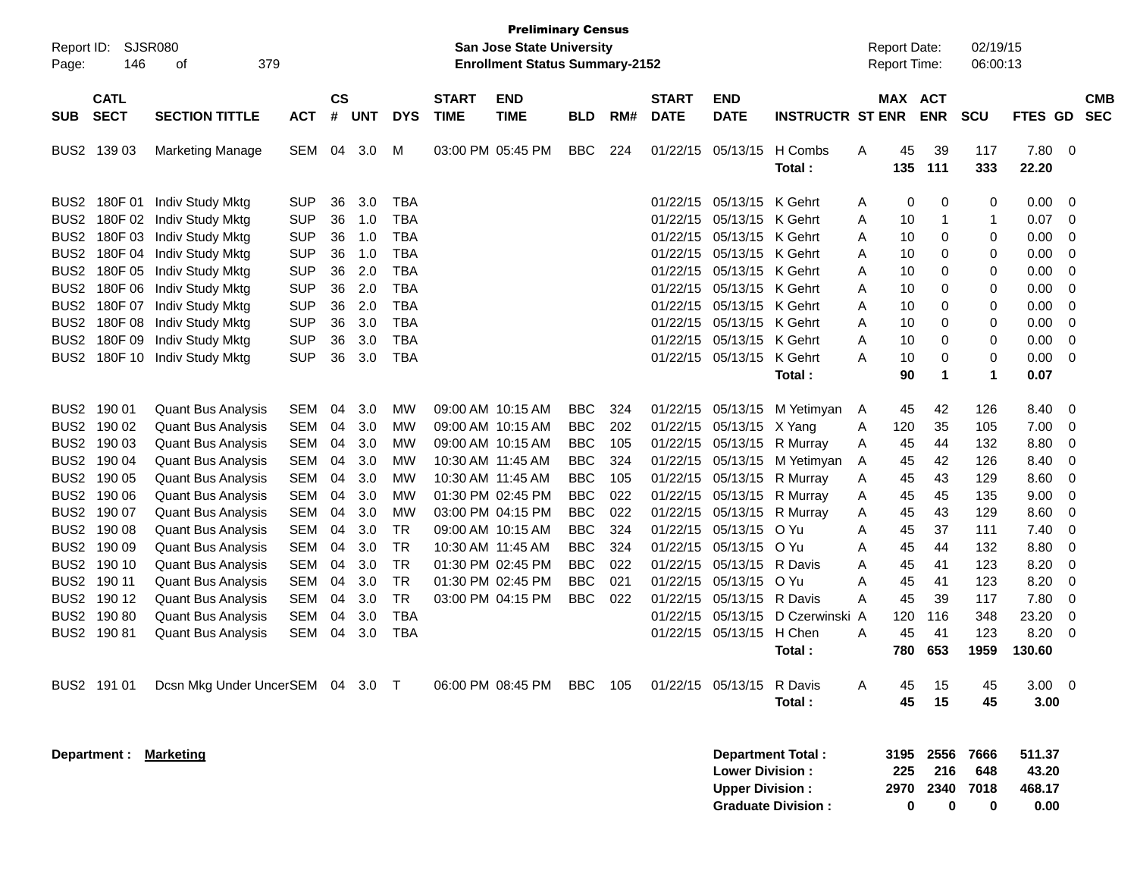| Report ID:<br>Page:                                                                                                                | 146                        | <b>SJSR080</b><br>379<br>οf                                                                                                                   |                                                                    |                            |                                 |                                                      |                             | <b>Preliminary Census</b><br>San Jose State University<br><b>Enrollment Status Summary-2152</b>       |                                                                    |                                 |                             |                                                                                                                                           |                                                              |                          | <b>Report Date:</b><br>Report Time: |                              | 02/19/15<br>06:00:13             |                                         |                       |
|------------------------------------------------------------------------------------------------------------------------------------|----------------------------|-----------------------------------------------------------------------------------------------------------------------------------------------|--------------------------------------------------------------------|----------------------------|---------------------------------|------------------------------------------------------|-----------------------------|-------------------------------------------------------------------------------------------------------|--------------------------------------------------------------------|---------------------------------|-----------------------------|-------------------------------------------------------------------------------------------------------------------------------------------|--------------------------------------------------------------|--------------------------|-------------------------------------|------------------------------|----------------------------------|-----------------------------------------|-----------------------|
| <b>SUB</b>                                                                                                                         | <b>CATL</b><br><b>SECT</b> | <b>SECTION TITTLE</b>                                                                                                                         | <b>ACT</b>                                                         | <b>CS</b><br>#             | <b>UNT</b>                      | <b>DYS</b>                                           | <b>START</b><br><b>TIME</b> | <b>END</b><br><b>TIME</b>                                                                             | <b>BLD</b>                                                         | RM#                             | <b>START</b><br><b>DATE</b> | <b>END</b><br><b>DATE</b>                                                                                                                 | <b>INSTRUCTR ST ENR</b>                                      |                          | MAX ACT<br><b>ENR</b>               |                              | <b>SCU</b>                       | FTES GD SEC                             | <b>CMB</b>            |
| BUS2 139 03                                                                                                                        |                            | <b>Marketing Manage</b>                                                                                                                       | SEM                                                                | 04                         | 3.0                             | М                                                    |                             | 03:00 PM 05:45 PM                                                                                     | <b>BBC</b>                                                         | 224                             |                             | 01/22/15 05/13/15                                                                                                                         | H Combs<br>Total:                                            | Α                        | 45<br>135                           | 39<br>111                    | 117<br>333                       | 7.80<br>22.20                           | - 0                   |
| BUS <sub>2</sub><br>BUS <sub>2</sub><br>BUS <sub>2</sub>                                                                           | BUS2 180F 01<br>180F 02    | Indiv Study Mktg<br>Indiv Study Mktg<br>180F 03 Indiv Study Mktg<br>180F 04 Indiv Study Mktg                                                  | <b>SUP</b><br><b>SUP</b><br><b>SUP</b><br><b>SUP</b>               | 36<br>36<br>36<br>36       | 3.0<br>1.0<br>1.0<br>1.0        | <b>TBA</b><br><b>TBA</b><br><b>TBA</b><br><b>TBA</b> |                             |                                                                                                       |                                                                    |                                 |                             | 01/22/15 05/13/15 K Gehrt<br>01/22/15 05/13/15 K Gehrt<br>01/22/15 05/13/15 K Gehrt<br>01/22/15 05/13/15 K Gehrt                          |                                                              | A<br>A<br>A<br>A         | 0<br>10<br>10<br>10                 | 0<br>1<br>0<br>0             | 0<br>$\mathbf{1}$<br>0<br>0      | 0.00<br>0.07<br>0.00<br>0.00            | 0<br>0<br>0<br>0      |
| BUS <sub>2</sub>                                                                                                                   |                            | BUS2 180F 05 Indiv Study Mktg<br>180F 06 Indiv Study Mktg<br>BUS2 180F 07 Indiv Study Mktg<br>BUS2 180F 08 Indiv Study Mktg                   | <b>SUP</b><br><b>SUP</b><br><b>SUP</b><br><b>SUP</b>               | 36<br>36<br>36<br>36       | 2.0<br>2.0<br>2.0<br>3.0        | <b>TBA</b><br><b>TBA</b><br><b>TBA</b><br><b>TBA</b> |                             |                                                                                                       |                                                                    |                                 |                             | 01/22/15 05/13/15 K Gehrt<br>01/22/15 05/13/15 K Gehrt<br>01/22/15 05/13/15 K Gehrt<br>01/22/15 05/13/15 K Gehrt                          |                                                              | A<br>A<br>A<br>A         | 10<br>10<br>10<br>10                | 0<br>0<br>0<br>0             | 0<br>0<br>0<br>0                 | 0.00<br>0.00<br>0.00<br>0.00            | 0<br>0<br>0<br>0      |
| BUS <sub>2</sub>                                                                                                                   |                            | 180F 09 Indiv Study Mktg<br>BUS2 180F 10 Indiv Study Mktg                                                                                     | <b>SUP</b><br><b>SUP</b>                                           | 36<br>36                   | 3.0<br>3.0                      | <b>TBA</b><br><b>TBA</b>                             |                             |                                                                                                       |                                                                    |                                 |                             | 01/22/15 05/13/15 K Gehrt<br>01/22/15 05/13/15 K Gehrt                                                                                    | Total:                                                       | A<br>Α                   | 10<br>10<br>90                      | 0<br>0<br>1                  | 0<br>0<br>$\mathbf{1}$           | 0.00<br>0.00<br>0.07                    | 0<br>0                |
| BUS2 190 01<br>BUS2 190 02<br>BUS2 190 03<br>BUS2 190 04<br>BUS2 190 05                                                            |                            | <b>Quant Bus Analysis</b><br><b>Quant Bus Analysis</b><br><b>Quant Bus Analysis</b><br><b>Quant Bus Analysis</b><br><b>Quant Bus Analysis</b> | SEM<br><b>SEM</b><br><b>SEM</b><br><b>SEM</b><br><b>SEM</b>        | 04<br>04<br>04<br>04<br>04 | 3.0<br>3.0<br>3.0<br>3.0<br>3.0 | МW<br>МW<br>МW<br>МW<br>МW                           |                             | 09:00 AM 10:15 AM<br>09:00 AM 10:15 AM<br>09:00 AM 10:15 AM<br>10:30 AM 11:45 AM<br>10:30 AM 11:45 AM | <b>BBC</b><br><b>BBC</b><br><b>BBC</b><br><b>BBC</b><br><b>BBC</b> | 324<br>202<br>105<br>324<br>105 |                             | 01/22/15 05/13/15 X Yang<br>01/22/15 05/13/15 R Murray<br>01/22/15 05/13/15 R Murray                                                      | 01/22/15 05/13/15 M Yetimyan<br>01/22/15 05/13/15 M Yetimyan | A<br>Α<br>Α<br>A<br>Α    | 45<br>120<br>45<br>45<br>45         | 42<br>35<br>44<br>42<br>43   | 126<br>105<br>132<br>126<br>129  | 8.40<br>7.00<br>8.80<br>8.40<br>8.60    | 0<br>0<br>0<br>0<br>0 |
| BUS2 190 06<br>BUS2 190 07<br>BUS2 190 08<br>BUS2 190 09<br>BUS2 190 10                                                            |                            | <b>Quant Bus Analysis</b><br><b>Quant Bus Analysis</b><br><b>Quant Bus Analysis</b><br><b>Quant Bus Analysis</b><br><b>Quant Bus Analysis</b> | <b>SEM</b><br><b>SEM</b><br><b>SEM</b><br><b>SEM</b><br><b>SEM</b> | 04<br>04<br>04<br>04<br>04 | 3.0<br>3.0<br>3.0<br>3.0<br>3.0 | МW<br>МW<br>TR<br><b>TR</b><br><b>TR</b>             |                             | 01:30 PM 02:45 PM<br>03:00 PM 04:15 PM<br>09:00 AM 10:15 AM<br>10:30 AM 11:45 AM<br>01:30 PM 02:45 PM | <b>BBC</b><br><b>BBC</b><br><b>BBC</b><br><b>BBC</b><br><b>BBC</b> | 022<br>022<br>324<br>324<br>022 |                             | 01/22/15 05/13/15 R Murray<br>01/22/15 05/13/15 R Murray<br>01/22/15 05/13/15 O Yu<br>01/22/15 05/13/15 O Yu<br>01/22/15 05/13/15 R Davis |                                                              | Α<br>Α<br>A<br>Α<br>A    | 45<br>45<br>45<br>45<br>45          | 45<br>43<br>37<br>44<br>41   | 135<br>129<br>111<br>132<br>123  | 9.00<br>8.60<br>7.40<br>8.80<br>8.20    | 0<br>0<br>0<br>0<br>0 |
| BUS2 190 11<br>BUS2 190 12<br>BUS2 190 80<br>BUS2 190 81                                                                           |                            | <b>Quant Bus Analysis</b><br><b>Quant Bus Analysis</b><br><b>Quant Bus Analysis</b><br><b>Quant Bus Analysis</b>                              | <b>SEM</b><br><b>SEM</b><br><b>SEM</b><br><b>SEM</b>               | 04<br>04<br>04<br>04       | 3.0<br>3.0<br>3.0<br>3.0        | <b>TR</b><br><b>TR</b><br><b>TBA</b><br><b>TBA</b>   |                             | 01:30 PM 02:45 PM<br>03:00 PM 04:15 PM                                                                | <b>BBC</b><br><b>BBC</b>                                           | 021<br>022                      |                             | 01/22/15 05/13/15<br>01/22/15 05/13/15 R Davis<br>01/22/15 05/13/15 H Chen                                                                | – O Yu<br>01/22/15 05/13/15 D Czerwinski<br>Total :          | Α<br>А<br>A<br>A         | 45<br>45<br>120<br>45<br>780        | 41<br>39<br>116<br>41<br>653 | 123<br>117<br>348<br>123<br>1959 | 8.20<br>7.80<br>23.20<br>8.20<br>130.60 | 0<br>0<br>0<br>0      |
| BUS2 191 01                                                                                                                        |                            | Dcsn Mkg Under UncerSEM 04 3.0 T                                                                                                              |                                                                    |                            |                                 |                                                      |                             | 06:00 PM 08:45 PM                                                                                     | BBC                                                                | 105                             |                             | 01/22/15 05/13/15 R Davis                                                                                                                 | Total:                                                       | A                        | 45<br>45                            | 15<br>15                     | 45<br>45                         | $3.00 \ 0$<br>3.00                      |                       |
| Department: Marketing<br><b>Department Total:</b><br><b>Lower Division:</b><br><b>Upper Division:</b><br><b>Graduate Division:</b> |                            |                                                                                                                                               |                                                                    |                            |                                 |                                                      |                             |                                                                                                       |                                                                    |                                 |                             | 3195<br>225<br>2970<br>0                                                                                                                  | 2556<br>216<br>2340<br>0                                     | 7666<br>648<br>7018<br>0 | 511.37<br>43.20<br>468.17<br>0.00   |                              |                                  |                                         |                       |